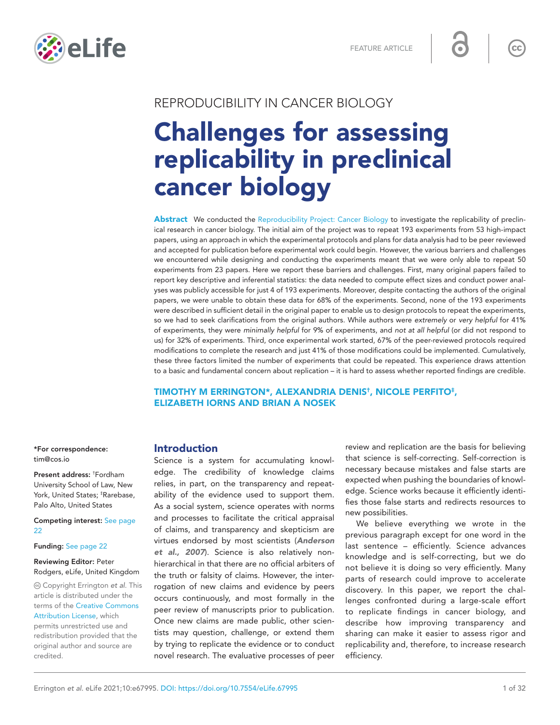

# REPRODUCIBILITY IN CANCER BIOLOGY Challenges for assessing replicability in preclinical cancer biology

Abstract We conducted the [Reproducibility Project: Cancer Biology](https://elifesciences.org/collections/9b1e83d1/reproducibility-project-cancer-biology) to investigate the replicability of preclinical research in cancer biology. The initial aim of the project was to repeat 193 experiments from 53 high-impact papers, using an approach in which the experimental protocols and plans for data analysis had to be peer reviewed and accepted for publication before experimental work could begin. However, the various barriers and challenges we encountered while designing and conducting the experiments meant that we were only able to repeat 50 experiments from 23 papers. Here we report these barriers and challenges. First, many original papers failed to report key descriptive and inferential statistics: the data needed to compute effect sizes and conduct power analyses was publicly accessible for just 4 of 193 experiments. Moreover, despite contacting the authors of the original papers, we were unable to obtain these data for 68% of the experiments. Second, none of the 193 experiments were described in sufficient detail in the original paper to enable us to design protocols to repeat the experiments, so we had to seek clarifications from the original authors. While authors were *extremely* or *very helpful* for 41% of experiments, they were *minimally helpful* for 9% of experiments, and *not at all helpful* (or did not respond to us) for 32% of experiments. Third, once experimental work started, 67% of the peer-reviewed protocols required modifications to complete the research and just 41% of those modifications could be implemented. Cumulatively, these three factors limited the number of experiments that could be repeated. This experience draws attention to a basic and fundamental concern about replication – it is hard to assess whether reported findings are credible.

# TIMOTHY M ERRINGTON\*, ALEXANDRIA DENIS† , NICOLE PERFITO‡ , ELIZABETH IORNS AND BRIAN A NOSEK

\*For correspondence: [tim@cos.io](mailto:tim@cos.io)

Present address: † Fordham University School of Law, New York, United States; ‡ Rarebase, Palo Alto, United States

Competing interest: [See page](#page-21-0)  [22](#page-21-0)

Funding: [See page 22](#page-21-1)

#### Reviewing Editor: Peter Rodgers, eLife, United Kingdom

 Copyright Errington *et al*. This article is distributed under the terms of the [Creative Commons](http://creativecommons.org/licenses/by/4.0/) 

[Attribution License](http://creativecommons.org/licenses/by/4.0/), which permits unrestricted use and redistribution provided that the original author and source are credited.

# Introduction

Science is a system for accumulating knowledge. The credibility of knowledge claims relies, in part, on the transparency and repeatability of the evidence used to support them. As a social system, science operates with norms and processes to facilitate the critical appraisal of claims, and transparency and skepticism are virtues endorsed by most scientists (*[Anderson](#page-22-0)  [et al., 2007](#page-22-0)*). Science is also relatively nonhierarchical in that there are no official arbiters of the truth or falsity of claims. However, the interrogation of new claims and evidence by peers occurs continuously, and most formally in the peer review of manuscripts prior to publication. Once new claims are made public, other scientists may question, challenge, or extend them by trying to replicate the evidence or to conduct novel research. The evaluative processes of peer

review and replication are the basis for believing that science is self-correcting. Self-correction is necessary because mistakes and false starts are expected when pushing the boundaries of knowledge. Science works because it efficiently identifies those false starts and redirects resources to new possibilities.

We believe everything we wrote in the previous paragraph except for one word in the last sentence – efficiently. Science advances knowledge and is self-correcting, but we do not believe it is doing so very efficiently. Many parts of research could improve to accelerate discovery. In this paper, we report the challenges confronted during a large-scale effort to replicate findings in cancer biology, and describe how improving transparency and sharing can make it easier to assess rigor and replicability and, therefore, to increase research efficiency.

 $cc$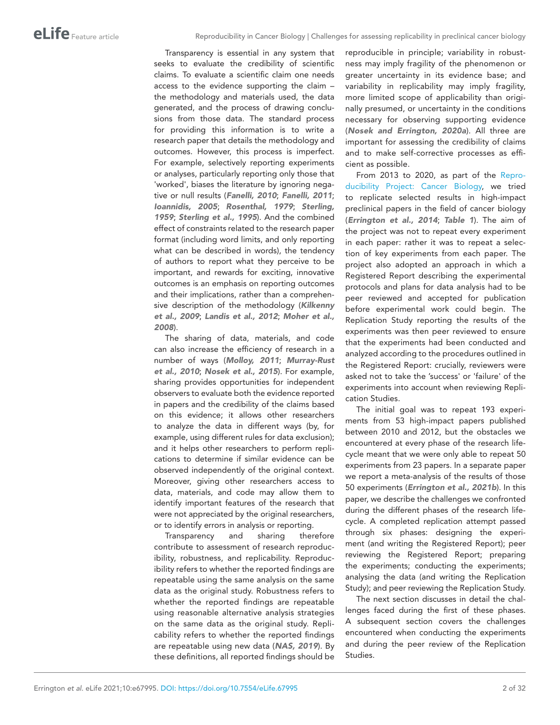Transparency is essential in any system that seeks to evaluate the credibility of scientific claims. To evaluate a scientific claim one needs access to the evidence supporting the claim – the methodology and materials used, the data generated, and the process of drawing conclusions from those data. The standard process for providing this information is to write a research paper that details the methodology and outcomes. However, this process is imperfect. For example, selectively reporting experiments or analyses, particularly reporting only those that 'worked', biases the literature by ignoring negative or null results (*[Fanelli, 2010](#page-24-0)*; *[Fanelli, 2011](#page-24-1)*; *[Ioannidis, 2005](#page-25-0)*; *[Rosenthal, 1979](#page-28-0)*; *[Sterling,](#page-29-0)  [1959](#page-29-0)*; *[Sterling et al., 1995](#page-29-1)*). And the combined effect of constraints related to the research paper format (including word limits, and only reporting what can be described in words), the tendency of authors to report what they perceive to be important, and rewards for exciting, innovative outcomes is an emphasis on reporting outcomes and their implications, rather than a comprehensive description of the methodology (*[Kilkenny](#page-25-1)  [et al., 2009](#page-25-1)*; *[Landis et al., 2012](#page-26-0)*; *[Moher et al.,](#page-27-0)  [2008](#page-27-0)*).

The sharing of data, materials, and code can also increase the efficiency of research in a number of ways (*[Molloy, 2011](#page-27-1)*; *[Murray-Rust](#page-27-2)  [et al., 2010](#page-27-2)*; *[Nosek et al., 2015](#page-27-3)*). For example, sharing provides opportunities for independent observers to evaluate both the evidence reported in papers and the credibility of the claims based on this evidence; it allows other researchers to analyze the data in different ways (by, for example, using different rules for data exclusion); and it helps other researchers to perform replications to determine if similar evidence can be observed independently of the original context. Moreover, giving other researchers access to data, materials, and code may allow them to identify important features of the research that were not appreciated by the original researchers, or to identify errors in analysis or reporting.

Transparency and sharing therefore contribute to assessment of research reproducibility, robustness, and replicability. Reproducibility refers to whether the reported findings are repeatable using the same analysis on the same data as the original study. Robustness refers to whether the reported findings are repeatable using reasonable alternative analysis strategies on the same data as the original study. Replicability refers to whether the reported findings are repeatable using new data (*[NAS, 2019](#page-27-4)*). By these definitions, all reported findings should be reproducible in principle; variability in robustness may imply fragility of the phenomenon or greater uncertainty in its evidence base; and variability in replicability may imply fragility, more limited scope of applicability than originally presumed, or uncertainty in the conditions necessary for observing supporting evidence (*[Nosek and Errington, 2020a](#page-27-5)*). All three are important for assessing the credibility of claims and to make self-corrective processes as efficient as possible.

From 2013 to 2020, as part of the [Repro](https://elifesciences.org/collections/9b1e83d1/reproducibility-project-cancer-biology)[ducibility Project: Cancer Biology,](https://elifesciences.org/collections/9b1e83d1/reproducibility-project-cancer-biology) we tried to replicate selected results in high-impact preclinical papers in the field of cancer biology (*[Errington et al., 2014](#page-23-0)*; *[Table 1](#page-2-0)*). The aim of the project was not to repeat every experiment in each paper: rather it was to repeat a selection of key experiments from each paper. The project also adopted an approach in which a Registered Report describing the experimental protocols and plans for data analysis had to be peer reviewed and accepted for publication before experimental work could begin. The Replication Study reporting the results of the experiments was then peer reviewed to ensure that the experiments had been conducted and analyzed according to the procedures outlined in the Registered Report: crucially, reviewers were asked not to take the 'success' or 'failure' of the experiments into account when reviewing Replication Studies.

The initial goal was to repeat 193 experiments from 53 high-impact papers published between 2010 and 2012, but the obstacles we encountered at every phase of the research lifecycle meant that we were only able to repeat 50 experiments from 23 papers. In a separate paper we report a meta-analysis of the results of those 50 experiments (*[Errington et al., 2021b](#page-23-1)*). In this paper, we describe the challenges we confronted during the different phases of the research lifecycle. A completed replication attempt passed through six phases: designing the experiment (and writing the Registered Report); peer reviewing the Registered Report; preparing the experiments; conducting the experiments; analysing the data (and writing the Replication Study); and peer reviewing the Replication Study.

The next section discusses in detail the challenges faced during the first of these phases. A subsequent section covers the challenges encountered when conducting the experiments and during the peer review of the Replication Studies.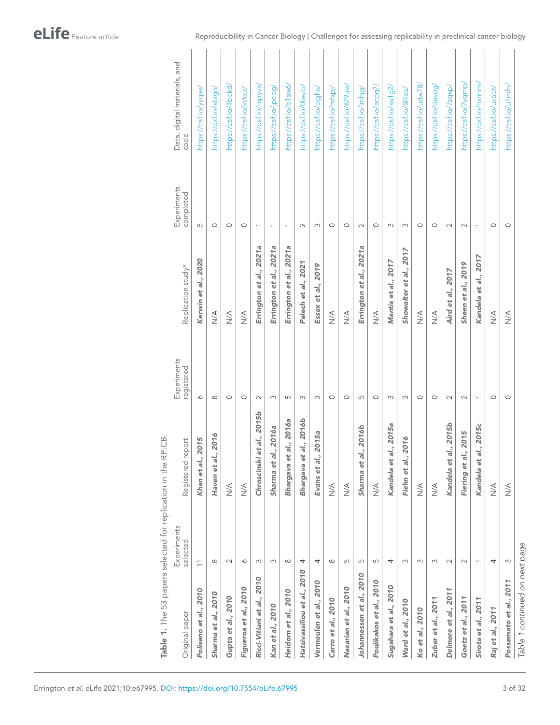| Original paper                 | Experiments<br>selected  | Registered report                | Experiments<br>registered | Replication study*      | Experiments<br>completed | Data, digital materials, and<br>code |
|--------------------------------|--------------------------|----------------------------------|---------------------------|-------------------------|--------------------------|--------------------------------------|
| Poliseno et al., 2010          | $\overline{1}$           | 2015<br>Khan et al., 2           | $\circ$                   | Kerwin et al., 2020     | 5                        | https://osf.io/yyqas/                |
| Sharma et al., 2010            | $\infty$                 | 2016<br>Haven et al.,            | $\infty$                  | $\frac{4}{2}$           | $\circ$                  | https://osf.io/xbign/                |
| Gupta et al., 2010             | $\sim$                   | $\frac{4}{2}$                    | $\circ$                   | $\frac{4}{2}$           | $\circ$                  | https://osf.io/4bokd/                |
| Figueroa et al., 2010          | $\circ$                  | $\frac{4}{2}$                    | $\circ$                   | $\frac{4}{2}$           | $\circ$                  | https://osf.io/xdojz/                |
| Ricci-Vitiani et al., 2010     | 3                        | Chroscinski et al., 2015b        | $\sim$                    | Errington et al., 2021a | ſ                        | https://osf.io/mpyvx/                |
| Kan et al., 2010               | $\infty$                 | " 2016a<br>Sharma et al.         | $\infty$                  | Errington et al., 2021a | $\overline{\phantom{0}}$ | https://osf.io/jpeqg/                |
| Heidorn et al., 2010           | $\infty$                 | al., 2016a<br>Bhargava et        | 5                         | Errington et al., 2021a | $\overline{ }$           | https://osf.io/b1aw6/                |
| Hatzivassiliou et al., 2010    | 4                        | al., 2016b<br>Bhargava et        | S                         | Pelech et al., 2021     | $\sim$                   | https://osf.io/0hezb/                |
| Vermeulen et al., 2010         | 4                        | 2015a<br>Evans et al.,           | $\infty$                  | Essex et al., 2019      | 3                        | https://osf.io/pgjhx/                |
| Carro et al., 2010             | $\infty$                 | $\stackrel{\triangleleft}{\geq}$ | $\circ$                   | $\frac{4}{2}$           | $\circ$                  | https://osf.io/mfxpj/                |
| Nazarian et al., 2010          | 5                        | $\stackrel{\triangleleft}{\geq}$ | $\circ$                   | $\frac{4}{2}$           | $\circ$                  | https://osf.io/679uw/                |
| Johannessen et al., 2010       | 5                        | 2016b<br>×<br>Sharma et al.      | 5                         | Errington et al., 2021a | $\sim$                   | https://osf.io/lmhjg/                |
| Poulikakos et al., 2010        | $\overline{5}$           | $\leq$                           | $\circ$                   | $\frac{4}{2}$           | $\circ$                  | https://osf.io/acpq7.                |
| Sugahara et al., 2010          | 4                        | Kandela et al., 2015a            | 3                         | Mantis et al., 2017     | 3                        | https://osf.io/xu1g2/                |
| Ward et al., 2010              | S                        | Fiehn et al., 2016               | $\infty$                  | Showalter et al., 2017  | S                        | https://osf.io/8l4ea/                |
| Ko et al., 2010                | S                        | $\leq$                           | $\circ$                   | $\leq$                  | $\circ$                  | https://osf.io/udw78/                |
| Zuber et al., 2011             | $\infty$                 | $\leq$                           | $\circ$                   | $\leq$                  | $\circ$                  | https://osf.io/devog/                |
| Delmore et al., 2011           | $\sim$                   | Kandela et al., 2015b            | $\sim$                    | Aird et al., 2017       | $\sim$                   | https://osf.io/7zqxp/                |
| Goetz et al., 2011             | $\sim$                   | 2015<br>Fiering et al.           | $\sim$                    | Sheen et al., 2019      | $\sim$                   | https://osf.io/7yqmp/                |
| Sirota et al., 2011            | $\overline{\phantom{0}}$ | Kandela et al., 2015c            | $\overline{ }$            | Kandela et al., 2017    | $\overline{\phantom{0}}$ | https://osf.io/hxrmm/                |
| Raj et al., 2011               | 4                        | $\leq$                           | $\circ$                   | $\frac{4}{2}$           | $\circ$                  | https://osf.io/uvapt/                |
| Possemato et al., 2011         | $\infty$                 | $\leq$                           | $\circ$                   | $\frac{4}{2}$           | $\circ$                  | https://osf.io/u1mfn/                |
| Table 1 continued on next page |                          |                                  |                           |                         |                          |                                      |

<span id="page-2-0"></span>Table 1. The 53 papers selected for replication in the RP:CB. Table 1. The 53 papers selected for replication in the RP:CB.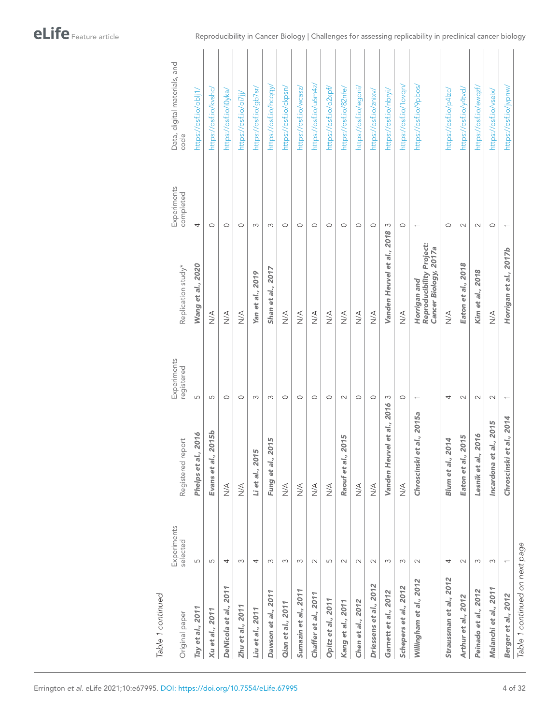| Original paper                 | Experiments<br>selected  | Registered report                | Experiments<br>registered | Replication study*                                                | Experiments<br>completed | Data, digital materials, and<br>code |
|--------------------------------|--------------------------|----------------------------------|---------------------------|-------------------------------------------------------------------|--------------------------|--------------------------------------|
| Tay et al., 2011               | 5                        | 1,2016<br>Phelps et al           | 5                         | Wang et al., 2020                                                 | 4                        | https://osf.io/obli1,                |
| Xu et al., 2011                | 5                        | 2015b<br>Evans et al.,           | 5                         | $\frac{4}{2}$                                                     | $\circ$                  | https://osf.io/kvshc/                |
| DeNicola et al., 2011          | 4                        | $\stackrel{\triangleleft}{\geq}$ | $\circ$                   | $\frac{4}{2}$                                                     | $\circ$                  | https://osf.io/i0yka/                |
| Zhu et al., 2011               | 3                        | $\leq$                           | $\circ$                   | $\leq$                                                            | $\circ$                  | https://osf.io/oi7ji/                |
| Liu et al., 2011               | 4                        | LŊ,<br>Li et al., 201            | 3                         | Yan et al., 2019                                                  | 3                        | https://osf.io/gb7sr/                |
| Dawson et al., 2011            | S                        | 2015<br>Fung et al.,             | S                         | Shan et al., 2017                                                 | S                        | https://osf.io/hcqqy,                |
| Qian et al., 2011              | S                        | $\leq$                           | $\circ$                   | $\leq$                                                            | $\circ$                  | https://osf.io/ckpsn/                |
| Sumazin et al., 2011           | $\infty$                 | $\stackrel{\triangleleft}{\geq}$ | $\circ$                   | $\frac{4}{2}$                                                     | $\circ$                  | https://osf.io/wcasz/                |
| Chaffer et al., 2011           | $\sim$                   | $\leq$                           | $\circ$                   | $\frac{4}{2}$                                                     | $\circ$                  | https://osf.io/u6m4z/                |
| Opitz et al., 2011             | 5                        | $\leq$                           | $\circ$                   | $\frac{4}{2}$                                                     | $\circ$                  | https://osf.io/o2xpf/                |
| Kang et al., 2011              | $\sim$                   | 2015<br>Raouf et al.,            | $\sim$                    | $\frac{4}{2}$                                                     | $\circ$                  | https://osf.io/82nfe/                |
| Chen et al., 2012              | $\sim$                   | $\leq$                           | $\circ$                   | $\frac{4}{2}$                                                     | $\circ$                  | https://osf.io/egoni/                |
| Driessens et al., 2012         | $\sim$                   | $\leq$                           | $\circ$                   | $\frac{4}{2}$                                                     | $\circ$                  | https://osf.io/znixv/                |
| Garnett et al., 2012           | 3                        | Vanden Heuvel et al., 2016       | $\infty$                  | Vanden Heuvel et al., 2018                                        | 3                        | https://osf.io/nbryi/                |
| Schepers et al., 2012          | S                        | $\leq$                           | $\circ$                   | $\frac{4}{2}$                                                     | $\circ$                  | https://osf.io/1ovqn/                |
| Willingham et al., 2012        | $\sim$                   | et al., 2015a<br>Chroscinski     | $\overline{ }$            | Reproducibility Project:<br>Cancer Biology, 2017a<br>Horrigan and |                          | https://osf.io/9pbos/                |
| Straussman et al., 2012        | 4                        | 2014<br>Blum et al.,             | 4                         | $\leq$                                                            | $\circ$                  | https://osf.io/p4lzc/                |
| Arthur et al., 2012            | $\sim$                   | 2015<br>Eaton et al.,            | $\sim$                    | Eaton et al., 2018                                                | $\sim$                   | https://osf.io/y4tvd/                |
| Peinado et al., 2012           | $\infty$                 | 2016<br>Lesnik et al.            | $\sim$                    | Kim et al., 2018                                                  | $\sim$                   | https://osf.io/ewqzf/                |
| Malanchi et al., 2011          | $\infty$                 | al., 2015<br>Incardona et        | $\sim$                    | $\leq$                                                            | $\circ$                  | https://osf.io/vseix/                |
| Berger et al., 2012            | $\overline{\phantom{0}}$ | et al., 2014<br>Chroscinski      | $\overline{\phantom{0}}$  | Horrigan et al., 2017b                                            |                          | https://osf.io/jvpnw/                |
| Table 1 continued on next page |                          |                                  |                           |                                                                   |                          |                                      |

Reproducibility in Cancer Biology | Challenges for assessing replicability in preclinical cancer biology

*Table 1 continued*

Table 1 continued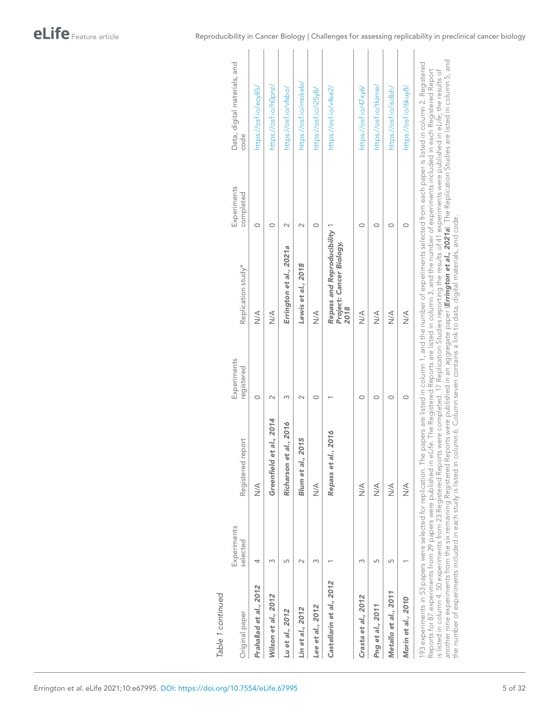eLife Feature article

| Original paper                                                                                                                             | Experiments<br>selected | Registered report          | Experiments<br>registered | Replication study*                                                                                                                                                                                                                                                                                                                                                           | Experiments<br>completed | Data, digital materials, and<br>code                                                                                                                                                                                                                                                                                                                                                       |
|--------------------------------------------------------------------------------------------------------------------------------------------|-------------------------|----------------------------|---------------------------|------------------------------------------------------------------------------------------------------------------------------------------------------------------------------------------------------------------------------------------------------------------------------------------------------------------------------------------------------------------------------|--------------------------|--------------------------------------------------------------------------------------------------------------------------------------------------------------------------------------------------------------------------------------------------------------------------------------------------------------------------------------------------------------------------------------------|
| Prahallad et al., 2012                                                                                                                     | 4                       | $\frac{4}{2}$              | $\circ$                   | $\frac{4}{2}$                                                                                                                                                                                                                                                                                                                                                                | $\circ$                  | https://osf.io/ecy85/                                                                                                                                                                                                                                                                                                                                                                      |
| Wilson et al., 2012                                                                                                                        |                         | et al., 2014<br>Greenfield | $\scriptstyle\sim$        | A<br>N<br>N                                                                                                                                                                                                                                                                                                                                                                  | $\circ$                  | https://osf.io/h0pnz/                                                                                                                                                                                                                                                                                                                                                                      |
| Lu et al., 2012                                                                                                                            | 5                       | Richarson et al., 2016     | ω                         | Errington et al., 2021a                                                                                                                                                                                                                                                                                                                                                      | $\sim$                   | https://osf.io/vfsbo/                                                                                                                                                                                                                                                                                                                                                                      |
| Lin et al., 2012                                                                                                                           | $\sim$                  | 2015<br>Blum et al.,       | $\sim$                    | Lewis et al., 2018                                                                                                                                                                                                                                                                                                                                                           | $\sim$                   | https://osf.io/mokeb/                                                                                                                                                                                                                                                                                                                                                                      |
| Lee et al., 2012                                                                                                                           | m                       | $\frac{4}{2}$              | $\circ$                   | ∖<br>N∕X                                                                                                                                                                                                                                                                                                                                                                     | $\circ$                  | https://osf.io/i25y8/                                                                                                                                                                                                                                                                                                                                                                      |
| Castellarin et al., 2012                                                                                                                   |                         | Repass et al., 2016        |                           | Repass and Reproducibility<br>Project: Cancer Biology,<br>2018                                                                                                                                                                                                                                                                                                               |                          | https://osf.io/v4se2/                                                                                                                                                                                                                                                                                                                                                                      |
| Crasta et al., 2012                                                                                                                        | Σ                       | $\frac{4}{2}$              | O                         | $\leq$                                                                                                                                                                                                                                                                                                                                                                       | O                        | https://osf.io/47xy6/                                                                                                                                                                                                                                                                                                                                                                      |
| Png et al., 2011                                                                                                                           | 5                       | $\leq$                     | 0                         | $\frac{4}{2}$                                                                                                                                                                                                                                                                                                                                                                | $\circ$                  | https://osf.io/tkzme/                                                                                                                                                                                                                                                                                                                                                                      |
| Metallo et al., 2011                                                                                                                       | 5                       | $\leq$                     | $\circ$                   | $\frac{4}{2}$                                                                                                                                                                                                                                                                                                                                                                | $\circ$                  | https://osf.io/isdbh/                                                                                                                                                                                                                                                                                                                                                                      |
| Morin et al., 2010                                                                                                                         |                         | $\leq$                     | $\circ$                   | $\frac{1}{2}$                                                                                                                                                                                                                                                                                                                                                                | $\circ$                  | https://osf.io/6kuy8/                                                                                                                                                                                                                                                                                                                                                                      |
| the number of experiments included in each study is listed in column 6. Column seven contains a link to data, digital materials, and code. |                         |                            |                           | Reports for 87 experiments from 29 papers were published in eLife. The Registered Reports are listed in column 3, and the number of experiments included in each Registered Report<br>s listed in column 4. 50 experiments from 23 Registered Reports were completed. 17 Replication Studies reporting the results of 41 experiments were published in eLife; the results of |                          | another nine experiments from the six remaining Registered Reports were published in an aggregate paper ( <b>Errington et al., 2021a</b> ). The Replication Studies are listed in column 5, and<br>193 experiments in 53 papers were selected for replication. The papers are listed in column 1, and the number of experiments selected from each paper is listed in column 2. Registered |

Reproducibility in Cancer Biology | Challenges for assessing replicability in preclinical cancer biology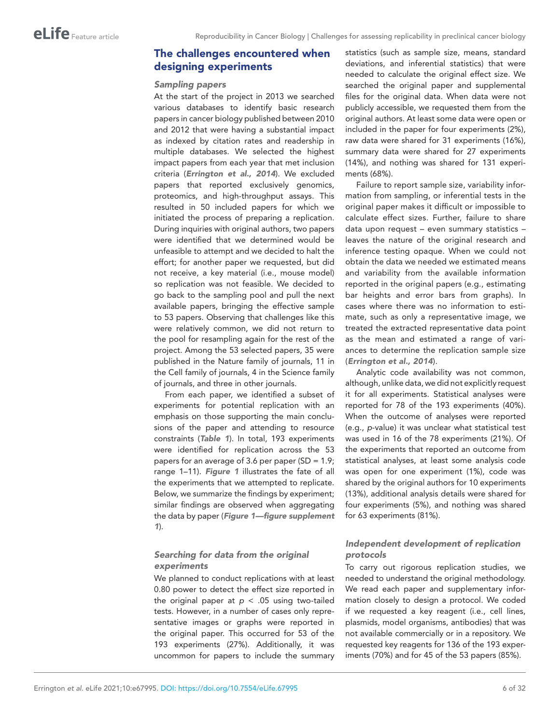# The challenges encountered when designing experiments

### *Sampling papers*

At the start of the project in 2013 we searched various databases to identify basic research papers in cancer biology published between 2010 and 2012 that were having a substantial impact as indexed by citation rates and readership in multiple databases. We selected the highest impact papers from each year that met inclusion criteria (*[Errington et al., 2014](#page-23-0)*). We excluded papers that reported exclusively genomics, proteomics, and high-throughput assays. This resulted in 50 included papers for which we initiated the process of preparing a replication. During inquiries with original authors, two papers were identified that we determined would be unfeasible to attempt and we decided to halt the effort; for another paper we requested, but did not receive, a key material (i.e., mouse model) so replication was not feasible. We decided to go back to the sampling pool and pull the next available papers, bringing the effective sample to 53 papers. Observing that challenges like this were relatively common, we did not return to the pool for resampling again for the rest of the project. Among the 53 selected papers, 35 were published in the Nature family of journals, 11 in the Cell family of journals, 4 in the Science family of journals, and three in other journals.

From each paper, we identified a subset of experiments for potential replication with an emphasis on those supporting the main conclusions of the paper and attending to resource constraints (*[Table 1](#page-2-0)*). In total, 193 experiments were identified for replication across the 53 papers for an average of 3.6 per paper (SD =  $1.9$ ; range 1–11). *[Figure 1](#page-6-0)* illustrates the fate of all the experiments that we attempted to replicate. Below, we summarize the findings by experiment; similar findings are observed when aggregating the data by paper (*[Figure 1—figure supplement](#page-6-1)  [1](#page-6-1)*).

# *Searching for data from the original experiments*

We planned to conduct replications with at least 0.80 power to detect the effect size reported in the original paper at  $p < .05$  using two-tailed tests. However, in a number of cases only representative images or graphs were reported in the original paper. This occurred for 53 of the 193 experiments (27%). Additionally, it was uncommon for papers to include the summary

statistics (such as sample size, means, standard deviations, and inferential statistics) that were needed to calculate the original effect size. We searched the original paper and supplemental files for the original data. When data were not publicly accessible, we requested them from the original authors. At least some data were open or included in the paper for four experiments (2%), raw data were shared for 31 experiments (16%), summary data were shared for 27 experiments (14%), and nothing was shared for 131 experiments (68%).

Failure to report sample size, variability information from sampling, or inferential tests in the original paper makes it difficult or impossible to calculate effect sizes. Further, failure to share data upon request – even summary statistics – leaves the nature of the original research and inference testing opaque. When we could not obtain the data we needed we estimated means and variability from the available information reported in the original papers (e.g., estimating bar heights and error bars from graphs). In cases where there was no information to estimate, such as only a representative image, we treated the extracted representative data point as the mean and estimated a range of variances to determine the replication sample size (*[Errington et al., 2014](#page-23-0)*).

Analytic code availability was not common, although, unlike data, we did not explicitly request it for all experiments. Statistical analyses were reported for 78 of the 193 experiments (40%). When the outcome of analyses were reported (e.g., *p*-value) it was unclear what statistical test was used in 16 of the 78 experiments (21%). Of the experiments that reported an outcome from statistical analyses, at least some analysis code was open for one experiment (1%), code was shared by the original authors for 10 experiments (13%), additional analysis details were shared for four experiments (5%), and nothing was shared for 63 experiments (81%).

# *Independent development of replication protocols*

To carry out rigorous replication studies, we needed to understand the original methodology. We read each paper and supplementary information closely to design a protocol. We coded if we requested a key reagent (i.e., cell lines, plasmids, model organisms, antibodies) that was not available commercially or in a repository. We requested key reagents for 136 of the 193 experiments (70%) and for 45 of the 53 papers (85%).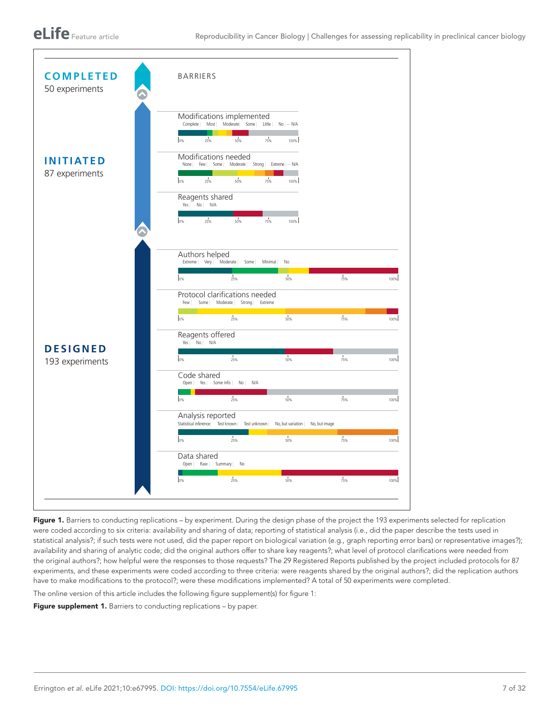

<span id="page-6-0"></span>Figure 1. Barriers to conducting replications - by experiment. During the design phase of the project the 193 experiments selected for replication were coded according to six criteria: availability and sharing of data; reporting of statistical analysis (i.e., did the paper describe the tests used in statistical analysis?; if such tests were not used, did the paper report on biological variation (e.g., graph reporting error bars) or representative images?); availability and sharing of analytic code; did the original authors offer to share key reagents?; what level of protocol clarifications were needed from the original authors?; how helpful were the responses to those requests? The 29 Registered Reports published by the project included protocols for 87 experiments, and these experiments were coded according to three criteria: were reagents shared by the original authors?; did the replication authors have to make modifications to the protocol?; were these modifications implemented? A total of 50 experiments were completed.

The online version of this article includes the following figure supplement(s) for figure 1:

<span id="page-6-1"></span>Figure supplement 1. Barriers to conducting replications – by paper.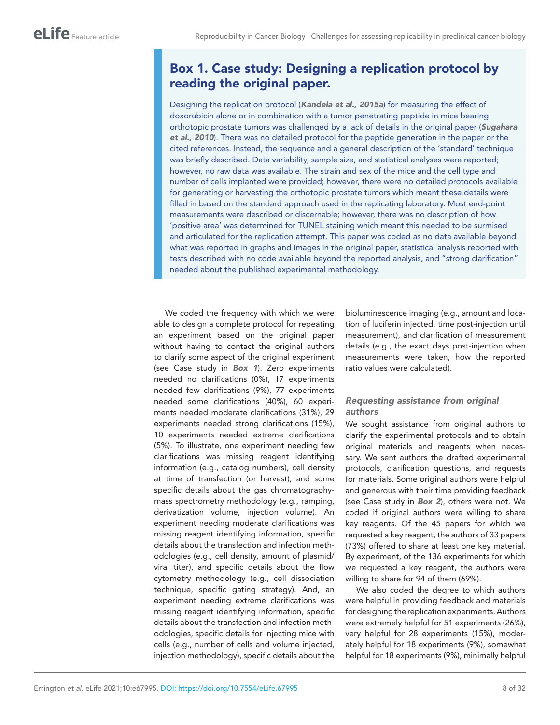# <span id="page-7-0"></span>Box 1. Case study: Designing a replication protocol by reading the original paper.

Designing the replication protocol (*[Kandela et al., 2015a](#page-25-7)*) for measuring the effect of doxorubicin alone or in combination with a tumor penetrating peptide in mice bearing orthotopic prostate tumors was challenged by a lack of details in the original paper (*[Sugahara](#page-29-4)  [et al., 2010](#page-29-4)*). There was no detailed protocol for the peptide generation in the paper or the cited references. Instead, the sequence and a general description of the 'standard' technique was briefly described. Data variability, sample size, and statistical analyses were reported; however, no raw data was available. The strain and sex of the mice and the cell type and number of cells implanted were provided; however, there were no detailed protocols available for generating or harvesting the orthotopic prostate tumors which meant these details were filled in based on the standard approach used in the replicating laboratory. Most end-point measurements were described or discernable; however, there was no description of how 'positive area' was determined for TUNEL staining which meant this needed to be surmised and articulated for the replication attempt. This paper was coded as no data available beyond what was reported in graphs and images in the original paper, statistical analysis reported with tests described with no code available beyond the reported analysis, and "strong clarification" needed about the published experimental methodology.

We coded the frequency with which we were able to design a complete protocol for repeating an experiment based on the original paper without having to contact the original authors to clarify some aspect of the original experiment (see Case study in *[Box 1](#page-7-0)*). Zero experiments needed no clarifications (0%), 17 experiments needed few clarifications (9%), 77 experiments needed some clarifications (40%), 60 experiments needed moderate clarifications (31%), 29 experiments needed strong clarifications (15%), 10 experiments needed extreme clarifications (5%). To illustrate, one experiment needing few clarifications was missing reagent identifying information (e.g., catalog numbers), cell density at time of transfection (or harvest), and some specific details about the gas chromatographymass spectrometry methodology (e.g., ramping, derivatization volume, injection volume). An experiment needing moderate clarifications was missing reagent identifying information, specific details about the transfection and infection methodologies (e.g., cell density, amount of plasmid/ viral titer), and specific details about the flow cytometry methodology (e.g., cell dissociation technique, specific gating strategy). And, an experiment needing extreme clarifications was missing reagent identifying information, specific details about the transfection and infection methodologies, specific details for injecting mice with cells (e.g., number of cells and volume injected, injection methodology), specific details about the

bioluminescence imaging (e.g., amount and location of luciferin injected, time post-injection until measurement), and clarification of measurement details (e.g., the exact days post-injection when measurements were taken, how the reported ratio values were calculated).

# *Requesting assistance from original authors*

We sought assistance from original authors to clarify the experimental protocols and to obtain original materials and reagents when necessary. We sent authors the drafted experimental protocols, clarification questions, and requests for materials. Some original authors were helpful and generous with their time providing feedback (see Case study in *[Box 2](#page-8-0)*), others were not. We coded if original authors were willing to share key reagents. Of the 45 papers for which we requested a key reagent, the authors of 33 papers (73%) offered to share at least one key material. By experiment, of the 136 experiments for which we requested a key reagent, the authors were willing to share for 94 of them (69%).

We also coded the degree to which authors were helpful in providing feedback and materials for designing the replication experiments. Authors were extremely helpful for 51 experiments (26%), very helpful for 28 experiments (15%), moderately helpful for 18 experiments (9%), somewhat helpful for 18 experiments (9%), minimally helpful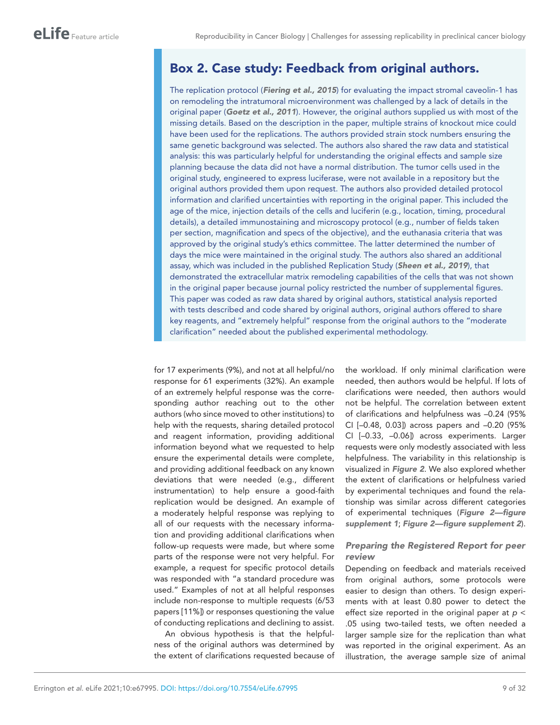# <span id="page-8-0"></span>Box 2. Case study: Feedback from original authors.

The replication protocol (*[Fiering et al., 2015](#page-24-9)*) for evaluating the impact stromal caveolin-1 has on remodeling the intratumoral microenvironment was challenged by a lack of details in the original paper (*[Goetz et al., 2011](#page-24-8)*). However, the original authors supplied us with most of the missing details. Based on the description in the paper, multiple strains of knockout mice could have been used for the replications. The authors provided strain stock numbers ensuring the same genetic background was selected. The authors also shared the raw data and statistical analysis: this was particularly helpful for understanding the original effects and sample size planning because the data did not have a normal distribution. The tumor cells used in the original study, engineered to express luciferase, were not available in a repository but the original authors provided them upon request. The authors also provided detailed protocol information and clarified uncertainties with reporting in the original paper. This included the age of the mice, injection details of the cells and luciferin (e.g., location, timing, procedural details), a detailed immunostaining and microscopy protocol (e.g., number of fields taken per section, magnification and specs of the objective), and the euthanasia criteria that was approved by the original study's ethics committee. The latter determined the number of days the mice were maintained in the original study. The authors also shared an additional assay, which was included in the published Replication Study (*[Sheen et al., 2019](#page-29-6)*), that demonstrated the extracellular matrix remodeling capabilities of the cells that was not shown in the original paper because journal policy restricted the number of supplemental figures. This paper was coded as raw data shared by original authors, statistical analysis reported with tests described and code shared by original authors, original authors offered to share key reagents, and "extremely helpful" response from the original authors to the "moderate clarification" needed about the published experimental methodology.

for 17 experiments (9%), and not at all helpful/no response for 61 experiments (32%). An example of an extremely helpful response was the corresponding author reaching out to the other authors (who since moved to other institutions) to help with the requests, sharing detailed protocol and reagent information, providing additional information beyond what we requested to help ensure the experimental details were complete, and providing additional feedback on any known deviations that were needed (e.g., different instrumentation) to help ensure a good-faith replication would be designed. An example of a moderately helpful response was replying to all of our requests with the necessary information and providing additional clarifications when follow-up requests were made, but where some parts of the response were not very helpful. For example, a request for specific protocol details was responded with "a standard procedure was used." Examples of not at all helpful responses include non-response to multiple requests (6/53 papers [11%]) or responses questioning the value of conducting replications and declining to assist.

An obvious hypothesis is that the helpfulness of the original authors was determined by the extent of clarifications requested because of the workload. If only minimal clarification were needed, then authors would be helpful. If lots of clarifications were needed, then authors would not be helpful. The correlation between extent of clarifications and helpfulness was –0.24 (95% CI [–0.48, 0.03]) across papers and –0.20 (95% CI [–0.33, –0.06]) across experiments. Larger requests were only modestly associated with less helpfulness. The variability in this relationship is visualized in *[Figure 2](#page-9-0)*. We also explored whether the extent of clarifications or helpfulness varied by experimental techniques and found the relationship was similar across different categories of experimental techniques (*[Figure 2—figure](#page-9-1)  [supplement 1](#page-9-1)*; *[Figure 2—figure supplement 2](#page-9-2)*).

# *Preparing the Registered Report for peer review*

Depending on feedback and materials received from original authors, some protocols were easier to design than others. To design experiments with at least 0.80 power to detect the effect size reported in the original paper at *p* < .05 using two-tailed tests, we often needed a larger sample size for the replication than what was reported in the original experiment. As an illustration, the average sample size of animal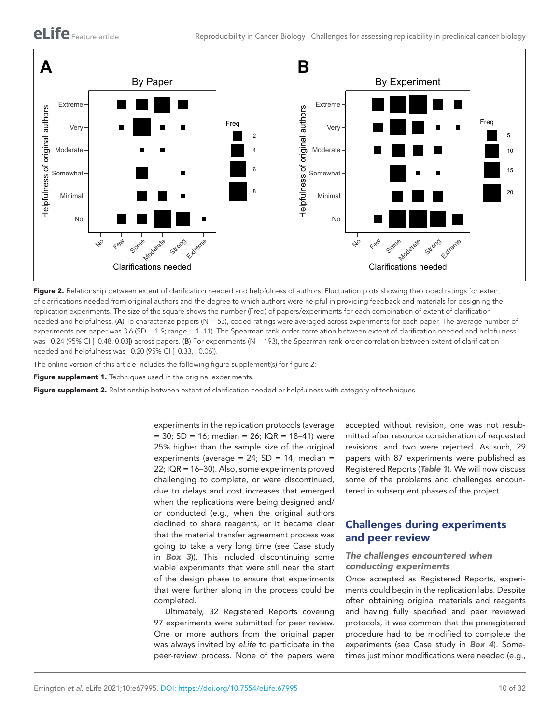

<span id="page-9-0"></span>Figure 2. Relationship between extent of clarification needed and helpfulness of authors. Fluctuation plots showing the coded ratings for extent of clarifications needed from original authors and the degree to which authors were helpful in providing feedback and materials for designing the replication experiments. The size of the square shows the number (Freq) of papers/experiments for each combination of extent of clarification needed and helpfulness. (A) To characterize papers (N = 53), coded ratings were averaged across experiments for each paper. The average number of experiments per paper was 3.6 (SD = 1.9; range = 1–11). The Spearman rank-order correlation between extent of clarification needed and helpfulness was –0.24 (95% CI [–0.48, 0.03]) across papers. (B) For experiments (N = 193), the Spearman rank-order correlation between extent of clarification needed and helpfulness was –0.20 (95% CI [–0.33, –0.06]).

The online version of this article includes the following figure supplement(s) for figure 2:

<span id="page-9-1"></span>Figure supplement 1. Techniques used in the original experiments.

<span id="page-9-2"></span>Figure supplement 2. Relationship between extent of clarification needed or helpfulness with category of techniques.

experiments in the replication protocols (average  $= 30$ ; SD = 16; median = 26; IQR = 18-41) were 25% higher than the sample size of the original experiments (average =  $24$ ; SD = 14; median = 22; IQR = 16–30). Also, some experiments proved challenging to complete, or were discontinued, due to delays and cost increases that emerged when the replications were being designed and/ or conducted (e.g., when the original authors declined to share reagents, or it became clear that the material transfer agreement process was going to take a very long time (see Case study in *[Box 3](#page-10-0)*)). This included discontinuing some viable experiments that were still near the start of the design phase to ensure that experiments that were further along in the process could be completed.

Ultimately, 32 Registered Reports covering 97 experiments were submitted for peer review. One or more authors from the original paper was always invited by *eLife* to participate in the peer-review process. None of the papers were

accepted without revision, one was not resubmitted after resource consideration of requested revisions, and two were rejected. As such, 29 papers with 87 experiments were published as Registered Reports (*[Table 1](#page-2-0)*). We will now discuss some of the problems and challenges encountered in subsequent phases of the project.

# Challenges during experiments and peer review

### *The challenges encountered when conducting experiments*

Once accepted as Registered Reports, experiments could begin in the replication labs. Despite often obtaining original materials and reagents and having fully specified and peer reviewed protocols, it was common that the preregistered procedure had to be modified to complete the experiments (see Case study in *[Box 4](#page-10-1)*). Sometimes just minor modifications were needed (e.g.,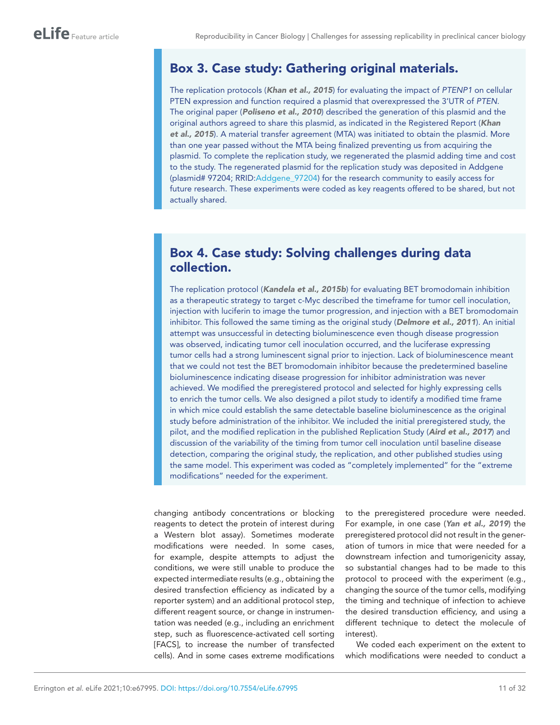# <span id="page-10-0"></span>Box 3. Case study: Gathering original materials.

The replication protocols (*[Khan et al., 2015](#page-25-2)*) for evaluating the impact of *PTENP1* on cellular PTEN expression and function required a plasmid that overexpressed the 3'UTR of *PTEN*. The original paper (*[Poliseno et al., 2010](#page-28-1)*) described the generation of this plasmid and the original authors agreed to share this plasmid, as indicated in the Registered Report (*[Khan](#page-25-2)  [et al., 2015](#page-25-2)*). A material transfer agreement (MTA) was initiated to obtain the plasmid. More than one year passed without the MTA being finalized preventing us from acquiring the plasmid. To complete the replication study, we regenerated the plasmid adding time and cost to the study. The regenerated plasmid for the replication study was deposited in Addgene (plasmid# 97204; RRID:[Addgene\\_97204](https://identifiers.org/RRID/RRID:Addgene_97204)) for the research community to easily access for future research. These experiments were coded as key reagents offered to be shared, but not actually shared.

# <span id="page-10-1"></span>Box 4. Case study: Solving challenges during data collection.

The replication protocol (*[Kandela et al., 2015b](#page-25-8)*) for evaluating BET bromodomain inhibition as a therapeutic strategy to target c-Myc described the timeframe for tumor cell inoculation, injection with luciferin to image the tumor progression, and injection with a BET bromodomain inhibitor. This followed the same timing as the original study (*[Delmore et al., 2011](#page-23-5)*). An initial attempt was unsuccessful in detecting bioluminescence even though disease progression was observed, indicating tumor cell inoculation occurred, and the luciferase expressing tumor cells had a strong luminescent signal prior to injection. Lack of bioluminescence meant that we could not test the BET bromodomain inhibitor because the predetermined baseline bioluminescence indicating disease progression for inhibitor administration was never achieved. We modified the preregistered protocol and selected for highly expressing cells to enrich the tumor cells. We also designed a pilot study to identify a modified time frame in which mice could establish the same detectable baseline bioluminescence as the original study before administration of the inhibitor. We included the initial preregistered study, the pilot, and the modified replication in the published Replication Study (*[Aird et al., 2017](#page-22-4)*) and discussion of the variability of the timing from tumor cell inoculation until baseline disease detection, comparing the original study, the replication, and other published studies using the same model. This experiment was coded as "completely implemented" for the "extreme modifications" needed for the experiment.

changing antibody concentrations or blocking reagents to detect the protein of interest during a Western blot assay). Sometimes moderate modifications were needed. In some cases, for example, despite attempts to adjust the conditions, we were still unable to produce the expected intermediate results (e.g., obtaining the desired transfection efficiency as indicated by a reporter system) and an additional protocol step, different reagent source, or change in instrumentation was needed (e.g., including an enrichment step, such as fluorescence-activated cell sorting [FACS], to increase the number of transfected cells). And in some cases extreme modifications

to the preregistered procedure were needed. For example, in one case (*[Yan et al., 2019](#page-30-4)*) the preregistered protocol did not result in the generation of tumors in mice that were needed for a downstream infection and tumorigenicity assay, so substantial changes had to be made to this protocol to proceed with the experiment (e.g., changing the source of the tumor cells, modifying the timing and technique of infection to achieve the desired transduction efficiency, and using a different technique to detect the molecule of interest).

We coded each experiment on the extent to which modifications were needed to conduct a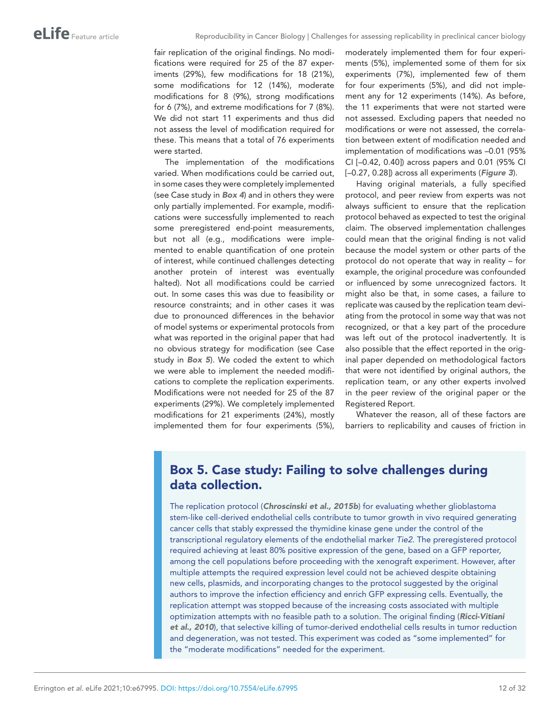fair replication of the original findings. No modifications were required for 25 of the 87 experiments (29%), few modifications for 18 (21%), some modifications for 12 (14%), moderate modifications for 8 (9%), strong modifications for 6 (7%), and extreme modifications for 7 (8%). We did not start 11 experiments and thus did not assess the level of modification required for these. This means that a total of 76 experiments were started.

The implementation of the modifications varied. When modifications could be carried out, in some cases they were completely implemented (see Case study in *[Box 4](#page-10-1)*) and in others they were only partially implemented. For example, modifications were successfully implemented to reach some preregistered end-point measurements, but not all (e.g., modifications were implemented to enable quantification of one protein of interest, while continued challenges detecting another protein of interest was eventually halted). Not all modifications could be carried out. In some cases this was due to feasibility or resource constraints; and in other cases it was due to pronounced differences in the behavior of model systems or experimental protocols from what was reported in the original paper that had no obvious strategy for modification (see Case study in *[Box 5](#page-11-0)*). We coded the extent to which we were able to implement the needed modifications to complete the replication experiments. Modifications were not needed for 25 of the 87 experiments (29%). We completely implemented modifications for 21 experiments (24%), mostly implemented them for four experiments (5%),

moderately implemented them for four experiments (5%), implemented some of them for six experiments (7%), implemented few of them for four experiments (5%), and did not implement any for 12 experiments (14%). As before, the 11 experiments that were not started were not assessed. Excluding papers that needed no modifications or were not assessed, the correlation between extent of modification needed and implementation of modifications was –0.01 (95% CI [–0.42, 0.40]) across papers and 0.01 (95% CI [–0.27, 0.28]) across all experiments (*[Figure 3](#page-12-0)*).

Having original materials, a fully specified protocol, and peer review from experts was not always sufficient to ensure that the replication protocol behaved as expected to test the original claim. The observed implementation challenges could mean that the original finding is not valid because the model system or other parts of the protocol do not operate that way in reality – for example, the original procedure was confounded or influenced by some unrecognized factors. It might also be that, in some cases, a failure to replicate was caused by the replication team deviating from the protocol in some way that was not recognized, or that a key part of the procedure was left out of the protocol inadvertently. It is also possible that the effect reported in the original paper depended on methodological factors that were not identified by original authors, the replication team, or any other experts involved in the peer review of the original paper or the Registered Report.

Whatever the reason, all of these factors are barriers to replicability and causes of friction in

# <span id="page-11-0"></span>Box 5. Case study: Failing to solve challenges during data collection.

The replication protocol (*[Chroscinski et al., 2015b](#page-23-2)*) for evaluating whether glioblastoma stem-like cell-derived endothelial cells contribute to tumor growth in vivo required generating cancer cells that stably expressed the thymidine kinase gene under the control of the transcriptional regulatory elements of the endothelial marker *Tie2*. The preregistered protocol required achieving at least 80% positive expression of the gene, based on a GFP reporter, among the cell populations before proceeding with the xenograft experiment. However, after multiple attempts the required expression level could not be achieved despite obtaining new cells, plasmids, and incorporating changes to the protocol suggested by the original authors to improve the infection efficiency and enrich GFP expressing cells. Eventually, the replication attempt was stopped because of the increasing costs associated with multiple optimization attempts with no feasible path to a solution. The original finding (*[Ricci-Vitiani](#page-28-3)  [et al., 2010](#page-28-3)*), that selective killing of tumor-derived endothelial cells results in tumor reduction and degeneration, was not tested. This experiment was coded as "some implemented" for the "moderate modifications" needed for the experiment.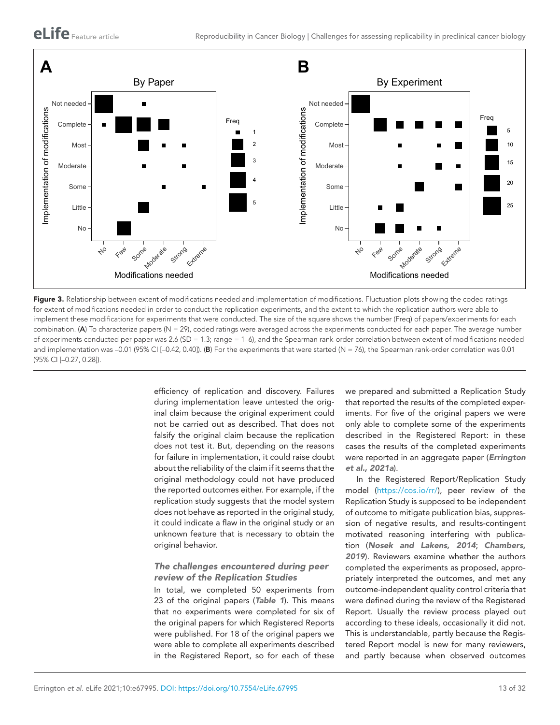

<span id="page-12-0"></span>Figure 3. Relationship between extent of modifications needed and implementation of modifications. Fluctuation plots showing the coded ratings for extent of modifications needed in order to conduct the replication experiments, and the extent to which the replication authors were able to implement these modifications for experiments that were conducted. The size of the square shows the number (Freq) of papers/experiments for each combination. (A) To characterize papers (N = 29), coded ratings were averaged across the experiments conducted for each paper. The average number of experiments conducted per paper was 2.6 (SD = 1.3; range = 1–6), and the Spearman rank-order correlation between extent of modifications needed and implementation was –0.01 (95% CI [–0.42, 0.40]). (B) For the experiments that were started (N = 76), the Spearman rank-order correlation was 0.01 (95% CI [–0.27, 0.28]).

efficiency of replication and discovery. Failures during implementation leave untested the original claim because the original experiment could not be carried out as described. That does not falsify the original claim because the replication does not test it. But, depending on the reasons for failure in implementation, it could raise doubt about the reliability of the claim if it seems that the original methodology could not have produced the reported outcomes either. For example, if the replication study suggests that the model system does not behave as reported in the original study, it could indicate a flaw in the original study or an unknown feature that is necessary to obtain the original behavior.

# *The challenges encountered during peer review of the Replication Studies*

In total, we completed 50 experiments from 23 of the original papers (*[Table 1](#page-2-0)*). This means that no experiments were completed for six of the original papers for which Registered Reports were published. For 18 of the original papers we were able to complete all experiments described in the Registered Report, so for each of these

we prepared and submitted a Replication Study that reported the results of the completed experiments. For five of the original papers we were only able to complete some of the experiments described in the Registered Report: in these cases the results of the completed experiments were reported in an aggregate paper (*[Errington](#page-23-3)  [et al., 2021a](#page-23-3)*).

In the Registered Report/Replication Study model [\(https://cos.io/rr/\)](https://cos.io/rr/), peer review of the Replication Study is supposed to be independent of outcome to mitigate publication bias, suppression of negative results, and results-contingent motivated reasoning interfering with publication (*[Nosek and Lakens, 2014](#page-27-14)*; *[Chambers,](#page-22-11)  [2019](#page-22-11)*). Reviewers examine whether the authors completed the experiments as proposed, appropriately interpreted the outcomes, and met any outcome-independent quality control criteria that were defined during the review of the Registered Report. Usually the review process played out according to these ideals, occasionally it did not. This is understandable, partly because the Registered Report model is new for many reviewers, and partly because when observed outcomes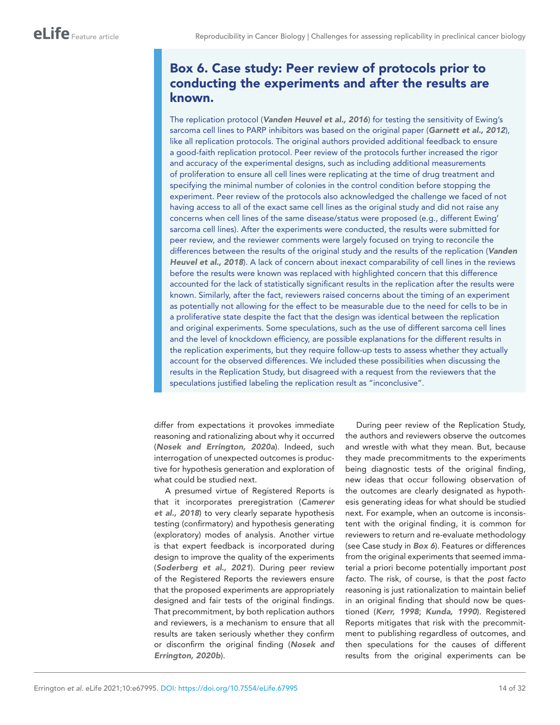# <span id="page-13-0"></span>Box 6. Case study: Peer review of protocols prior to conducting the experiments and after the results are known.

The replication protocol (*[Vanden Heuvel et al., 2016](#page-29-11)*) for testing the sensitivity of Ewing's sarcoma cell lines to PARP inhibitors was based on the original paper (*[Garnett et al., 2012](#page-24-12)*), like all replication protocols. The original authors provided additional feedback to ensure a good-faith replication protocol. Peer review of the protocols further increased the rigor and accuracy of the experimental designs, such as including additional measurements of proliferation to ensure all cell lines were replicating at the time of drug treatment and specifying the minimal number of colonies in the control condition before stopping the experiment. Peer review of the protocols also acknowledged the challenge we faced of not having access to all of the exact same cell lines as the original study and did not raise any concerns when cell lines of the same disease/status were proposed (e.g., different Ewing' sarcoma cell lines). After the experiments were conducted, the results were submitted for peer review, and the reviewer comments were largely focused on trying to reconcile the differences between the results of the original study and the results of the replication (*[Vanden](#page-29-12)  [Heuvel et al., 2018](#page-29-12)*). A lack of concern about inexact comparability of cell lines in the reviews before the results were known was replaced with highlighted concern that this difference accounted for the lack of statistically significant results in the replication after the results were known. Similarly, after the fact, reviewers raised concerns about the timing of an experiment as potentially not allowing for the effect to be measurable due to the need for cells to be in a proliferative state despite the fact that the design was identical between the replication and original experiments. Some speculations, such as the use of different sarcoma cell lines and the level of knockdown efficiency, are possible explanations for the different results in the replication experiments, but they require follow-up tests to assess whether they actually account for the observed differences. We included these possibilities when discussing the results in the Replication Study, but disagreed with a request from the reviewers that the speculations justified labeling the replication result as "inconclusive".

differ from expectations it provokes immediate reasoning and rationalizing about why it occurred (*[Nosek and Errington, 2020a](#page-27-5)*). Indeed, such interrogation of unexpected outcomes is productive for hypothesis generation and exploration of what could be studied next.

A presumed virtue of Registered Reports is that it incorporates preregistration (*[Camerer](#page-22-12)  [et al., 2018](#page-22-12)*) to very clearly separate hypothesis testing (confirmatory) and hypothesis generating (exploratory) modes of analysis. Another virtue is that expert feedback is incorporated during design to improve the quality of the experiments (*[Soderberg et al., 2021](#page-29-14)*). During peer review of the Registered Reports the reviewers ensure that the proposed experiments are appropriately designed and fair tests of the original findings. That precommitment, by both replication authors and reviewers, is a mechanism to ensure that all results are taken seriously whether they confirm or disconfirm the original finding (*[Nosek and](#page-27-15)  [Errington, 2020b](#page-27-15)*).

During peer review of the Replication Study, the authors and reviewers observe the outcomes and wrestle with what they mean. But, because they made precommitments to the experiments being diagnostic tests of the original finding, new ideas that occur following observation of the outcomes are clearly designated as hypothesis generating ideas for what should be studied next. For example, when an outcome is inconsistent with the original finding, it is common for reviewers to return and re-evaluate methodology (see Case study in *[Box 6](#page-13-0)*). Features or differences from the original experiments that seemed immaterial a priori become potentially important *post facto*. The risk, of course, is that the *post facto* reasoning is just rationalization to maintain belief in an original finding that should now be questioned (*[Kerr, 1998](#page-25-16)*; *[Kunda, 1990](#page-26-11)*). Registered Reports mitigates that risk with the precommitment to publishing regardless of outcomes, and then speculations for the causes of different results from the original experiments can be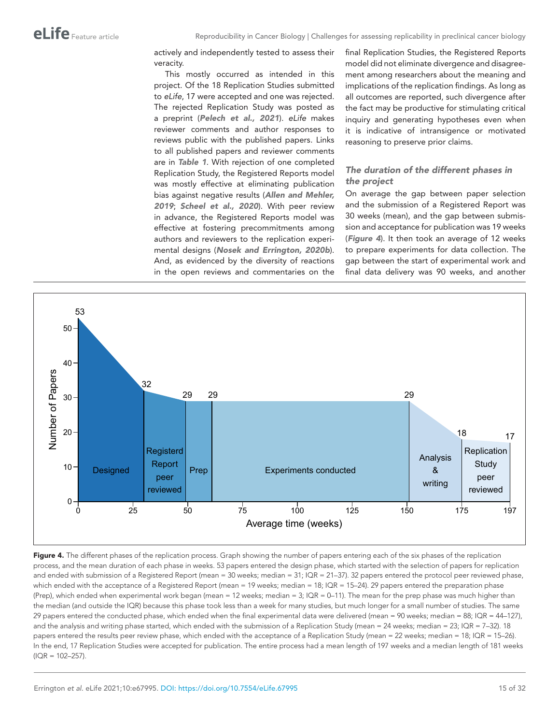actively and independently tested to assess their veracity.

This mostly occurred as intended in this project. Of the 18 Replication Studies submitted to *eLife*, 17 were accepted and one was rejected. The rejected Replication Study was posted as a preprint (*[Pelech et al., 2021](#page-27-6)*). *eLife* makes reviewer comments and author responses to reviews public with the published papers. Links to all published papers and reviewer comments are in *[Table 1](#page-2-0)*. With rejection of one completed Replication Study, the Registered Reports model was mostly effective at eliminating publication bias against negative results (*[Allen and Mehler,](#page-22-13)  [2019](#page-22-13)*; *[Scheel et al., 2020](#page-28-16)*). With peer review in advance, the Registered Reports model was effective at fostering precommitments among authors and reviewers to the replication experimental designs (*[Nosek and Errington, 2020b](#page-27-15)*). And, as evidenced by the diversity of reactions in the open reviews and commentaries on the final Replication Studies, the Registered Reports model did not eliminate divergence and disagreement among researchers about the meaning and implications of the replication findings. As long as all outcomes are reported, such divergence after the fact may be productive for stimulating critical inquiry and generating hypotheses even when it is indicative of intransigence or motivated reasoning to preserve prior claims.

### *The duration of the different phases in the project*

On average the gap between paper selection and the submission of a Registered Report was 30 weeks (mean), and the gap between submission and acceptance for publication was 19 weeks (*[Figure 4](#page-14-0)*). It then took an average of 12 weeks to prepare experiments for data collection. The gap between the start of experimental work and final data delivery was 90 weeks, and another



<span id="page-14-0"></span>Figure 4. The different phases of the replication process. Graph showing the number of papers entering each of the six phases of the replication process, and the mean duration of each phase in weeks. 53 papers entered the design phase, which started with the selection of papers for replication and ended with submission of a Registered Report (mean = 30 weeks; median = 31; IQR = 21–37). 32 papers entered the protocol peer reviewed phase, which ended with the acceptance of a Registered Report (mean = 19 weeks; median = 18; IQR = 15–24). 29 papers entered the preparation phase (Prep), which ended when experimental work began (mean = 12 weeks; median = 3; IQR = 0–11). The mean for the prep phase was much higher than the median (and outside the IQR) because this phase took less than a week for many studies, but much longer for a small number of studies. The same 29 papers entered the conducted phase, which ended when the final experimental data were delivered (mean = 90 weeks; median = 88; IQR = 44–127), and the analysis and writing phase started, which ended with the submission of a Replication Study (mean = 24 weeks; median = 23; IQR = 7-32). 18 papers entered the results peer review phase, which ended with the acceptance of a Replication Study (mean = 22 weeks; median = 18; IQR = 15–26). In the end, 17 Replication Studies were accepted for publication. The entire process had a mean length of 197 weeks and a median length of 181 weeks  $(IOR = 102 - 257).$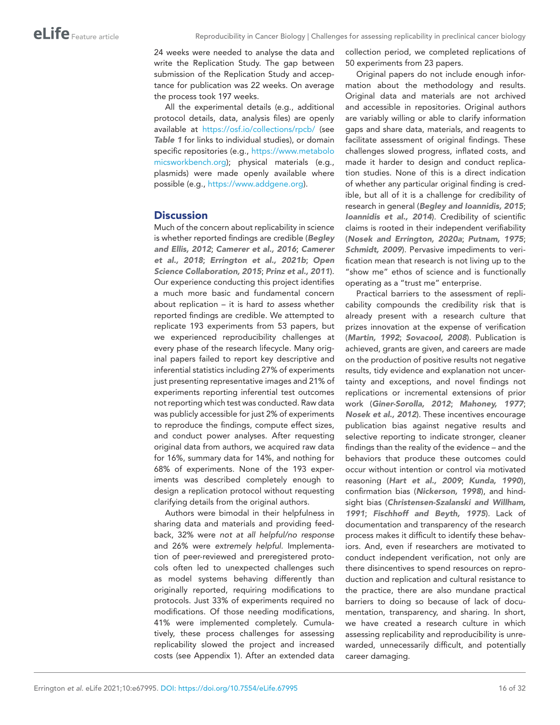24 weeks were needed to analyse the data and write the Replication Study. The gap between submission of the Replication Study and acceptance for publication was 22 weeks. On average the process took 197 weeks.

All the experimental details (e.g., additional protocol details, data, analysis files) are openly available at <https://osf.io/collections/rpcb/>(see *[Table 1](#page-2-0)* for links to individual studies), or domain specific repositories (e.g., [https://www.metabolo](https://www.metabolomicsworkbench.org) [micsworkbench.org](https://www.metabolomicsworkbench.org)); physical materials (e.g., plasmids) were made openly available where possible (e.g., [https://www.addgene.org\)](https://www.addgene.org).

# **Discussion**

Much of the concern about replicability in science is whether reported findings are credible (*[Begley](#page-22-14)  [and Ellis, 2012](#page-22-14)*; *[Camerer et al., 2016](#page-22-15)*; *[Camerer](#page-22-12)  [et al., 2018](#page-22-12)*; *[Errington et al., 2021b](#page-23-1)*; *[Open](#page-27-16)  [Science Collaboration, 2015](#page-27-16)*; *[Prinz et al., 2011](#page-28-17)*). Our experience conducting this project identifies a much more basic and fundamental concern about replication – it is hard *to assess* whether reported findings are credible. We attempted to replicate 193 experiments from 53 papers, but we experienced reproducibility challenges at every phase of the research lifecycle. Many original papers failed to report key descriptive and inferential statistics including 27% of experiments just presenting representative images and 21% of experiments reporting inferential test outcomes not reporting which test was conducted. Raw data was publicly accessible for just 2% of experiments to reproduce the findings, compute effect sizes, and conduct power analyses. After requesting original data from authors, we acquired raw data for 16%, summary data for 14%, and nothing for 68% of experiments. None of the 193 experiments was described completely enough to design a replication protocol without requesting clarifying details from the original authors.

Authors were bimodal in their helpfulness in sharing data and materials and providing feedback, 32% were *not at all helpful/no response* and 26% were *extremely helpful*. Implementation of peer-reviewed and preregistered protocols often led to unexpected challenges such as model systems behaving differently than originally reported, requiring modifications to protocols. Just 33% of experiments required no modifications. Of those needing modifications, 41% were implemented completely. Cumulatively, these process challenges for assessing replicability slowed the project and increased costs (see Appendix 1). After an extended data

collection period, we completed replications of 50 experiments from 23 papers.

Original papers do not include enough information about the methodology and results. Original data and materials are not archived and accessible in repositories. Original authors are variably willing or able to clarify information gaps and share data, materials, and reagents to facilitate assessment of original findings. These challenges slowed progress, inflated costs, and made it harder to design and conduct replication studies. None of this is a direct indication of whether any particular original finding is credible, but all of it is a challenge for credibility of research in general (*[Begley and Ioannidis, 2015](#page-22-16)*; *[Ioannidis et al., 2014](#page-25-17)*). Credibility of scientific claims is rooted in their independent verifiability (*[Nosek and Errington, 2020a](#page-27-5)*; *[Putnam, 1975](#page-28-18)*; *[Schmidt, 2009](#page-28-19)*). Pervasive impediments to verification mean that research is not living up to the "show me" ethos of science and is functionally operating as a "trust me" enterprise.

Practical barriers to the assessment of replicability compounds the credibility risk that is already present with a research culture that prizes innovation at the expense of verification (*[Martin, 1992](#page-26-12)*; *[Sovacool, 2008](#page-29-15)*). Publication is achieved, grants are given, and careers are made on the production of positive results not negative results, tidy evidence and explanation not uncertainty and exceptions, and novel findings not replications or incremental extensions of prior work (*[Giner-Sorolla, 2012](#page-24-14)*; *[Mahoney, 1977](#page-26-13)*; *[Nosek et al., 2012](#page-27-17)*). These incentives encourage publication bias against negative results and selective reporting to indicate stronger, cleaner findings than the reality of the evidence – and the behaviors that produce these outcomes could occur without intention or control via motivated reasoning (*[Hart et al., 2009](#page-24-15)*; *[Kunda, 1990](#page-26-11)*), confirmation bias (*[Nickerson, 1998](#page-27-18)*), and hindsight bias (*[Christensen-Szalanski and Willham,](#page-23-15) [1991](#page-23-15)*; *[Fischhoff and Beyth, 1975](#page-24-16)*). Lack of documentation and transparency of the research process makes it difficult to identify these behaviors. And, even if researchers are motivated to conduct independent verification, not only are there disincentives to spend resources on reproduction and replication and cultural resistance to the practice, there are also mundane practical barriers to doing so because of lack of documentation, transparency, and sharing. In short, we have created a research culture in which assessing replicability and reproducibility is unrewarded, unnecessarily difficult, and potentially career damaging.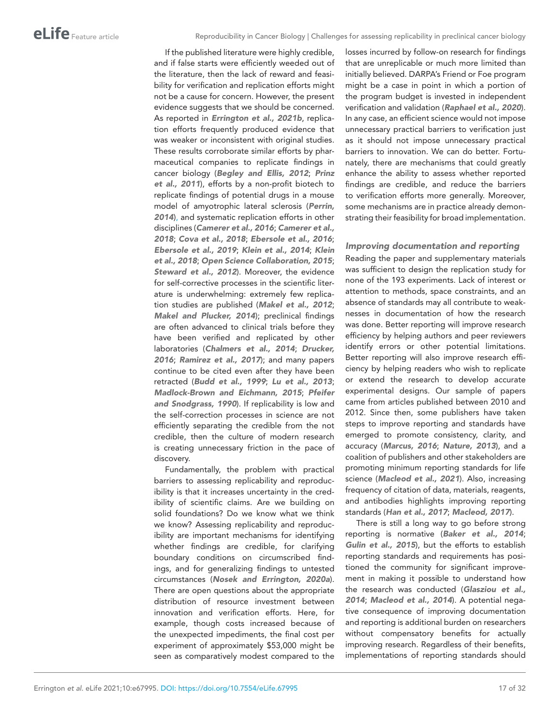If the published literature were highly credible, and if false starts were efficiently weeded out of the literature, then the lack of reward and feasibility for verification and replication efforts might not be a cause for concern. However, the present evidence suggests that we should be concerned. As reported in *[Errington et al., 2021b](#page-23-1)*, replication efforts frequently produced evidence that was weaker or inconsistent with original studies. These results corroborate similar efforts by pharmaceutical companies to replicate findings in cancer biology (*[Begley and Ellis, 2012](#page-22-14)*; *[Prinz](#page-28-17)  [et al., 2011](#page-28-17)*), efforts by a non-profit biotech to replicate findings of potential drugs in a mouse model of amyotrophic lateral sclerosis (*[Perrin,](#page-27-19)  [2014](#page-27-19)*[\),](https://www.zotero.org/google-docs/?gHSYly) and systematic replication efforts in other disciplines (*[Camerer et al., 2016](#page-22-15)*; *[Camerer et al.,](#page-22-12)  [2018](#page-22-12)*; *[Cova et al., 2018](#page-23-16)*; *[Ebersole et al., 2016](#page-23-17)*; *[Ebersole et al., 2019](#page-23-18)*; *[Klein et al., 2014](#page-25-18)*; *[Klein](#page-26-14)  [et al., 2018](#page-26-14)*; *[Open Science Collaboration, 2015](#page-27-16)*; *[Steward et al., 2012](#page-29-16)*). Moreover, the evidence for self-corrective processes in the scientific literature is underwhelming: extremely few replication studies are published (*[Makel et al., 2012](#page-26-15)*; *[Makel and Plucker, 2014](#page-26-16)*); preclinical findings are often advanced to clinical trials before they have been verified and replicated by other laboratories (*[Chalmers et al., 2014](#page-22-17)*; *[Drucker,](#page-23-19)  [2016](#page-23-19)*; *[Ramirez et al., 2017](#page-28-20)*); and many papers continue to be cited even after they have been retracted (*[Budd et al., 1999](#page-22-18)*; *[Lu et al., 2013](#page-26-17)*; *[Madlock-Brown and Eichmann, 2015](#page-26-18)*; *[Pfeifer](#page-27-20)  [and Snodgrass, 1990](#page-27-20)*). If replicability is low and the self-correction processes in science are not efficiently separating the credible from the not credible, then the culture of modern research is creating unnecessary friction in the pace of discovery.

Fundamentally, the problem with practical barriers to assessing replicability and reproducibility is that it increases uncertainty in the credibility of scientific claims. Are we building on solid foundations? Do we know what we think we know? Assessing replicability and reproducibility are important mechanisms for identifying whether findings are credible, for clarifying boundary conditions on circumscribed findings, and for generalizing findings to untested circumstances (*[Nosek and Errington, 2020a](#page-27-5)*). There are open questions about the appropriate distribution of resource investment between innovation and verification efforts. Here, for example, though costs increased because of the unexpected impediments, the final cost per experiment of approximately \$53,000 might be seen as comparatively modest compared to the

losses incurred by follow-on research for findings that are unreplicable or much more limited than initially believed. DARPA's Friend or Foe program might be a case in point in which a portion of the program budget is invested in independent verification and validation (*[Raphael et al., 2020](#page-28-21)*). In any case, an efficient science would not impose unnecessary practical barriers to verification just as it should not impose unnecessary practical barriers to innovation. We can do better. Fortunately, there are mechanisms that could greatly enhance the ability to assess whether reported findings are credible, and reduce the barriers to verification efforts more generally. Moreover, some mechanisms are in practice already demonstrating their feasibility for broad implementation.

#### *Improving documentation and reporting*

Reading the paper and supplementary materials was sufficient to design the replication study for none of the 193 experiments. Lack of interest or attention to methods, space constraints, and an absence of standards may all contribute to weaknesses in documentation of how the research was done. Better reporting will improve research efficiency by helping authors and peer reviewers identify errors or other potential limitations. Better reporting will also improve research efficiency by helping readers who wish to replicate or extend the research to develop accurate experimental designs. Our sample of papers came from articles published between 2010 and 2012. Since then, some publishers have taken steps to improve reporting and standards have emerged to promote consistency, clarity, and accuracy (*[Marcus, 2016](#page-26-19)*; *[Nature, 2013](#page-27-21)*), and a coalition of publishers and other stakeholders are promoting minimum reporting standards for life science (*[Macleod et al., 2021](#page-26-20)*). Also, increasing frequency of citation of data, materials, reagents, and antibodies highlights improving reporting standards (*[Han et al., 2017](#page-24-17)*; *[Macleod, 2017](#page-26-21)*).

There is still a long way to go before strong reporting is normative (*[Baker et al., 2014](#page-22-19)*; *[Gulin et al., 2015](#page-24-18)*), but the efforts to establish reporting standards and requirements has positioned the community for significant improvement in making it possible to understand how the research was conducted (*[Glasziou et al.,](#page-24-19)  [2014](#page-24-19)*; *[Macleod et al., 2014](#page-26-22)*). A potential negative consequence of improving documentation and reporting is additional burden on researchers without compensatory benefits for actually improving research. Regardless of their benefits, implementations of reporting standards should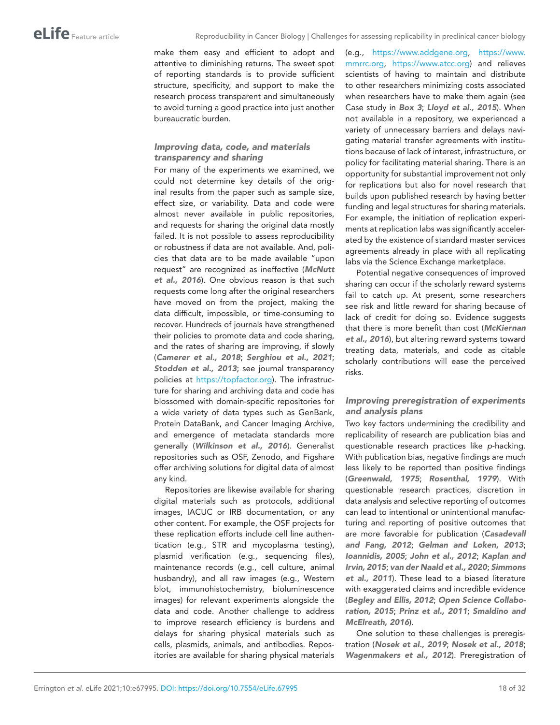make them easy and efficient to adopt and attentive to diminishing returns. The sweet spot of reporting standards is to provide sufficient structure, specificity, and support to make the research process transparent and simultaneously to avoid turning a good practice into just another bureaucratic burden.

# *Improving data, code, and materials transparency and sharing*

For many of the experiments we examined, we could not determine key details of the original results from the paper such as sample size, effect size, or variability. Data and code were almost never available in public repositories, and requests for sharing the original data mostly failed. It is not possible to assess reproducibility or robustness if data are not available. And, policies that data are to be made available "upon request" are recognized as ineffective (*[McNutt](#page-27-22)  [et al., 2016](#page-27-22)*). One obvious reason is that such requests come long after the original researchers have moved on from the project, making the data difficult, impossible, or time-consuming to recover. Hundreds of journals have strengthened their policies to promote data and code sharing, and the rates of sharing are improving, if slowly (*[Camerer et al., 2018](#page-22-12)*; *[Serghiou et al., 2021](#page-28-22)*; *[Stodden et al., 2013](#page-29-17)*; see journal transparency policies at <https://topfactor.org>). The infrastructure for sharing and archiving data and code has blossomed with domain-specific repositories for a wide variety of data types such as GenBank, Protein DataBank, and Cancer Imaging Archive, and emergence of metadata standards more generally (*[Wilkinson et al., 2016](#page-30-7)*). Generalist repositories such as OSF, Zenodo, and Figshare offer archiving solutions for digital data of almost any kind.

Repositories are likewise available for sharing digital materials such as protocols, additional images, IACUC or IRB documentation, or any other content. For example, the OSF projects for these replication efforts include cell line authentication (e.g., STR and mycoplasma testing), plasmid verification (e.g., sequencing files), maintenance records (e.g., cell culture, animal husbandry), and all raw images (e.g., Western blot, immunohistochemistry, bioluminescence images) for relevant experiments alongside the data and code. Another challenge to address to improve research efficiency is burdens and delays for sharing physical materials such as cells, plasmids, animals, and antibodies. Repositories are available for sharing physical materials

(e.g., [https://www.addgene.org,](https://www.addgene.org) [https://www.](https://www.mmrrc.org) [mmrrc.org,](https://www.mmrrc.org) [https://www.atcc.org\)](https://www.atcc.org) and relieves scientists of having to maintain and distribute to other researchers minimizing costs associated when researchers have to make them again (see Case study in *[Box 3](#page-10-0)*; *[Lloyd et al., 2015](#page-26-23)*). When not available in a repository, we experienced a variety of unnecessary barriers and delays navigating material transfer agreements with institutions because of lack of interest, infrastructure, or policy for facilitating material sharing. There is an opportunity for substantial improvement not only for replications but also for novel research that builds upon published research by having better funding and legal structures for sharing materials. For example, the initiation of replication experiments at replication labs was significantly accelerated by the existence of standard master services agreements already in place with all replicating labs via the Science Exchange marketplace.

Potential negative consequences of improved sharing can occur if the scholarly reward systems fail to catch up. At present, some researchers see risk and little reward for sharing because of lack of credit for doing so. Evidence suggests that there is more benefit than cost (*[McKiernan](#page-26-24) [et al., 2016](#page-26-24)*), but altering reward systems toward treating data, materials, and code as citable scholarly contributions will ease the perceived risks.

# *Improving preregistration of experiments and analysis plans*

Two key factors undermining the credibility and replicability of research are publication bias and questionable research practices like *p*-hacking. With publication bias, negative findings are much less likely to be reported than positive findings (*[Greenwald, 1975](#page-24-20)*; *[Rosenthal, 1979](#page-28-0)*). With questionable research practices, discretion in data analysis and selective reporting of outcomes can lead to intentional or unintentional manufacturing and reporting of positive outcomes that are more favorable for publication (*[Casadevall](#page-22-20) [and Fang, 2012](#page-22-20)*; *[Gelman and Loken, 2013](#page-24-21)*; *[Ioannidis, 2005](#page-25-0)*; *[John et al., 2012](#page-25-19)*; *[Kaplan and](#page-25-20)  [Irvin, 2015](#page-25-20)*; *[van der Naald et al., 2020](#page-29-18)*; *[Simmons](#page-29-19)  [et al., 2011](#page-29-19)*). These lead to a biased literature with exaggerated claims and incredible evidence (*[Begley and Ellis, 2012](#page-22-14)*; *[Open Science Collabo](#page-27-16)[ration, 2015](#page-27-16)*; *[Prinz et al., 2011](#page-28-17)*; *[Smaldino and](#page-29-20)  [McElreath, 2016](#page-29-20)*).

One solution to these challenges is preregistration (*[Nosek et al., 2019](#page-27-23)*; *[Nosek et al., 2018](#page-27-24)*; *[Wagenmakers et al., 2012](#page-29-21)*). Preregistration of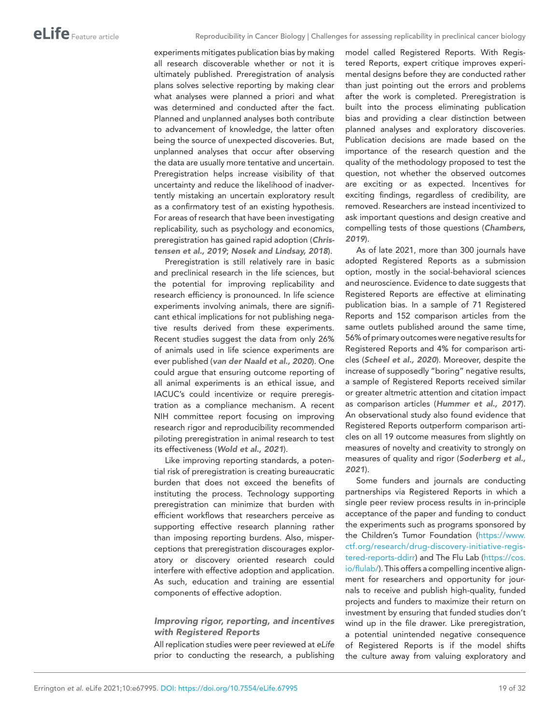experiments mitigates publication bias by making all research discoverable whether or not it is ultimately published. Preregistration of analysis plans solves selective reporting by making clear what analyses were planned a priori and what was determined and conducted after the fact. Planned and unplanned analyses both contribute to advancement of knowledge, the latter often being the source of unexpected discoveries. But, unplanned analyses that occur after observing the data are usually more tentative and uncertain. Preregistration helps increase visibility of that uncertainty and reduce the likelihood of inadvertently mistaking an uncertain exploratory result as a confirmatory test of an existing hypothesis. For areas of research that have been investigating replicability, such as psychology and economics, preregistration has gained rapid adoption (*[Chris](#page-23-20)[tensen et al., 2019](#page-23-20)*; *[Nosek and Lindsay, 2018](#page-27-25)*).

Preregistration is still relatively rare in basic and preclinical research in the life sciences, but the potential for improving replicability and research efficiency is pronounced. In life science experiments involving animals, there are significant ethical implications for not publishing negative results derived from these experiments. Recent studies suggest the data from only 26% of animals used in life science experiments are ever published (*[van der Naald et al., 2020](#page-29-18)*). One could argue that ensuring outcome reporting of all animal experiments is an ethical issue, and IACUC's could incentivize or require preregistration as a compliance mechanism. A recent NIH committee report focusing on improving research rigor and reproducibility recommended piloting preregistration in animal research to test its effectiveness (*[Wold et al., 2021](#page-30-8)*).

Like improving reporting standards, a potential risk of preregistration is creating bureaucratic burden that does not exceed the benefits of instituting the process. Technology supporting preregistration can minimize that burden with efficient workflows that researchers perceive as supporting effective research planning rather than imposing reporting burdens. Also, misperceptions that preregistration discourages exploratory or discovery oriented research could interfere with effective adoption and application. As such, education and training are essential components of effective adoption.

### *Improving rigor, reporting, and incentives with Registered Reports*

All replication studies were peer reviewed at *eLife* prior to conducting the research, a publishing

model called Registered Reports. With Registered Reports, expert critique improves experimental designs before they are conducted rather than just pointing out the errors and problems after the work is completed. Preregistration is built into the process eliminating publication bias and providing a clear distinction between planned analyses and exploratory discoveries. Publication decisions are made based on the importance of the research question and the quality of the methodology proposed to test the question, not whether the observed outcomes are exciting or as expected. Incentives for exciting findings, regardless of credibility, are removed. Researchers are instead incentivized to ask important questions and design creative and compelling tests of those questions (*[Chambers,](#page-22-11)  [2019](#page-22-11)*).

As of late 2021, more than 300 journals have adopted Registered Reports as a submission option, mostly in the social-behavioral sciences and neuroscience. Evidence to date suggests that Registered Reports are effective at eliminating publication bias. In a sample of 71 Registered Reports and 152 comparison articles from the same outlets published around the same time, 56% of primary outcomes were negative results for Registered Reports and 4% for comparison articles (*[Scheel et al., 2020](#page-28-16)*). Moreover, despite the increase of supposedly "boring" negative results, a sample of Registered Reports received similar or greater altmetric attention and citation impact as comparison articles (*[Hummer et al., 2017](#page-25-21)*). An observational study also found evidence that Registered Reports outperform comparison articles on all 19 outcome measures from slightly on measures of novelty and creativity to strongly on measures of quality and rigor (*[Soderberg et al.,](#page-29-14)  [2021](#page-29-14)*).

Some funders and journals are conducting partnerships via Registered Reports in which a single peer review process results in in-principle acceptance of the paper and funding to conduct the experiments such as programs sponsored by the Children's Tumor Foundation [\(https://www.](https://www.ctf.org/research/drug-discovery-initiative-registered-reports-ddirr) [ctf.org/research/drug-discovery-initiative-regis](https://www.ctf.org/research/drug-discovery-initiative-registered-reports-ddirr)[tered-reports-ddirr\)](https://www.ctf.org/research/drug-discovery-initiative-registered-reports-ddirr) and The Flu Lab [\(https://cos.](https://cos.io/flulab/) [io/flulab/](https://cos.io/flulab/)). This offers a compelling incentive alignment for researchers and opportunity for journals to receive and publish high-quality, funded projects and funders to maximize their return on investment by ensuring that funded studies don't wind up in the file drawer. Like preregistration, a potential unintended negative consequence of Registered Reports is if the model shifts the culture away from valuing exploratory and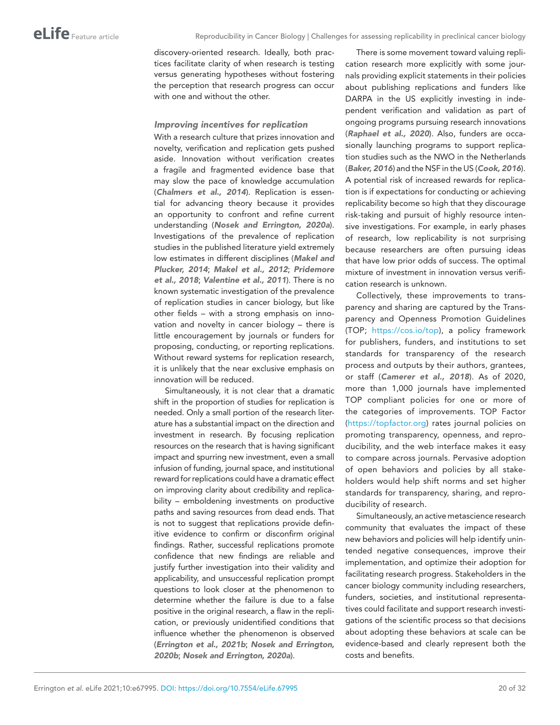discovery-oriented research. Ideally, both practices facilitate clarity of when research is testing versus generating hypotheses without fostering the perception that research progress can occur with one and without the other.

#### *Improving incentives for replication*

With a research culture that prizes innovation and novelty, verification and replication gets pushed aside. Innovation without verification creates a fragile and fragmented evidence base that may slow the pace of knowledge accumulation (*[Chalmers et al., 2014](#page-22-17)*). Replication is essential for advancing theory because it provides an opportunity to confront and refine current understanding (*[Nosek and Errington, 2020a](#page-27-5)*). Investigations of the prevalence of replication studies in the published literature yield extremely low estimates in different disciplines (*[Makel and](#page-26-16)  [Plucker, 2014](#page-26-16)*; *[Makel et al., 2012](#page-26-15)*; *[Pridemore](#page-28-23)  [et al., 2018](#page-28-23)*; *[Valentine et al., 2011](#page-29-22)*). There is no known systematic investigation of the prevalence of replication studies in cancer biology, but like other fields – with a strong emphasis on innovation and novelty in cancer biology – there is little encouragement by journals or funders for proposing, conducting, or reporting replications. Without reward systems for replication research, it is unlikely that the near exclusive emphasis on innovation will be reduced.

Simultaneously, it is not clear that a dramatic shift in the proportion of studies for replication is needed. Only a small portion of the research literature has a substantial impact on the direction and investment in research. By focusing replication resources on the research that is having significant impact and spurring new investment, even a small infusion of funding, journal space, and institutional reward for replications could have a dramatic effect on improving clarity about credibility and replicability – emboldening investments on productive paths and saving resources from dead ends. That is not to suggest that replications provide definitive evidence to confirm or disconfirm original findings. Rather, successful replications promote confidence that new findings are reliable and justify further investigation into their validity and applicability, and unsuccessful replication prompt questions to look closer at the phenomenon to determine whether the failure is due to a false positive in the original research, a flaw in the replication, or previously unidentified conditions that influence whether the phenomenon is observed (*[Errington et al., 2021b](#page-23-1)*; *[Nosek and Errington,](#page-27-15)  [2020b](#page-27-15)*; *[Nosek and Errington, 2020a](#page-27-5)*).

There is some movement toward valuing replication research more explicitly with some journals providing explicit statements in their policies about publishing replications and funders like DARPA in the US explicitly investing in independent verification and validation as part of ongoing programs pursuing research innovations (*[Raphael et al., 2020](#page-28-21)*). Also, funders are occasionally launching programs to support replication studies such as the NWO in the Netherlands (*[Baker, 2016](#page-22-21)*) and the NSF in the US (*[Cook, 2016](#page-23-21)*). A potential risk of increased rewards for replication is if expectations for conducting or achieving replicability become so high that they discourage risk-taking and pursuit of highly resource intensive investigations. For example, in early phases of research, low replicability is not surprising because researchers are often pursuing ideas that have low prior odds of success. The optimal mixture of investment in innovation versus verification research is unknown.

Collectively, these improvements to transparency and sharing are captured by the Transparency and Openness Promotion Guidelines (TOP; [https://cos.io/top\)](https://cos.io/top), a policy framework for publishers, funders, and institutions to set standards for transparency of the research process and outputs by their authors, grantees, or staff (*[Camerer et al., 2018](#page-22-12)*). As of 2020, more than 1,000 journals have implemented TOP compliant policies for one or more of the categories of improvements. TOP Factor [\(https://topfactor.org](https://topfactor.org)) rates journal policies on promoting transparency, openness, and reproducibility, and the web interface makes it easy to compare across journals. Pervasive adoption of open behaviors and policies by all stakeholders would help shift norms and set higher standards for transparency, sharing, and reproducibility of research.

Simultaneously, an active metascience research community that evaluates the impact of these new behaviors and policies will help identify unintended negative consequences, improve their implementation, and optimize their adoption for facilitating research progress. Stakeholders in the cancer biology community including researchers, funders, societies, and institutional representatives could facilitate and support research investigations of the scientific process so that decisions about adopting these behaviors at scale can be evidence-based and clearly represent both the costs and benefits.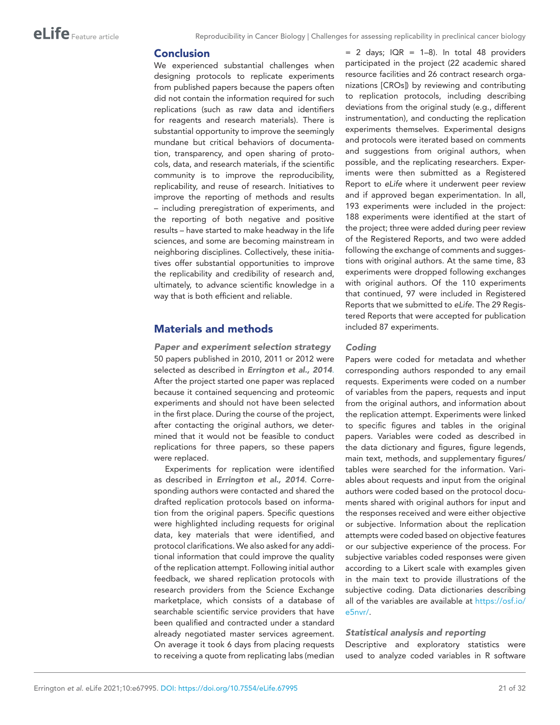# Conclusion

We experienced substantial challenges when designing protocols to replicate experiments from published papers because the papers often did not contain the information required for such replications (such as raw data and identifiers for reagents and research materials). There is substantial opportunity to improve the seemingly mundane but critical behaviors of documentation, transparency, and open sharing of protocols, data, and research materials, if the scientific community is to improve the reproducibility, replicability, and reuse of research. Initiatives to improve the reporting of methods and results – including preregistration of experiments, and the reporting of both negative and positive results – have started to make headway in the life sciences, and some are becoming mainstream in neighboring disciplines. Collectively, these initiatives offer substantial opportunities to improve the replicability and credibility of research and, ultimately, to advance scientific knowledge in a way that is both efficient and reliable.

# Materials and methods

*Paper and experiment selection strategy* 50 papers published in 2010, 2011 or 2012 were selected as described in *[Errington et al., 2014](#page-23-0)*[.](https://www.zotero.org/google-docs/?Vuew3x) After the project started one paper was replaced because it contained sequencing and proteomic experiments and should not have been selected in the first place. During the course of the project, after contacting the original authors, we determined that it would not be feasible to conduct replications for three papers, so these papers were replaced.

Experiments for replication were identified as described in *[Errington et al., 2014](#page-23-0)*. Corresponding authors were contacted and shared the drafted replication protocols based on information from the original papers. Specific questions were highlighted including requests for original data, key materials that were identified, and protocol clarifications. We also asked for any additional information that could improve the quality of the replication attempt. Following initial author feedback, we shared replication protocols with research providers from the Science Exchange marketplace, which consists of a database of searchable scientific service providers that have been qualified and contracted under a standard already negotiated master services agreement. On average it took 6 days from placing requests to receiving a quote from replicating labs (median

 $= 2$  days; IQR  $= 1-8$ ). In total 48 providers participated in the project (22 academic shared resource facilities and 26 contract research organizations [CROs]) by reviewing and contributing to replication protocols, including describing deviations from the original study (e.g., different instrumentation), and conducting the replication experiments themselves. Experimental designs and protocols were iterated based on comments and suggestions from original authors, when possible, and the replicating researchers. Experiments were then submitted as a Registered Report to *eLife* where it underwent peer review and if approved began experimentation. In all, 193 experiments were included in the project: 188 experiments were identified at the start of the project; three were added during peer review of the Registered Reports, and two were added following the exchange of comments and suggestions with original authors. At the same time, 83 experiments were dropped following exchanges with original authors. Of the 110 experiments that continued, 97 were included in Registered Reports that we submitted to *eLife*. The 29 Registered Reports that were accepted for publication included 87 experiments.

#### *Coding*

Papers were coded for metadata and whether corresponding authors responded to any email requests. Experiments were coded on a number of variables from the papers, requests and input from the original authors, and information about the replication attempt. Experiments were linked to specific figures and tables in the original papers. Variables were coded as described in the data dictionary and figures, figure legends, main text, methods, and supplementary figures/ tables were searched for the information. Variables about requests and input from the original authors were coded based on the protocol documents shared with original authors for input and the responses received and were either objective or subjective. Information about the replication attempts were coded based on objective features or our subjective experience of the process. For subjective variables coded responses were given according to a Likert scale with examples given in the main text to provide illustrations of the subjective coding. Data dictionaries describing all of the variables are available at [https://osf.io/](https://osf.io/e5nvr/) [e5nvr/.](https://osf.io/e5nvr/)

### *Statistical analysis and reporting*

Descriptive and exploratory statistics were used to analyze coded variables in R software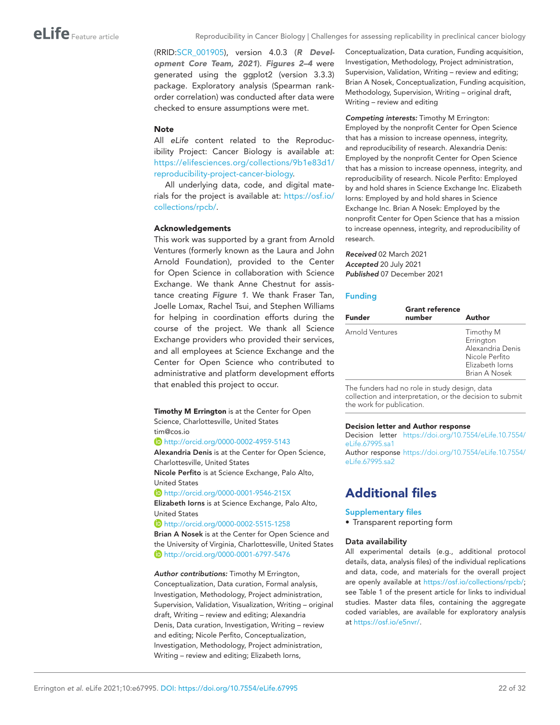(RRID:[SCR\\_001905\)](https://identifiers.org/RRID/RRID:SCR_001905), version 4.0.3 (*[R Devel](#page-28-24)[opment Core Team, 2021](#page-28-24)*). *[Figures 2–4](#page-9-0)* were generated using the ggplot2 (version 3.3.3) package. Exploratory analysis (Spearman rankorder correlation) was conducted after data were checked to ensure assumptions were met.

#### **Note**

All *eLife* content related to the Reproducibility Project: Cancer Biology is available at: [https://elifesciences.org/collections/9b1e83d1/](https://elifesciences.org/collections/9b1e83d1/reproducibility-project-cancer-biology) [reproducibility-project-cancer-biology](https://elifesciences.org/collections/9b1e83d1/reproducibility-project-cancer-biology).

All underlying data, code, and digital materials for the project is available at: [https://osf.io/](https://osf.io/collections/rpcb/) [collections/rpcb/.](https://osf.io/collections/rpcb/)

#### Acknowledgements

This work was supported by a grant from Arnold Ventures (formerly known as the Laura and John Arnold Foundation), provided to the Center for Open Science in collaboration with Science Exchange. We thank Anne Chestnut for assistance creating *[Figure 1](#page-6-0)*. We thank Fraser Tan, Joelle Lomax, Rachel Tsui, and Stephen Williams for helping in coordination efforts during the course of the project. We thank all Science Exchange providers who provided their services, and all employees at Science Exchange and the Center for Open Science who contributed to administrative and platform development efforts that enabled this project to occur.

Timothy M Errington is at the Center for Open Science, Charlottesville, United States tim@cos.io

http://orcid.org/0000-0002-4959-5143

Alexandria Denis is at the Center for Open Science, Charlottesville, United States

Nicole Perfito is at Science Exchange, Palo Alto, United States

http://orcid.org/0000-0001-9546-215X

Elizabeth Iorns is at Science Exchange, Palo Alto, United States

http://orcid.org/0000-0002-5515-1258

Brian A Nosek is at the Center for Open Science and the University of Virginia, Charlottesville, United States http://orcid.org/0000-0001-6797-5476

*Author contributions:* Timothy M Errington, Conceptualization, Data curation, Formal analysis, Investigation, Methodology, Project administration, Supervision, Validation, Visualization, Writing – original draft, Writing – review and editing; Alexandria Denis, Data curation, Investigation, Writing – review and editing; Nicole Perfito, Conceptualization, Investigation, Methodology, Project administration, Writing – review and editing; Elizabeth Iorns,

Conceptualization, Data curation, Funding acquisition, Investigation, Methodology, Project administration, Supervision, Validation, Writing – review and editing; Brian A Nosek, Conceptualization, Funding acquisition, Methodology, Supervision, Writing – original draft, Writing – review and editing

<span id="page-21-0"></span>*Competing interests:* Timothy M Errington: Employed by the nonprofit Center for Open Science that has a mission to increase openness, integrity, and reproducibility of research. Alexandria Denis: Employed by the nonprofit Center for Open Science that has a mission to increase openness, integrity, and reproducibility of research. Nicole Perfito: Employed by and hold shares in Science Exchange Inc. Elizabeth Iorns: Employed by and hold shares in Science Exchange Inc. Brian A Nosek: Employed by the nonprofit Center for Open Science that has a mission to increase openness, integrity, and reproducibility of research.

*Received* 02 March 2021 *Accepted* 20 July 2021 *Published* 07 December 2021

#### <span id="page-21-1"></span>Funding

| <b>Funder</b>   | <b>Grant reference</b><br>number | Author                                                                                           |
|-----------------|----------------------------------|--------------------------------------------------------------------------------------------------|
| Arnold Ventures |                                  | Timothy M<br>Errington<br>Alexandria Denis<br>Nicole Perfito<br>Elizabeth Iorns<br>Brian A Nosek |

The funders had no role in study design, data collection and interpretation, or the decision to submit the work for publication.

#### Decision letter and Author response

Decision letter [https://doi.org/10.7554/eLife.10.7554/](https://doi.org/10.7554/eLife.10.7554/eLife.67995.sa1) [eLife.67995.sa1](https://doi.org/10.7554/eLife.10.7554/eLife.67995.sa1)

Author response [https://doi.org/10.7554/eLife.10.7554/](https://doi.org/10.7554/eLife.10.7554/eLife.67995.sa2) [eLife.67995.sa2](https://doi.org/10.7554/eLife.10.7554/eLife.67995.sa2)

# Additional files

#### Supplementary files

• Transparent reporting form

#### Data availability

All experimental details (e.g., additional protocol details, data, analysis files) of the individual replications and data, code, and materials for the overall project are openly available at [https://osf.io/collections/rpcb/;](https://osf.io/collections/rpcb/) see Table 1 of the present article for links to individual studies. Master data files, containing the aggregate coded variables, are available for exploratory analysis at [https://osf.io/e5nvr/.](https://osf.io/e5nvr/)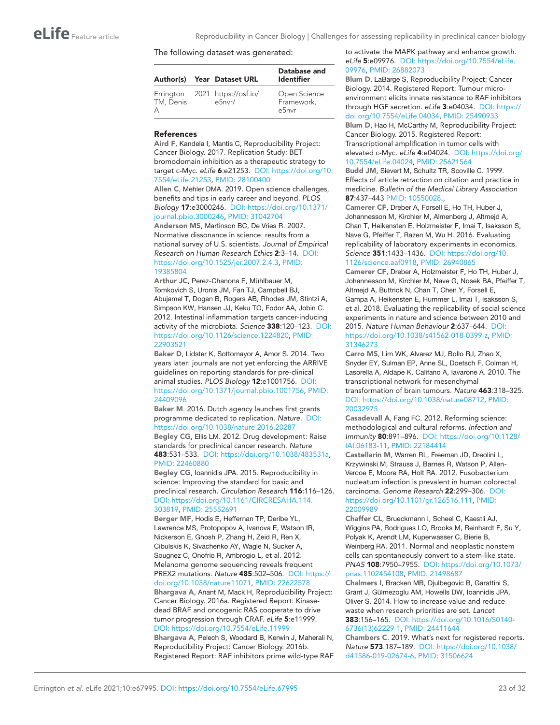#### The following dataset was generated:

|                | Author(s) Year Dataset URL               | Database and<br><b>Identifier</b>   |
|----------------|------------------------------------------|-------------------------------------|
| TM, Denis<br>А | Errington 2021 https://osf.io/<br>e5nvr/ | Open Science<br>Framework,<br>e5nvr |

#### References

<span id="page-22-4"></span>Aird F, Kandela I, Mantis C, Reproducibility Project: Cancer Biology. 2017. Replication Study: BET bromodomain inhibition as a therapeutic strategy to target c-Myc. *eLife* 6:e21253. DOI: [https://doi.org/10.](https://doi.org/10.7554/eLife.21253) [7554/eLife.21253](https://doi.org/10.7554/eLife.21253), PMID: [28100400](http://www.ncbi.nlm.nih.gov/pubmed/28100400) Allen C, Mehler DMA. 2019. Open science challenges, benefits and tips in early career and beyond. *PLOS* 

<span id="page-22-13"></span>*Biology* 17:e3000246. DOI: [https://doi.org/10.1371/](https://doi.org/10.1371/journal.pbio.3000246) [journal.pbio.3000246](https://doi.org/10.1371/journal.pbio.3000246), PMID: [31042704](http://www.ncbi.nlm.nih.gov/pubmed/31042704)

<span id="page-22-0"></span>Anderson MS, Martinson BC, De Vries R. 2007. Normative dissonance in science: results from a national survey of U.S. scientists. *Journal of Empirical Research on Human Research Ethics* 2:3–14. DOI: <https://doi.org/10.1525/jer.2007.2.4.3>, PMID: [19385804](http://www.ncbi.nlm.nih.gov/pubmed/19385804)

<span id="page-22-7"></span>Arthur JC, Perez-Chanona E, Mühlbauer M, Tomkovich S, Uronis JM, Fan TJ, Campbell BJ, Abujamel T, Dogan B, Rogers AB, Rhodes JM, Stintzi A, Simpson KW, Hansen JJ, Keku TO, Fodor AA, Jobin C. 2012. Intestinal inflammation targets cancer-inducing activity of the microbiota. *Science* 338:120–123. DOI: [https://doi.org/10.1126/science.1224820,](https://doi.org/10.1126/science.1224820) PMID: [22903521](http://www.ncbi.nlm.nih.gov/pubmed/22903521)

<span id="page-22-19"></span>Baker D, Lidster K, Sottomayor A, Amor S. 2014. Two years later: journals are not yet enforcing the ARRIVE guidelines on reporting standards for pre-clinical animal studies. *PLOS Biology* 12:e1001756. DOI: <https://doi.org/10.1371/journal.pbio.1001756>, PMID: [24409096](http://www.ncbi.nlm.nih.gov/pubmed/24409096)

<span id="page-22-21"></span>Baker M. 2016. Dutch agency launches first grants programme dedicated to replication. *Nature*. DOI: <https://doi.org/10.1038/nature.2016.20287> Begley CG, Ellis LM. 2012. Drug development: Raise standards for preclinical cancer research. *Nature*

<span id="page-22-14"></span>483:531–533. DOI: [https://doi.org/10.1038/483531a,](https://doi.org/10.1038/483531a) PMID: [22460880](http://www.ncbi.nlm.nih.gov/pubmed/22460880)

<span id="page-22-16"></span>Begley CG, Ioannidis JPA. 2015. Reproducibility in science: Improving the standard for basic and preclinical research. *Circulation Research* 116:116–126. DOI: [https://doi.org/10.1161/CIRCRESAHA.114.](https://doi.org/10.1161/CIRCRESAHA.114.303819) [303819](https://doi.org/10.1161/CIRCRESAHA.114.303819), PMID: [25552691](http://www.ncbi.nlm.nih.gov/pubmed/25552691)

<span id="page-22-8"></span>Berger MF, Hodis E, Heffernan TP, Deribe YL, Lawrence MS, Protopopov A, Ivanova E, Watson IR, Nickerson E, Ghosh P, Zhang H, Zeid R, Ren X, Cibulskis K, Sivachenko AY, Wagle N, Sucker A, Sougnez C, Onofrio R, Ambrogio L, et al. 2012. Melanoma genome sequencing reveals frequent PREX2 mutations. *Nature* 485:502–506. DOI: [https://](https://doi.org/10.1038/nature11071) [doi.org/10.1038/nature11071,](https://doi.org/10.1038/nature11071) PMID: [22622578](http://www.ncbi.nlm.nih.gov/pubmed/22622578) Bhargava A, Anant M, Mack H, Reproducibility Project: Cancer Biology. 2016a. Registered Report: Kinasedead BRAF and oncogenic RAS cooperate to drive

<span id="page-22-1"></span>tumor progression through CRAF. *eLife* 5:e11999. DOI: <https://doi.org/10.7554/eLife.11999>

<span id="page-22-2"></span>Bhargava A, Pelech S, Woodard B, Kerwin J, Maherali N, Reproducibility Project: Cancer Biology. 2016b. Registered Report: RAF inhibitors prime wild-type RAF

to activate the MAPK pathway and enhance growth. *eLife* 5:e09976. DOI: [https://doi.org/10.7554/eLife.](https://doi.org/10.7554/eLife.09976) [09976,](https://doi.org/10.7554/eLife.09976) PMID: [26882073](http://www.ncbi.nlm.nih.gov/pubmed/26882073)

<span id="page-22-6"></span>Blum D, LaBarge S, Reproducibility Project: Cancer Biology. 2014. Registered Report: Tumour microenvironment elicits innate resistance to RAF inhibitors through HGF secretion. *eLife* 3:e04034. DOI: [https://](https://doi.org/10.7554/eLife.04034) [doi.org/10.7554/eLife.04034](https://doi.org/10.7554/eLife.04034), PMID: [25490933](http://www.ncbi.nlm.nih.gov/pubmed/25490933)

<span id="page-22-9"></span>Blum D, Hao H, McCarthy M, Reproducibility Project: Cancer Biology. 2015. Registered Report: Transcriptional amplification in tumor cells with elevated c-Myc. *eLife* 4:e04024. DOI: [https://doi.org/](https://doi.org/10.7554/eLife.04024) [10.7554/eLife.04024](https://doi.org/10.7554/eLife.04024), PMID: [25621564](http://www.ncbi.nlm.nih.gov/pubmed/25621564)

<span id="page-22-18"></span>Budd JM, Sievert M, Schultz TR, Scoville C. 1999. Effects of article retraction on citation and practice in medicine. *Bulletin of the Medical Library Association* 87:437–443 PMID: [10550028](http://www.ncbi.nlm.nih.gov/pubmed/10550028).,

<span id="page-22-15"></span>Camerer CF, Dreber A, Forsell E, Ho TH, Huber J, Johannesson M, Kirchler M, Almenberg J, Altmejd A, Chan T, Heikensten E, Holzmeister F, Imai T, Isaksson S, Nave G, Pfeiffer T, Razen M, Wu H. 2016. Evaluating replicability of laboratory experiments in economics. *Science* 351:1433–1436. DOI: [https://doi.org/10.](https://doi.org/10.1126/science.aaf0918) [1126/science.aaf0918,](https://doi.org/10.1126/science.aaf0918) PMID: [26940865](http://www.ncbi.nlm.nih.gov/pubmed/26940865)

<span id="page-22-12"></span>Camerer CF, Dreber A, Holzmeister F, Ho TH, Huber J, Johannesson M, Kirchler M, Nave G, Nosek BA, Pfeiffer T, Altmejd A, Buttrick N, Chan T, Chen Y, Forsell E, Gampa A, Heikensten E, Hummer L, Imai T, Isaksson S, et al. 2018. Evaluating the replicability of social science experiments in nature and science between 2010 and 2015. *Nature Human Behaviour* 2:637–644. DOI: [https://doi.org/10.1038/s41562-018-0399-z,](https://doi.org/10.1038/s41562-018-0399-z) PMID: [31346273](http://www.ncbi.nlm.nih.gov/pubmed/31346273)

<span id="page-22-3"></span>Carro MS, Lim WK, Alvarez MJ, Bollo RJ, Zhao X, Snyder EY, Sulman EP, Anne SL, Doetsch F, Colman H, Lasorella A, Aldape K, Califano A, Iavarone A. 2010. The transcriptional network for mesenchymal transformation of brain tumours. *Nature* 463:318–325. DOI: [https://doi.org/10.1038/nature08712,](https://doi.org/10.1038/nature08712) PMID: [20032975](http://www.ncbi.nlm.nih.gov/pubmed/20032975)

<span id="page-22-20"></span>Casadevall A, Fang FC. 2012. Reforming science: methodological and cultural reforms. *Infection and Immunity* 80:891–896. DOI: [https://doi.org/10.1128/](https://doi.org/10.1128/IAI.06183-11) [IAI.06183-11,](https://doi.org/10.1128/IAI.06183-11) PMID: [22184414](http://www.ncbi.nlm.nih.gov/pubmed/22184414)

<span id="page-22-10"></span>Castellarin M, Warren RL, Freeman JD, Dreolini L, Krzywinski M, Strauss J, Barnes R, Watson P, Allen-Vercoe E, Moore RA, Holt RA. 2012. Fusobacterium nucleatum infection is prevalent in human colorectal carcinoma. *Genome Research* 22:299–306. DOI: [https://doi.org/10.1101/gr.126516.111,](https://doi.org/10.1101/gr.126516.111) PMID: [22009989](http://www.ncbi.nlm.nih.gov/pubmed/22009989)

<span id="page-22-5"></span>Chaffer CL, Brueckmann I, Scheel C, Kaestli AJ, Wiggins PA, Rodrigues LO, Brooks M, Reinhardt F, Su Y, Polyak K, Arendt LM, Kuperwasser C, Bierie B, Weinberg RA. 2011. Normal and neoplastic nonstem cells can spontaneously convert to a stem-like state. *PNAS* 108:7950–7955. DOI: [https://doi.org/10.1073/](https://doi.org/10.1073/pnas.1102454108) [pnas.1102454108](https://doi.org/10.1073/pnas.1102454108), PMID: [21498687](http://www.ncbi.nlm.nih.gov/pubmed/21498687)

<span id="page-22-17"></span>Chalmers I, Bracken MB, Djulbegovic B, Garattini S, Grant J, Gülmezoglu AM, Howells DW, Ioannidis JPA, Oliver S. 2014. How to increase value and reduce waste when research priorities are set. *Lancet* 383:156–165. DOI: [https://doi.org/10.1016/S0140-](https://doi.org/10.1016/S0140-6736(13)62229-1) [6736\(13\)62229-1](https://doi.org/10.1016/S0140-6736(13)62229-1), PMID: [24411644](http://www.ncbi.nlm.nih.gov/pubmed/24411644)

<span id="page-22-11"></span>Chambers C. 2019. What's next for registered reports. *Nature* 573:187–189. DOI: [https://doi.org/10.1038/](https://doi.org/10.1038/d41586-019-02674-6) [d41586-019-02674-6,](https://doi.org/10.1038/d41586-019-02674-6) PMID: [31506624](http://www.ncbi.nlm.nih.gov/pubmed/31506624)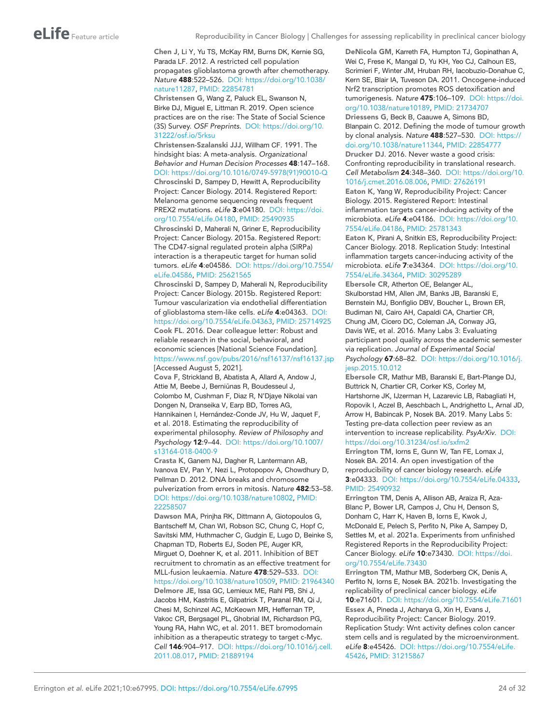<span id="page-23-8"></span>Chen J, Li Y, Yu TS, McKay RM, Burns DK, Kernie SG, Parada LF. 2012. A restricted cell population propagates glioblastoma growth after chemotherapy. *Nature* 488:522–526. DOI: [https://doi.org/10.1038/](https://doi.org/10.1038/nature11287) [nature11287,](https://doi.org/10.1038/nature11287) PMID: [22854781](http://www.ncbi.nlm.nih.gov/pubmed/22854781)

<span id="page-23-20"></span>Christensen G, Wang Z, Paluck EL, Swanson N, Birke DJ, Miguel E, Littman R. 2019. Open science practices are on the rise: The State of Social Science (3S) Survey. *OSF Preprints*. DOI: [https://doi.org/10.](https://doi.org/10.31222/osf.io/5rksu) [31222/osf.io/5rksu](https://doi.org/10.31222/osf.io/5rksu)

<span id="page-23-15"></span><span id="page-23-13"></span>Christensen-Szalanski JJJ, Willham CF. 1991. The hindsight bias: A meta-analysis. *Organizational Behavior and Human Decision Processes* 48:147–168. DOI: [https://doi.org/10.1016/0749-5978\(91\)90010-Q](https://doi.org/10.1016/0749-5978(91)90010-Q) Chroscinski D, Sampey D, Hewitt A, Reproducibility Project: Cancer Biology. 2014. Registered Report: Melanoma genome sequencing reveals frequent PREX2 mutations. *eLife* 3:e04180. DOI: [https://doi.](https://doi.org/10.7554/eLife.04180) [org/10.7554/eLife.04180](https://doi.org/10.7554/eLife.04180), PMID: [25490935](http://www.ncbi.nlm.nih.gov/pubmed/25490935)

<span id="page-23-10"></span>Chroscinski D, Maherali N, Griner E, Reproducibility Project: Cancer Biology. 2015a. Registered Report: The CD47-signal regulated protein alpha (SIRPa) interaction is a therapeutic target for human solid tumors. *eLife* 4:e04586. DOI: [https://doi.org/10.7554/](https://doi.org/10.7554/eLife.04586) [eLife.04586](https://doi.org/10.7554/eLife.04586), PMID: [25621565](http://www.ncbi.nlm.nih.gov/pubmed/25621565)

<span id="page-23-2"></span>Chroscinski D, Sampey D, Maherali N, Reproducibility Project: Cancer Biology. 2015b. Registered Report: Tumour vascularization via endothelial differentiation of glioblastoma stem-like cells. *eLife* 4:e04363. DOI: [https://doi.org/10.7554/eLife.04363,](https://doi.org/10.7554/eLife.04363) PMID: [25714925](http://www.ncbi.nlm.nih.gov/pubmed/25714925) Cook FL. 2016. Dear colleague letter: Robust and

<span id="page-23-21"></span>reliable research in the social, behavioral, and economic sciences [National Science Foundation]. <https://www.nsf.gov/pubs/2016/nsf16137/nsf16137.jsp> [Accessed August 5, 2021].

<span id="page-23-16"></span>Cova F, Strickland B, Abatista A, Allard A, Andow J, Attie M, Beebe J, Berniūnas R, Boudesseul J, Colombo M, Cushman F, Diaz R, N'Djaye Nikolai van Dongen N, Dranseika V, Earp BD, Torres AG, Hannikainen I, Hernández-Conde JV, Hu W, Jaquet F, et al. 2018. Estimating the reproducibility of experimental philosophy. *Review of Philosophy and Psychology* 12:9–44. DOI: [https://doi.org/10.1007/](https://doi.org/10.1007/s13164-018-0400-9) [s13164-018-0400-9](https://doi.org/10.1007/s13164-018-0400-9)

<span id="page-23-14"></span>Crasta K, Ganem NJ, Dagher R, Lantermann AB, Ivanova EV, Pan Y, Nezi L, Protopopov A, Chowdhury D, Pellman D. 2012. DNA breaks and chromosome pulverization from errors in mitosis. *Nature* 482:53–58. DOI: <https://doi.org/10.1038/nature10802>, PMID: [22258507](http://www.ncbi.nlm.nih.gov/pubmed/22258507)

<span id="page-23-7"></span><span id="page-23-5"></span>Dawson MA, Prinjha RK, Dittmann A, Giotopoulos G, Bantscheff M, Chan WI, Robson SC, Chung C, Hopf C, Savitski MM, Huthmacher C, Gudgin E, Lugo D, Beinke S, Chapman TD, Roberts EJ, Soden PE, Auger KR, Mirguet O, Doehner K, et al. 2011. Inhibition of BET recruitment to chromatin as an effective treatment for MLL-fusion leukaemia. *Nature* 478:529–533. DOI: <https://doi.org/10.1038/nature10509>, PMID: [21964340](http://www.ncbi.nlm.nih.gov/pubmed/21964340) Delmore JE, Issa GC, Lemieux ME, Rahl PB, Shi J, Jacobs HM, Kastritis E, Gilpatrick T, Paranal RM, Qi J, Chesi M, Schinzel AC, McKeown MR, Heffernan TP, Vakoc CR, Bergsagel PL, Ghobrial IM, Richardson PG, Young RA, Hahn WC, et al. 2011. BET bromodomain inhibition as a therapeutic strategy to target c-Myc. *Cell* 146:904–917. DOI: [https://doi.org/10.1016/j.cell.](https://doi.org/10.1016/j.cell.2011.08.017) [2011.08.017,](https://doi.org/10.1016/j.cell.2011.08.017) PMID: [21889194](http://www.ncbi.nlm.nih.gov/pubmed/21889194)

<span id="page-23-6"></span>DeNicola GM, Karreth FA, Humpton TJ, Gopinathan A, Wei C, Frese K, Mangal D, Yu KH, Yeo CJ, Calhoun ES, Scrimieri F, Winter JM, Hruban RH, Iacobuzio-Donahue C, Kern SE, Blair IA, Tuveson DA. 2011. Oncogene-induced Nrf2 transcription promotes ROS detoxification and tumorigenesis. *Nature* 475:106–109. DOI: [https://doi.](https://doi.org/10.1038/nature10189) [org/10.1038/nature10189](https://doi.org/10.1038/nature10189), PMID: [21734707](http://www.ncbi.nlm.nih.gov/pubmed/21734707) Driessens G, Beck B, Caauwe A, Simons BD,

<span id="page-23-19"></span><span id="page-23-9"></span>Blanpain C. 2012. Defining the mode of tumour growth by clonal analysis. *Nature* 488:527–530. DOI: [https://](https://doi.org/10.1038/nature11344) [doi.org/10.1038/nature11344,](https://doi.org/10.1038/nature11344) PMID: [22854777](http://www.ncbi.nlm.nih.gov/pubmed/22854777) Drucker DJ. 2016. Never waste a good crisis: Confronting reproducibility in translational research. *Cell Metabolism* 24:348–360. DOI: [https://doi.org/10.](https://doi.org/10.1016/j.cmet.2016.08.006) [1016/j.cmet.2016.08.006](https://doi.org/10.1016/j.cmet.2016.08.006), PMID: [27626191](http://www.ncbi.nlm.nih.gov/pubmed/27626191)

<span id="page-23-11"></span>Eaton K, Yang W, Reproducibility Project: Cancer Biology. 2015. Registered Report: Intestinal inflammation targets cancer-inducing activity of the microbiota. *eLife* 4:e04186. DOI: [https://doi.org/10.](https://doi.org/10.7554/eLife.04186) [7554/eLife.04186](https://doi.org/10.7554/eLife.04186), PMID: [25781343](http://www.ncbi.nlm.nih.gov/pubmed/25781343)

<span id="page-23-12"></span>Eaton K, Pirani A, Snitkin ES, Reproducibility Project: Cancer Biology. 2018. Replication Study: Intestinal inflammation targets cancer-inducing activity of the microbiota. *eLife* 7:e34364. DOI: [https://doi.org/10.](https://doi.org/10.7554/eLife.34364) [7554/eLife.34364](https://doi.org/10.7554/eLife.34364), PMID: [30295289](http://www.ncbi.nlm.nih.gov/pubmed/30295289)

<span id="page-23-17"></span>Ebersole CR, Atherton OE, Belanger AL, Skulborstad HM, Allen JM, Banks JB, Baranski E, Bernstein MJ, Bonfiglio DBV, Boucher L, Brown ER, Budiman NI, Cairo AH, Capaldi CA, Chartier CR, Chung JM, Cicero DC, Coleman JA, Conway JG, Davis WE, et al. 2016. Many Labs 3: Evaluating participant pool quality across the academic semester via replication. *Journal of Experimental Social Psychology* 67:68–82. DOI: [https://doi.org/10.1016/j.](https://doi.org/10.1016/j.jesp.2015.10.012) [jesp.2015.10.012](https://doi.org/10.1016/j.jesp.2015.10.012)

<span id="page-23-18"></span>Ebersole CR, Mathur MB, Baranski E, Bart-Plange DJ, Buttrick N, Chartier CR, Corker KS, Corley M, Hartshorne JK, IJzerman H, Lazarevic LB, Rabagliati H, Ropovik I, Aczel B, Aeschbach L, Andrighetto L, Arnal JD, Arrow H, Babincak P, Nosek BA. 2019. Many Labs 5: Testing pre-data collection peer review as an intervention to increase replicability. *PsyArXiv*. DOI: <https://doi.org/10.31234/osf.io/sxfm2>

<span id="page-23-0"></span>Errington TM, Iorns E, Gunn W, Tan FE, Lomax J, Nosek BA. 2014. An open investigation of the reproducibility of cancer biology research. *eLife* 3:e04333. DOI:<https://doi.org/10.7554/eLife.04333>, PMID: [25490932](http://www.ncbi.nlm.nih.gov/pubmed/25490932)

<span id="page-23-3"></span>Errington TM, Denis A, Allison AB, Araiza R, Aza-Blanc P, Bower LR, Campos J, Chu H, Denson S, Donham C, Harr K, Haven B, Iorns E, Kwok J, McDonald E, Pelech S, Perfito N, Pike A, Sampey D, Settles M, et al. 2021a. Experiments from unfinished Registered Reports in the Reproducibility Project: Cancer Biology. *eLife* 10:e73430. DOI: [https://doi.](https://doi.org/10.7554/eLife.73430) [org/10.7554/eLife.73430](https://doi.org/10.7554/eLife.73430)

<span id="page-23-4"></span><span id="page-23-1"></span>Errington TM, Mathur MB, Soderberg CK, Denis A, Perfito N, Iorns E, Nosek BA. 2021b. Investigating the replicability of preclinical cancer biology. *eLife* 10:e71601. DOI: <https://doi.org/10.7554/eLife.71601> Essex A, Pineda J, Acharya G, Xin H, Evans J, Reproducibility Project: Cancer Biology. 2019. Replication Study: Wnt activity defines colon cancer stem cells and is regulated by the microenvironment. *eLife* 8:e45426. DOI: [https://doi.org/10.7554/eLife.](https://doi.org/10.7554/eLife.45426) [45426,](https://doi.org/10.7554/eLife.45426) PMID: [31215867](http://www.ncbi.nlm.nih.gov/pubmed/31215867)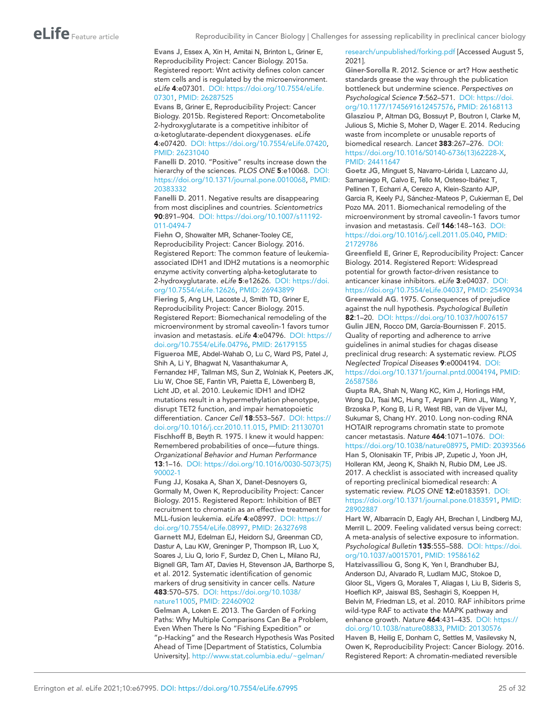<span id="page-24-6"></span>Evans J, Essex A, Xin H, Amitai N, Brinton L, Griner E, Reproducibility Project: Cancer Biology. 2015a. Registered report: Wnt activity defines colon cancer stem cells and is regulated by the microenvironment. *eLife* 4:e07301. DOI: [https://doi.org/10.7554/eLife.](https://doi.org/10.7554/eLife.07301) [07301,](https://doi.org/10.7554/eLife.07301) PMID: [26287525](http://www.ncbi.nlm.nih.gov/pubmed/26287525)

<span id="page-24-10"></span>Evans B, Griner E, Reproducibility Project: Cancer Biology. 2015b. Registered Report: Oncometabolite 2-hydroxyglutarate is a competitive inhibitor of α-ketoglutarate-dependent dioxygenases. *eLife* 4:e07420. DOI: <https://doi.org/10.7554/eLife.07420>, PMID: [26231040](http://www.ncbi.nlm.nih.gov/pubmed/26231040)

<span id="page-24-0"></span>Fanelli D. 2010. "Positive" results increase down the hierarchy of the sciences. *PLOS ONE* 5:e10068. DOI: [https://doi.org/10.1371/journal.pone.0010068,](https://doi.org/10.1371/journal.pone.0010068) PMID: [20383332](http://www.ncbi.nlm.nih.gov/pubmed/20383332)

<span id="page-24-1"></span>Fanelli D. 2011. Negative results are disappearing from most disciplines and countries. *Scientometrics* 90:891–904. DOI: [https://doi.org/10.1007/s11192-](https://doi.org/10.1007/s11192-011-0494-7) [011-0494-7](https://doi.org/10.1007/s11192-011-0494-7)

<span id="page-24-7"></span>Fiehn O, Showalter MR, Schaner-Tooley CE, Reproducibility Project: Cancer Biology. 2016. Registered Report: The common feature of leukemiaassociated IDH1 and IDH2 mutations is a neomorphic enzyme activity converting alpha-ketoglutarate to 2-hydroxyglutarate. *eLife* 5:e12626. DOI: [https://doi.](https://doi.org/10.7554/eLife.12626) [org/10.7554/eLife.12626](https://doi.org/10.7554/eLife.12626), PMID: [26943899](http://www.ncbi.nlm.nih.gov/pubmed/26943899)

<span id="page-24-9"></span>Fiering S, Ang LH, Lacoste J, Smith TD, Griner E, Reproducibility Project: Cancer Biology. 2015. Registered Report: Biomechanical remodeling of the microenvironment by stromal caveolin-1 favors tumor invasion and metastasis. *eLife* 4:e04796. DOI: [https://](https://doi.org/10.7554/eLife.04796) [doi.org/10.7554/eLife.04796](https://doi.org/10.7554/eLife.04796), PMID: [26179155](http://www.ncbi.nlm.nih.gov/pubmed/26179155)

<span id="page-24-4"></span>Figueroa ME, Abdel-Wahab O, Lu C, Ward PS, Patel J, Shih A, Li Y, Bhagwat N, Vasanthakumar A, Fernandez HF, Tallman MS, Sun Z, Wolniak K, Peeters JK, Liu W, Choe SE, Fantin VR, Paietta E, Löwenberg B, Licht JD, et al. 2010. Leukemic IDH1 and IDH2 mutations result in a hypermethylation phenotype, disrupt TET2 function, and impair hematopoietic differentiation. *Cancer Cell* 18:553–567. DOI: [https://](https://doi.org/10.1016/j.ccr.2010.11.015) [doi.org/10.1016/j.ccr.2010.11.015](https://doi.org/10.1016/j.ccr.2010.11.015), PMID: [21130701](http://www.ncbi.nlm.nih.gov/pubmed/21130701) Fischhoff B, Beyth R. 1975. I knew it would happen: Remembered probabilities of once—future things. *Organizational Behavior and Human Performance* 13:1–16. DOI: [https://doi.org/10.1016/0030-5073\(75\)](https://doi.org/10.1016/0030-5073(75)90002-1) [90002-1](https://doi.org/10.1016/0030-5073(75)90002-1)

<span id="page-24-16"></span><span id="page-24-12"></span><span id="page-24-11"></span>Fung JJ, Kosaka A, Shan X, Danet-Desnoyers G, Gormally M, Owen K, Reproducibility Project: Cancer Biology. 2015. Registered Report: Inhibition of BET recruitment to chromatin as an effective treatment for MLL-fusion leukemia. *eLife* 4:e08997. DOI: [https://](https://doi.org/10.7554/eLife.08997) [doi.org/10.7554/eLife.08997](https://doi.org/10.7554/eLife.08997), PMID: [26327698](http://www.ncbi.nlm.nih.gov/pubmed/26327698) Garnett MJ, Edelman EJ, Heidorn SJ, Greenman CD, Dastur A, Lau KW, Greninger P, Thompson IR, Luo X, Soares J, Liu Q, Iorio F, Surdez D, Chen L, Milano RJ, Bignell GR, Tam AT, Davies H, Stevenson JA, Barthorpe S, et al. 2012. Systematic identification of genomic markers of drug sensitivity in cancer cells. *Nature* 483:570–575. DOI: [https://doi.org/10.1038/](https://doi.org/10.1038/nature11005) [nature11005,](https://doi.org/10.1038/nature11005) PMID: [22460902](http://www.ncbi.nlm.nih.gov/pubmed/22460902)

<span id="page-24-21"></span>Gelman A, Loken E. 2013. The Garden of Forking Paths: Why Multiple Comparisons Can Be a Problem, Even When There Is No "Fishing Expedition" or "p-Hacking" and the Research Hypothesis Was Posited Ahead of Time [Department of Statistics, Columbia University]. [http://www.stat.columbia.edu/~gelman/](http://www.stat.columbia.edu/~gelman/research/unpublished/forking.pdf)

[research/unpublished/forking.pdf](http://www.stat.columbia.edu/~gelman/research/unpublished/forking.pdf) [Accessed August 5, 2021].

<span id="page-24-14"></span>Giner-Sorolla R. 2012. Science or art? How aesthetic standards grease the way through the publication bottleneck but undermine science. *Perspectives on Psychological Science* 7:562–571. DOI: [https://doi.](https://doi.org/10.1177/1745691612457576) [org/10.1177/1745691612457576](https://doi.org/10.1177/1745691612457576), PMID: [26168113](http://www.ncbi.nlm.nih.gov/pubmed/26168113)

<span id="page-24-19"></span>Glasziou P, Altman DG, Bossuyt P, Boutron I, Clarke M, Julious S, Michie S, Moher D, Wager E. 2014. Reducing waste from incomplete or unusable reports of biomedical research. *Lancet* 383:267–276. DOI: [https://doi.org/10.1016/S0140-6736\(13\)62228-X](https://doi.org/10.1016/S0140-6736(13)62228-X), PMID: [24411647](http://www.ncbi.nlm.nih.gov/pubmed/24411647)

<span id="page-24-8"></span>Goetz JG, Minguet S, Navarro-Lérida I, Lazcano JJ, Samaniego R, Calvo E, Tello M, Osteso-Ibáñez T, Pellinen T, Echarri A, Cerezo A, Klein-Szanto AJP, Garcia R, Keely PJ, Sánchez-Mateos P, Cukierman E, Del Pozo MA. 2011. Biomechanical remodeling of the microenvironment by stromal caveolin-1 favors tumor invasion and metastasis. *Cell* 146:148–163. DOI: <https://doi.org/10.1016/j.cell.2011.05.040>, PMID: [21729786](http://www.ncbi.nlm.nih.gov/pubmed/21729786)

<span id="page-24-20"></span><span id="page-24-13"></span>Greenfield E, Griner E, Reproducibility Project: Cancer Biology. 2014. Registered Report: Widespread potential for growth factor-driven resistance to anticancer kinase inhibitors. *eLife* 3:e04037. DOI: <https://doi.org/10.7554/eLife.04037>, PMID: [25490934](http://www.ncbi.nlm.nih.gov/pubmed/25490934) Greenwald AG. 1975. Consequences of prejudice against the null hypothesis. *Psychological Bulletin* 82:1–20. DOI: <https://doi.org/10.1037/h0076157> Gulin JEN, Rocco DM, García-Bournissen F. 2015. Quality of reporting and adherence to arrive guidelines in animal studies for chagas disease preclinical drug research: A systematic review. *PLOS Neglected Tropical Diseases* 9:e0004194. DOI: <https://doi.org/10.1371/journal.pntd.0004194>, PMID: [26587586](http://www.ncbi.nlm.nih.gov/pubmed/26587586)

<span id="page-24-18"></span><span id="page-24-3"></span>Gupta RA, Shah N, Wang KC, Kim J, Horlings HM, Wong DJ, Tsai MC, Hung T, Argani P, Rinn JL, Wang Y, Brzoska P, Kong B, Li R, West RB, van de Vijver MJ, Sukumar S, Chang HY. 2010. Long non-coding RNA HOTAIR reprograms chromatin state to promote cancer metastasis. *Nature* 464:1071–1076. DOI: <https://doi.org/10.1038/nature08975>, PMID: [20393566](http://www.ncbi.nlm.nih.gov/pubmed/20393566) Han S, Olonisakin TF, Pribis JP, Zupetic J, Yoon JH, Holleran KM, Jeong K, Shaikh N, Rubio DM, Lee JS.

<span id="page-24-17"></span>2017. A checklist is associated with increased quality of reporting preclinical biomedical research: A systematic review. *PLOS ONE* 12:e0183591. DOI: [https://doi.org/10.1371/journal.pone.0183591,](https://doi.org/10.1371/journal.pone.0183591) PMID: [28902887](http://www.ncbi.nlm.nih.gov/pubmed/28902887)

<span id="page-24-15"></span>Hart W, Albarracín D, Eagly AH, Brechan I, Lindberg MJ, Merrill L. 2009. Feeling validated versus being correct: A meta-analysis of selective exposure to information. *Psychological Bulletin* 135:555–588. DOI: [https://doi.](https://doi.org/10.1037/a0015701) [org/10.1037/a0015701](https://doi.org/10.1037/a0015701), PMID: [19586162](http://www.ncbi.nlm.nih.gov/pubmed/19586162)

<span id="page-24-5"></span>Hatzivassiliou G, Song K, Yen I, Brandhuber BJ, Anderson DJ, Alvarado R, Ludlam MJC, Stokoe D, Gloor SL, Vigers G, Morales T, Aliagas I, Liu B, Sideris S, Hoeflich KP, Jaiswal BS, Seshagiri S, Koeppen H, Belvin M, Friedman LS, et al. 2010. RAF inhibitors prime wild-type RAF to activate the MAPK pathway and enhance growth. *Nature* 464:431–435. DOI: [https://](https://doi.org/10.1038/nature08833) [doi.org/10.1038/nature08833,](https://doi.org/10.1038/nature08833) PMID: [20130576](http://www.ncbi.nlm.nih.gov/pubmed/20130576)

<span id="page-24-2"></span>Haven B, Heilig E, Donham C, Settles M, Vasilevsky N, Owen K, Reproducibility Project: Cancer Biology. 2016. Registered Report: A chromatin-mediated reversible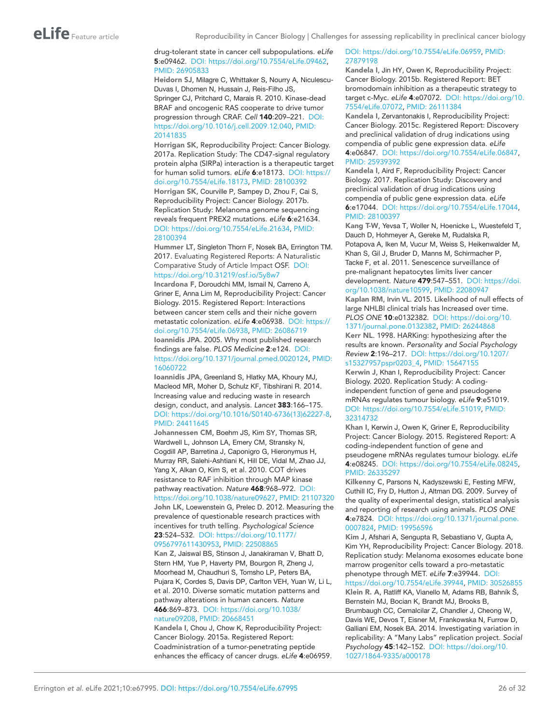#### drug-tolerant state in cancer cell subpopulations. *eLife* 5:e09462. DOI: <https://doi.org/10.7554/eLife.09462>, PMID: [26905833](http://www.ncbi.nlm.nih.gov/pubmed/26905833)

<span id="page-25-5"></span>Heidorn SJ, Milagre C, Whittaker S, Nourry A, Niculescu-Duvas I, Dhomen N, Hussain J, Reis-Filho JS, Springer CJ, Pritchard C, Marais R. 2010. Kinase-dead BRAF and oncogenic RAS cooperate to drive tumor progression through CRAF. *Cell* 140:209–221. DOI: [https://doi.org/10.1016/j.cell.2009.12.040,](https://doi.org/10.1016/j.cell.2009.12.040) PMID: [20141835](http://www.ncbi.nlm.nih.gov/pubmed/20141835)

<span id="page-25-15"></span><span id="page-25-12"></span>Horrigan SK, Reproducibility Project: Cancer Biology. 2017a. Replication Study: The CD47-signal regulatory protein alpha (SIRPa) interaction is a therapeutic target for human solid tumors. *eLife* 6:e18173. DOI: [https://](https://doi.org/10.7554/eLife.18173) [doi.org/10.7554/eLife.18173](https://doi.org/10.7554/eLife.18173), PMID: [28100392](http://www.ncbi.nlm.nih.gov/pubmed/28100392) Horrigan SK, Courville P, Sampey D, Zhou F, Cai S, Reproducibility Project: Cancer Biology. 2017b. Replication Study: Melanoma genome sequencing reveals frequent PREX2 mutations. *eLife* 6:e21634. DOI: [https://doi.org/10.7554/eLife.21634,](https://doi.org/10.7554/eLife.21634) PMID: [28100394](http://www.ncbi.nlm.nih.gov/pubmed/28100394)

<span id="page-25-21"></span>Hummer LT, Singleton Thorn F, Nosek BA, Errington TM. 2017. Evaluating Registered Reports: A Naturalistic Comparative Study of Article Impact OSF. DOI: <https://doi.org/10.31219/osf.io/5y8w7>

<span id="page-25-14"></span>Incardona F, Doroudchi MM, Ismail N, Carreno A, Griner E, Anna Lim M, Reproducibility Project: Cancer Biology. 2015. Registered Report: Interactions between cancer stem cells and their niche govern metastatic colonization. *eLife* 4:e06938. DOI: [https://](https://doi.org/10.7554/eLife.06938) [doi.org/10.7554/eLife.06938](https://doi.org/10.7554/eLife.06938), PMID: [26086719](http://www.ncbi.nlm.nih.gov/pubmed/26086719) Ioannidis JPA. 2005. Why most published research findings are false. *PLOS Medicine* 2:e124. DOI: <https://doi.org/10.1371/journal.pmed.0020124>, PMID: [16060722](http://www.ncbi.nlm.nih.gov/pubmed/16060722)

<span id="page-25-17"></span><span id="page-25-0"></span>Ioannidis JPA, Greenland S, Hlatky MA, Khoury MJ, Macleod MR, Moher D, Schulz KF, Tibshirani R. 2014. Increasing value and reducing waste in research design, conduct, and analysis. *Lancet* 383:166–175. DOI: [https://doi.org/10.1016/S0140-6736\(13\)62227-8](https://doi.org/10.1016/S0140-6736(13)62227-8), PMID: [24411645](http://www.ncbi.nlm.nih.gov/pubmed/24411645)

<span id="page-25-6"></span>Johannessen CM, Boehm JS, Kim SY, Thomas SR, Wardwell L, Johnson LA, Emery CM, Stransky N, Cogdill AP, Barretina J, Caponigro G, Hieronymus H, Murray RR, Salehi-Ashtiani K, Hill DE, Vidal M, Zhao JJ, Yang X, Alkan O, Kim S, et al. 2010. COT drives resistance to RAF inhibition through MAP kinase pathway reactivation. *Nature* 468:968–972. DOI: <https://doi.org/10.1038/nature09627>, PMID: [21107320](http://www.ncbi.nlm.nih.gov/pubmed/21107320) John LK, Loewenstein G, Prelec D. 2012. Measuring the prevalence of questionable research practices with

<span id="page-25-19"></span>incentives for truth telling. *Psychological Science* 23:524–532. DOI: [https://doi.org/10.1177/](https://doi.org/10.1177/0956797611430953) [0956797611430953,](https://doi.org/10.1177/0956797611430953) PMID: [22508865](http://www.ncbi.nlm.nih.gov/pubmed/22508865)

<span id="page-25-4"></span>Kan Z, Jaiswal BS, Stinson J, Janakiraman V, Bhatt D, Stern HM, Yue P, Haverty PM, Bourgon R, Zheng J, Moorhead M, Chaudhuri S, Tomsho LP, Peters BA, Pujara K, Cordes S, Davis DP, Carlton VEH, Yuan W, Li L, et al. 2010. Diverse somatic mutation patterns and pathway alterations in human cancers. *Nature* 466:869–873. DOI: [https://doi.org/10.1038/](https://doi.org/10.1038/nature09208) [nature09208,](https://doi.org/10.1038/nature09208) PMID: [20668451](http://www.ncbi.nlm.nih.gov/pubmed/20668451)

<span id="page-25-7"></span>Kandela I, Chou J, Chow K, Reproducibility Project: Cancer Biology. 2015a. Registered Report: Coadministration of a tumor-penetrating peptide enhances the efficacy of cancer drugs. *eLife* 4:e06959.

### DOI: <https://doi.org/10.7554/eLife.06959>, PMID: [27879198](http://www.ncbi.nlm.nih.gov/pubmed/27879198)

<span id="page-25-8"></span>Kandela I, Jin HY, Owen K, Reproducibility Project: Cancer Biology. 2015b. Registered Report: BET bromodomain inhibition as a therapeutic strategy to target c-Myc. *eLife* 4:e07072. DOI: [https://doi.org/10.](https://doi.org/10.7554/eLife.07072) [7554/eLife.07072](https://doi.org/10.7554/eLife.07072), PMID: [26111384](http://www.ncbi.nlm.nih.gov/pubmed/26111384)

<span id="page-25-9"></span>Kandela I, Zervantonakis I, Reproducibility Project: Cancer Biology. 2015c. Registered Report: Discovery and preclinical validation of drug indications using compendia of public gene expression data. *eLife* 4:e06847. DOI:<https://doi.org/10.7554/eLife.06847>, PMID: [25939392](http://www.ncbi.nlm.nih.gov/pubmed/25939392)

<span id="page-25-10"></span>Kandela I, Aird F, Reproducibility Project: Cancer Biology. 2017. Replication Study: Discovery and preclinical validation of drug indications using compendia of public gene expression data. *eLife* 6:e17044. DOI:<https://doi.org/10.7554/eLife.17044>, PMID: [28100397](http://www.ncbi.nlm.nih.gov/pubmed/28100397)

<span id="page-25-11"></span>Kang T-W, Yevsa T, Woller N, Hoenicke L, Wuestefeld T, Dauch D, Hohmeyer A, Gereke M, Rudalska R, Potapova A, Iken M, Vucur M, Weiss S, Heikenwalder M, Khan S, Gil J, Bruder D, Manns M, Schirmacher P, Tacke F, et al. 2011. Senescence surveillance of pre-malignant hepatocytes limits liver cancer development. *Nature* 479:547–551. DOI: [https://doi.](https://doi.org/10.1038/nature10599) [org/10.1038/nature10599](https://doi.org/10.1038/nature10599), PMID: [22080947](http://www.ncbi.nlm.nih.gov/pubmed/22080947)

<span id="page-25-20"></span>Kaplan RM, Irvin VL. 2015. Likelihood of null effects of large NHLBI clinical trials has Increased over time. *PLOS ONE* 10:e0132382. DOI: [https://doi.org/10.](https://doi.org/10.1371/journal.pone.0132382) [1371/journal.pone.0132382](https://doi.org/10.1371/journal.pone.0132382), PMID: [26244868](http://www.ncbi.nlm.nih.gov/pubmed/26244868)

<span id="page-25-16"></span>Kerr NL. 1998. HARKing: hypothesizing after the results are known. *Personality and Social Psychology Review* 2:196–217. DOI: [https://doi.org/10.1207/](https://doi.org/10.1207/s15327957pspr0203_4) [s15327957pspr0203\\_4,](https://doi.org/10.1207/s15327957pspr0203_4) PMID: [15647155](http://www.ncbi.nlm.nih.gov/pubmed/15647155)

<span id="page-25-3"></span>Kerwin J, Khan I, Reproducibility Project: Cancer Biology. 2020. Replication Study: A codingindependent function of gene and pseudogene mRNAs regulates tumour biology. *eLife* 9:e51019. DOI: <https://doi.org/10.7554/eLife.51019>, PMID: [32314732](http://www.ncbi.nlm.nih.gov/pubmed/32314732)

<span id="page-25-2"></span>Khan I, Kerwin J, Owen K, Griner E, Reproducibility Project: Cancer Biology. 2015. Registered Report: A coding-independent function of gene and pseudogene mRNAs regulates tumour biology. *eLife* 4:e08245. DOI:<https://doi.org/10.7554/eLife.08245>, PMID: [26335297](http://www.ncbi.nlm.nih.gov/pubmed/26335297)

<span id="page-25-1"></span>Kilkenny C, Parsons N, Kadyszewski E, Festing MFW, Cuthill IC, Fry D, Hutton J, Altman DG. 2009. Survey of the quality of experimental design, statistical analysis and reporting of research using animals. *PLOS ONE* 4:e7824. DOI: [https://doi.org/10.1371/journal.pone.](https://doi.org/10.1371/journal.pone.0007824) [0007824,](https://doi.org/10.1371/journal.pone.0007824) PMID: [19956596](http://www.ncbi.nlm.nih.gov/pubmed/19956596)

<span id="page-25-13"></span>Kim J, Afshari A, Sengupta R, Sebastiano V, Gupta A, Kim YH, Reproducibility Project: Cancer Biology. 2018. Replication study: Melanoma exosomes educate bone marrow progenitor cells toward a pro-metastatic phenotype through MET. *eLife* 7:e39944. DOI: <https://doi.org/10.7554/eLife.39944>, PMID: [30526855](http://www.ncbi.nlm.nih.gov/pubmed/30526855) Klein R. A, Ratliff KA, Vianello M, Adams RB, Bahník Š,

<span id="page-25-18"></span>Bernstein MJ, Bocian K, Brandt MJ, Brooks B, Brumbaugh CC, Cemalcilar Z, Chandler J, Cheong W, Davis WE, Devos T, Eisner M, Frankowska N, Furrow D, Galliani EM, Nosek BA. 2014. Investigating variation in replicability: A "Many Labs" replication project. *Social Psychology* 45:142–152. DOI: [https://doi.org/10.](https://doi.org/10.1027/1864-9335/a000178) [1027/1864-9335/a000178](https://doi.org/10.1027/1864-9335/a000178)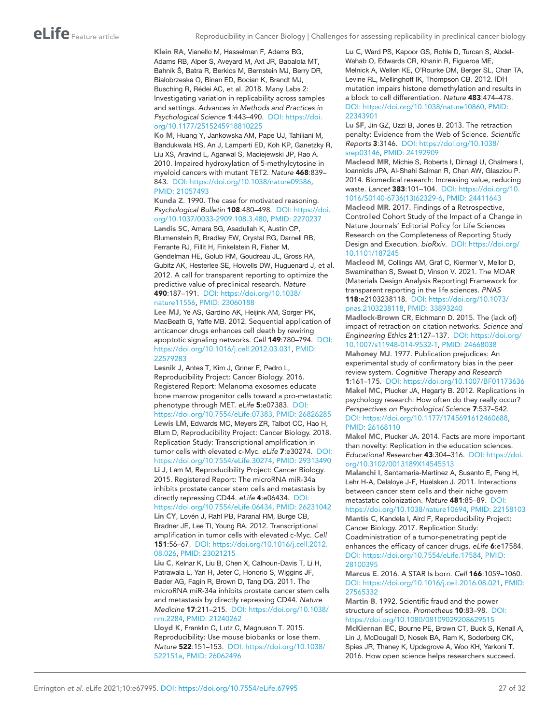<span id="page-26-14"></span>Klein RA, Vianello M, Hasselman F, Adams BG, Adams RB, Alper S, Aveyard M, Axt JR, Babalola MT, Bahník Š, Batra R, Berkics M, Bernstein MJ, Berry DR, Bialobrzeska O, Binan ED, Bocian K, Brandt MJ, Busching R, Rédei AC, et al. 2018. Many Labs 2: Investigating variation in replicability across samples and settings. *Advances in Methods and Practices in Psychological Science* 1:443–490. DOI: [https://doi.](https://doi.org/10.1177/2515245918810225) [org/10.1177/2515245918810225](https://doi.org/10.1177/2515245918810225)

<span id="page-26-2"></span>Ko M, Huang Y, Jankowska AM, Pape UJ, Tahiliani M, Bandukwala HS, An J, Lamperti ED, Koh KP, Ganetzky R, Liu XS, Aravind L, Agarwal S, Maciejewski JP, Rao A. 2010. Impaired hydroxylation of 5-methylcytosine in myeloid cancers with mutant TET2. *Nature* 468:839– 843. DOI: <https://doi.org/10.1038/nature09586>, PMID: [21057493](http://www.ncbi.nlm.nih.gov/pubmed/21057493)

<span id="page-26-11"></span><span id="page-26-0"></span>Kunda Z. 1990. The case for motivated reasoning. *Psychological Bulletin* 108:480–498. DOI: [https://doi.](https://doi.org/10.1037/0033-2909.108.3.480) [org/10.1037/0033-2909.108.3.480,](https://doi.org/10.1037/0033-2909.108.3.480) PMID: [2270237](http://www.ncbi.nlm.nih.gov/pubmed/2270237) Landis SC, Amara SG, Asadullah K, Austin CP, Blumenstein R, Bradley EW, Crystal RG, Darnell RB, Ferrante RJ, Fillit H, Finkelstein R, Fisher M, Gendelman HE, Golub RM, Goudreau JL, Gross RA, Gubitz AK, Hesterlee SE, Howells DW, Huguenard J, et al. 2012. A call for transparent reporting to optimize the predictive value of preclinical research. *Nature* 490:187–191. DOI: [https://doi.org/10.1038/](https://doi.org/10.1038/nature11556)

# [nature11556,](https://doi.org/10.1038/nature11556) PMID: [23060188](http://www.ncbi.nlm.nih.gov/pubmed/23060188)

<span id="page-26-10"></span>Lee MJ, Ye AS, Gardino AK, Heijink AM, Sorger PK, MacBeath G, Yaffe MB. 2012. Sequential application of anticancer drugs enhances cell death by rewiring apoptotic signaling networks. *Cell* 149:780–794. DOI: [https://doi.org/10.1016/j.cell.2012.03.031,](https://doi.org/10.1016/j.cell.2012.03.031) PMID: [22579283](http://www.ncbi.nlm.nih.gov/pubmed/22579283)

<span id="page-26-9"></span><span id="page-26-5"></span>Lesnik J, Antes T, Kim J, Griner E, Pedro L, Reproducibility Project: Cancer Biology. 2016. Registered Report: Melanoma exosomes educate bone marrow progenitor cells toward a pro-metastatic phenotype through MET. *eLife* 5:e07383. DOI: [https://doi.org/10.7554/eLife.07383,](https://doi.org/10.7554/eLife.07383) PMID: [26826285](http://www.ncbi.nlm.nih.gov/pubmed/26826285) Lewis LM, Edwards MC, Meyers ZR, Talbot CC, Hao H, Blum D, Reproducibility Project: Cancer Biology. 2018. Replication Study: Transcriptional amplification in tumor cells with elevated c-Myc. *eLife* 7:e30274. DOI: [https://doi.org/10.7554/eLife.30274,](https://doi.org/10.7554/eLife.30274) PMID: [29313490](http://www.ncbi.nlm.nih.gov/pubmed/29313490) Li J, Lam M, Reproducibility Project: Cancer Biology. 2015. Registered Report: The microRNA miR-34a inhibits prostate cancer stem cells and metastasis by directly repressing CD44. *eLife* 4:e06434. DOI: [https://doi.org/10.7554/eLife.06434,](https://doi.org/10.7554/eLife.06434) PMID: [26231042](http://www.ncbi.nlm.nih.gov/pubmed/26231042) Lin CY, Lovén J, Rahl PB, Paranal RM, Burge CB,

<span id="page-26-8"></span><span id="page-26-4"></span>Bradner JE, Lee TI, Young RA. 2012. Transcriptional amplification in tumor cells with elevated c-Myc. *Cell* 151:56–67. DOI: [https://doi.org/10.1016/j.cell.2012.](https://doi.org/10.1016/j.cell.2012.08.026) [08.026,](https://doi.org/10.1016/j.cell.2012.08.026) PMID: [23021215](http://www.ncbi.nlm.nih.gov/pubmed/23021215)

<span id="page-26-3"></span>Liu C, Kelnar K, Liu B, Chen X, Calhoun-Davis T, Li H, Patrawala L, Yan H, Jeter C, Honorio S, Wiggins JF, Bader AG, Fagin R, Brown D, Tang DG. 2011. The microRNA miR-34a inhibits prostate cancer stem cells and metastasis by directly repressing CD44. *Nature Medicine* 17:211–215. DOI: [https://doi.org/10.1038/](https://doi.org/10.1038/nm.2284) [nm.2284,](https://doi.org/10.1038/nm.2284) PMID: [21240262](http://www.ncbi.nlm.nih.gov/pubmed/21240262)

<span id="page-26-23"></span>Lloyd K, Franklin C, Lutz C, Magnuson T. 2015. Reproducibility: Use mouse biobanks or lose them. *Nature* 522:151–153. DOI: [https://doi.org/10.1038/](https://doi.org/10.1038/522151a) [522151a](https://doi.org/10.1038/522151a), PMID: [26062496](http://www.ncbi.nlm.nih.gov/pubmed/26062496)

<span id="page-26-7"></span>Lu C, Ward PS, Kapoor GS, Rohle D, Turcan S, Abdel-Wahab O, Edwards CR, Khanin R, Figueroa ME, Melnick A, Wellen KE, O'Rourke DM, Berger SL, Chan TA, Levine RL, Mellinghoff IK, Thompson CB. 2012. IDH mutation impairs histone demethylation and results in a block to cell differentiation. *Nature* 483:474–478. DOI: [https://doi.org/10.1038/nature10860,](https://doi.org/10.1038/nature10860) PMID: [22343901](http://www.ncbi.nlm.nih.gov/pubmed/22343901)

<span id="page-26-17"></span>Lu SF, Jin GZ, Uzzi B, Jones B. 2013. The retraction penalty: Evidence from the Web of Science. *Scientific Reports* 3:3146. DOI: [https://doi.org/10.1038/](https://doi.org/10.1038/srep03146) [srep03146](https://doi.org/10.1038/srep03146), PMID: [24192909](http://www.ncbi.nlm.nih.gov/pubmed/24192909)

<span id="page-26-22"></span>Macleod MR, Michie S, Roberts I, Dirnagl U, Chalmers I, Ioannidis JPA, Al-Shahi Salman R, Chan AW, Glasziou P. 2014. Biomedical research: Increasing value, reducing waste. *Lancet* 383:101–104. DOI: [https://doi.org/10.](https://doi.org/10.1016/S0140-6736(13)62329-6) [1016/S0140-6736\(13\)62329-6,](https://doi.org/10.1016/S0140-6736(13)62329-6) PMID: [24411643](http://www.ncbi.nlm.nih.gov/pubmed/24411643)

<span id="page-26-21"></span>Macleod MR. 2017. Findings of a Retrospective, Controlled Cohort Study of the Impact of a Change in Nature Journals' Editorial Policy for Life Sciences Research on the Completeness of Reporting Study Design and Execution. *bioRxiv*. DOI: [https://doi.org/](https://doi.org/10.1101/187245) [10.1101/187245](https://doi.org/10.1101/187245)

<span id="page-26-20"></span>Macleod M, Collings AM, Graf C, Kiermer V, Mellor D, Swaminathan S, Sweet D, Vinson V. 2021. The MDAR (Materials Design Analysis Reporting) Framework for transparent reporting in the life sciences. *PNAS* 118:e2103238118. DOI: [https://doi.org/10.1073/](https://doi.org/10.1073/pnas.2103238118) [pnas.2103238118](https://doi.org/10.1073/pnas.2103238118), PMID: [33893240](http://www.ncbi.nlm.nih.gov/pubmed/33893240)

<span id="page-26-18"></span>Madlock-Brown CR, Eichmann D. 2015. The (lack of) impact of retraction on citation networks. *Science and Engineering Ethics* 21:127–137. DOI: [https://doi.org/](https://doi.org/10.1007/s11948-014-9532-1) [10.1007/s11948-014-9532-1,](https://doi.org/10.1007/s11948-014-9532-1) PMID: [24668038](http://www.ncbi.nlm.nih.gov/pubmed/24668038)

<span id="page-26-15"></span><span id="page-26-13"></span>Mahoney MJ. 1977. Publication prejudices: An experimental study of confirmatory bias in the peer review system. *Cognitive Therapy and Research* 1:161–175. DOI:<https://doi.org/10.1007/BF01173636> Makel MC, Plucker JA, Hegarty B. 2012. Replications in psychology research: How often do they really occur? *Perspectives on Psychological Science* 7:537–542. DOI: <https://doi.org/10.1177/1745691612460688>, PMID: [26168110](http://www.ncbi.nlm.nih.gov/pubmed/26168110)

<span id="page-26-16"></span>Makel MC, Plucker JA. 2014. Facts are more important than novelty: Replication in the education sciences. *Educational Researcher* 43:304–316. DOI: [https://doi.](https://doi.org/10.3102/0013189X14545513) [org/10.3102/0013189X14545513](https://doi.org/10.3102/0013189X14545513)

<span id="page-26-6"></span>Malanchi I, Santamaria-Martínez A, Susanto E, Peng H, Lehr H-A, Delaloye J-F, Huelsken J. 2011. Interactions between cancer stem cells and their niche govern metastatic colonization. *Nature* 481:85–89. DOI: <https://doi.org/10.1038/nature10694>, PMID: [22158103](http://www.ncbi.nlm.nih.gov/pubmed/22158103) Mantis C, Kandela I, Aird F, Reproducibility Project: Cancer Biology. 2017. Replication Study:

<span id="page-26-1"></span>Coadministration of a tumor-penetrating peptide enhances the efficacy of cancer drugs. *eLife* 6:e17584. DOI: <https://doi.org/10.7554/eLife.17584>, PMID: [28100395](http://www.ncbi.nlm.nih.gov/pubmed/28100395)

<span id="page-26-19"></span>Marcus E. 2016. A STAR Is born. *Cell* 166:1059–1060. DOI: <https://doi.org/10.1016/j.cell.2016.08.021>, PMID: [27565332](http://www.ncbi.nlm.nih.gov/pubmed/27565332)

<span id="page-26-24"></span><span id="page-26-12"></span>Martin B. 1992. Scientific fraud and the power structure of science. *Prometheus* 10:83–98. DOI: <https://doi.org/10.1080/08109029208629515> McKiernan EC, Bourne PE, Brown CT, Buck S, Kenall A, Lin J, McDougall D, Nosek BA, Ram K, Soderberg CK, Spies JR, Thaney K, Updegrove A, Woo KH, Yarkoni T. 2016. How open science helps researchers succeed.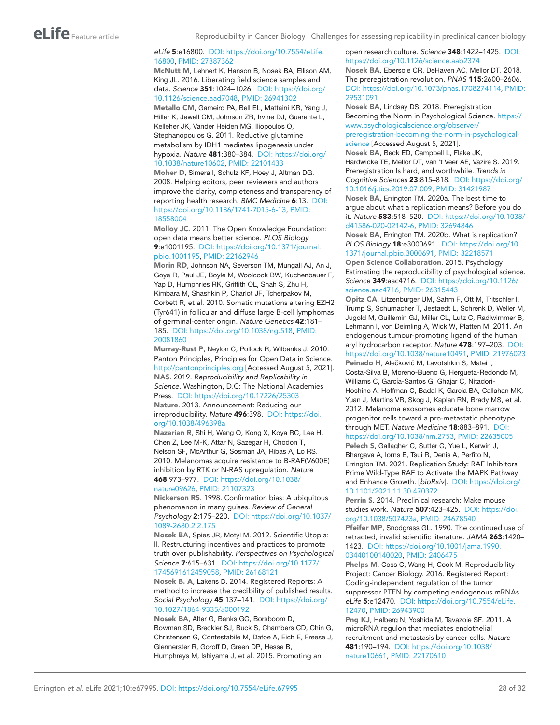#### *eLife* 5:e16800. DOI: [https://doi.org/10.7554/eLife.](https://doi.org/10.7554/eLife.16800) [16800,](https://doi.org/10.7554/eLife.16800) PMID: [27387362](http://www.ncbi.nlm.nih.gov/pubmed/27387362)

<span id="page-27-22"></span>McNutt M, Lehnert K, Hanson B, Nosek BA, Ellison AM, King JL. 2016. Liberating field science samples and data. *Science* 351:1024–1026. DOI: [https://doi.org/](https://doi.org/10.1126/science.aad7048) [10.1126/science.aad7048,](https://doi.org/10.1126/science.aad7048) PMID: [26941302](http://www.ncbi.nlm.nih.gov/pubmed/26941302) Metallo CM, Gameiro PA, Bell EL, Mattaini KR, Yang J,

<span id="page-27-12"></span>Hiller K, Jewell CM, Johnson ZR, Irvine DJ, Guarente L, Kelleher JK, Vander Heiden MG, Iliopoulos O, Stephanopoulos G. 2011. Reductive glutamine metabolism by IDH1 mediates lipogenesis under hypoxia. *Nature* 481:380–384. DOI: [https://doi.org/](https://doi.org/10.1038/nature10602) [10.1038/nature10602,](https://doi.org/10.1038/nature10602) PMID: [22101433](http://www.ncbi.nlm.nih.gov/pubmed/22101433)

<span id="page-27-0"></span>Moher D, Simera I, Schulz KF, Hoey J, Altman DG. 2008. Helping editors, peer reviewers and authors improve the clarity, completeness and transparency of reporting health research. *BMC Medicine* 6:13. DOI: [https://doi.org/10.1186/1741-7015-6-13,](https://doi.org/10.1186/1741-7015-6-13) PMID: [18558004](http://www.ncbi.nlm.nih.gov/pubmed/18558004)

<span id="page-27-1"></span>Molloy JC. 2011. The Open Knowledge Foundation: open data means better science. *PLOS Biology* 9:e1001195. DOI: [https://doi.org/10.1371/journal.](https://doi.org/10.1371/journal.pbio.1001195) [pbio.1001195](https://doi.org/10.1371/journal.pbio.1001195), PMID: [22162946](http://www.ncbi.nlm.nih.gov/pubmed/22162946)

<span id="page-27-13"></span>Morin RD, Johnson NA, Severson TM, Mungall AJ, An J, Goya R, Paul JE, Boyle M, Woolcock BW, Kuchenbauer F, Yap D, Humphries RK, Griffith OL, Shah S, Zhu H, Kimbara M, Shashkin P, Charlot JF, Tcherpakov M, Corbett R, et al. 2010. Somatic mutations altering EZH2 (Tyr641) in follicular and diffuse large B-cell lymphomas of germinal-center origin. *Nature Genetics* 42:181– 185. DOI: <https://doi.org/10.1038/ng.518>, PMID: [20081860](http://www.ncbi.nlm.nih.gov/pubmed/20081860)

<span id="page-27-4"></span><span id="page-27-2"></span>Murray-Rust P, Neylon C, Pollock R, Wilbanks J. 2010. Panton Principles, Principles for Open Data in Science. <http://pantonprinciples.org> [Accessed August 5, 2021]. NAS. 2019. *Reproducibility and Replicability in Science*. Washington, D.C: The National Academies Press. DOI: <https://doi.org/10.17226/25303> Nature. 2013. Announcement: Reducing our irreproducibility. *Nature* 496:398. DOI: [https://doi.](https://doi.org/10.1038/496398a) [org/10.1038/496398a](https://doi.org/10.1038/496398a)

<span id="page-27-21"></span><span id="page-27-7"></span>Nazarian R, Shi H, Wang Q, Kong X, Koya RC, Lee H, Chen Z, Lee M-K, Attar N, Sazegar H, Chodon T, Nelson SF, McArthur G, Sosman JA, Ribas A, Lo RS. 2010. Melanomas acquire resistance to B-RAF(V600E) inhibition by RTK or N-RAS upregulation. *Nature* 468:973–977. DOI: [https://doi.org/10.1038/](https://doi.org/10.1038/nature09626) [nature09626,](https://doi.org/10.1038/nature09626) PMID: [21107323](http://www.ncbi.nlm.nih.gov/pubmed/21107323)

<span id="page-27-18"></span>Nickerson RS. 1998. Confirmation bias: A ubiquitous phenomenon in many guises. *Review of General Psychology* 2:175–220. DOI: [https://doi.org/10.1037/](https://doi.org/10.1037/1089-2680.2.2.175) [1089-2680.2.2.175](https://doi.org/10.1037/1089-2680.2.2.175)

<span id="page-27-17"></span>Nosek BA, Spies JR, Motyl M. 2012. Scientific Utopia: II. Restructuring incentives and practices to promote truth over publishability. *Perspectives on Psychological Science* 7:615–631. DOI: [https://doi.org/10.1177/](https://doi.org/10.1177/1745691612459058) [1745691612459058,](https://doi.org/10.1177/1745691612459058) PMID: [26168121](http://www.ncbi.nlm.nih.gov/pubmed/26168121)

<span id="page-27-14"></span>Nosek B. A, Lakens D. 2014. Registered Reports: A method to increase the credibility of published results. *Social Psychology* 45:137–141. DOI: [https://doi.org/](https://doi.org/10.1027/1864-9335/a000192) [10.1027/1864-9335/a000192](https://doi.org/10.1027/1864-9335/a000192)

<span id="page-27-3"></span>Nosek BA, Alter G, Banks GC, Borsboom D, Bowman SD, Breckler SJ, Buck S, Chambers CD, Chin G, Christensen G, Contestabile M, Dafoe A, Eich E, Freese J, Glennerster R, Goroff D, Green DP, Hesse B, Humphreys M, Ishiyama J, et al. 2015. Promoting an

#### <span id="page-27-24"></span>open research culture. *Science* 348:1422–1425. DOI: <https://doi.org/10.1126/science.aab2374> Nosek BA, Ebersole CR, DeHaven AC, Mellor DT. 2018. The preregistration revolution. *PNAS* 115:2600–2606. DOI: [https://doi.org/10.1073/pnas.1708274114,](https://doi.org/10.1073/pnas.1708274114) PMID: [29531091](http://www.ncbi.nlm.nih.gov/pubmed/29531091)

<span id="page-27-25"></span><span id="page-27-23"></span>Nosek BA, Lindsay DS. 2018. Preregistration Becoming the Norm in Psychological Science. [https://](https://www.psychologicalscience.org/observer/preregistration-becoming-the-norm-in-psychological-science) [www.psychologicalscience.org/observer/](https://www.psychologicalscience.org/observer/preregistration-becoming-the-norm-in-psychological-science) [preregistration-becoming-the-norm-in-psychological](https://www.psychologicalscience.org/observer/preregistration-becoming-the-norm-in-psychological-science)[science](https://www.psychologicalscience.org/observer/preregistration-becoming-the-norm-in-psychological-science) [Accessed August 5, 2021]. Nosek BA, Beck ED, Campbell L, Flake JK, Hardwicke TE, Mellor DT, van 't Veer AE, Vazire S. 2019. Preregistration Is hard, and worthwhile. *Trends in Cognitive Sciences* 23:815–818. DOI: [https://doi.org/](https://doi.org/10.1016/j.tics.2019.07.009) [10.1016/j.tics.2019.07.009](https://doi.org/10.1016/j.tics.2019.07.009), PMID: [31421987](http://www.ncbi.nlm.nih.gov/pubmed/31421987) Nosek BA, Errington TM. 2020a. The best time to argue about what a replication means? Before you do

<span id="page-27-15"></span><span id="page-27-5"></span>it. *Nature* 583:518–520. DOI: [https://doi.org/10.1038/](https://doi.org/10.1038/d41586-020-02142-6) [d41586-020-02142-6,](https://doi.org/10.1038/d41586-020-02142-6) PMID: [32694846](http://www.ncbi.nlm.nih.gov/pubmed/32694846) Nosek BA, Errington TM. 2020b. What is replication? *PLOS Biology* 18:e3000691. DOI: [https://doi.org/10.](https://doi.org/10.1371/journal.pbio.3000691)

<span id="page-27-16"></span>[1371/journal.pbio.3000691,](https://doi.org/10.1371/journal.pbio.3000691) PMID: [32218571](http://www.ncbi.nlm.nih.gov/pubmed/32218571) Open Science Collaboration. 2015. Psychology Estimating the reproducibility of psychological science. *Science* 349:aac4716. DOI: [https://doi.org/10.1126/](https://doi.org/10.1126/science.aac4716) [science.aac4716](https://doi.org/10.1126/science.aac4716), PMID: [26315443](http://www.ncbi.nlm.nih.gov/pubmed/26315443)

<span id="page-27-9"></span>Opitz CA, Litzenburger UM, Sahm F, Ott M, Tritschler I, Trump S, Schumacher T, Jestaedt L, Schrenk D, Weller M, Jugold M, Guillemin GJ, Miller CL, Lutz C, Radlwimmer B, Lehmann I, von Deimling A, Wick W, Platten M. 2011. An endogenous tumour-promoting ligand of the human aryl hydrocarbon receptor. *Nature* 478:197–203. DOI: <https://doi.org/10.1038/nature10491>, PMID: [21976023](http://www.ncbi.nlm.nih.gov/pubmed/21976023)

<span id="page-27-10"></span>Peinado H, Alečković M, Lavotshkin S, Matei I, Costa-Silva B, Moreno-Bueno G, Hergueta-Redondo M, Williams C, García-Santos G, Ghajar C, Nitadori-Hoshino A, Hoffman C, Badal K, Garcia BA, Callahan MK, Yuan J, Martins VR, Skog J, Kaplan RN, Brady MS, et al. 2012. Melanoma exosomes educate bone marrow progenitor cells toward a pro-metastatic phenotype through MET. *Nature Medicine* 18:883–891. DOI: <https://doi.org/10.1038/nm.2753>, PMID: [22635005](http://www.ncbi.nlm.nih.gov/pubmed/22635005)

<span id="page-27-6"></span>Pelech S, Gallagher C, Sutter C, Yue L, Kerwin J, Bhargava A, Iorns E, Tsui R, Denis A, Perfito N, Errington TM. 2021. Replication Study: RAF Inhibitors Prime Wild-Type RAF to Activate the MAPK Pathway and Enhance Growth. [*bioRxiv*]. DOI: [https://doi.org/](https://doi.org/10.1101/2021.11.30.470372) [10.1101/2021.11.30.470372](https://doi.org/10.1101/2021.11.30.470372)

<span id="page-27-19"></span>Perrin S. 2014. Preclinical research: Make mouse studies work. *Nature* 507:423–425. DOI: [https://doi.](https://doi.org/10.1038/507423a) [org/10.1038/507423a,](https://doi.org/10.1038/507423a) PMID: [24678540](http://www.ncbi.nlm.nih.gov/pubmed/24678540)

<span id="page-27-20"></span>Pfeifer MP, Snodgrass GL. 1990. The continued use of retracted, invalid scientific literature. *JAMA* 263:1420– 1423. DOI: [https://doi.org/10.1001/jama.1990.](https://doi.org/10.1001/jama.1990.03440100140020) [03440100140020](https://doi.org/10.1001/jama.1990.03440100140020), PMID: [2406475](http://www.ncbi.nlm.nih.gov/pubmed/2406475)

<span id="page-27-8"></span>Phelps M, Coss C, Wang H, Cook M, Reproducibility Project: Cancer Biology. 2016. Registered Report: Coding-independent regulation of the tumor suppressor PTEN by competing endogenous mRNAs. *eLife* 5:e12470. DOI: [https://doi.org/10.7554/eLife.](https://doi.org/10.7554/eLife.12470) [12470,](https://doi.org/10.7554/eLife.12470) PMID: [26943900](http://www.ncbi.nlm.nih.gov/pubmed/26943900)

<span id="page-27-11"></span>Png KJ, Halberg N, Yoshida M, Tavazoie SF. 2011. A microRNA regulon that mediates endothelial recruitment and metastasis by cancer cells. *Nature* 481:190–194. DOI: [https://doi.org/10.1038/](https://doi.org/10.1038/nature10661) [nature10661,](https://doi.org/10.1038/nature10661) PMID: [22170610](http://www.ncbi.nlm.nih.gov/pubmed/22170610)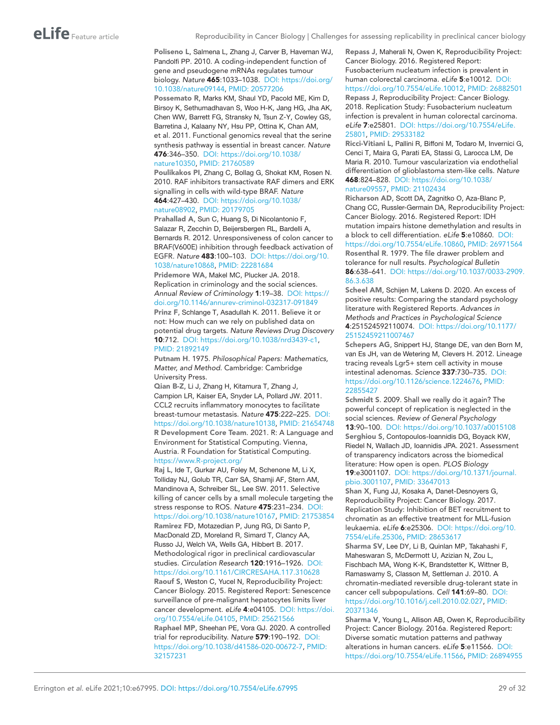#### <span id="page-28-1"></span>Poliseno L, Salmena L, Zhang J, Carver B, Haveman WJ, Pandolfi PP. 2010. A coding-independent function of gene and pseudogene mRNAs regulates tumour biology. *Nature* 465:1033–1038. DOI: [https://doi.org/](https://doi.org/10.1038/nature09144) [10.1038/nature09144,](https://doi.org/10.1038/nature09144) PMID: [20577206](http://www.ncbi.nlm.nih.gov/pubmed/20577206)

<span id="page-28-7"></span>Possemato R, Marks KM, Shaul YD, Pacold ME, Kim D, Birsoy K, Sethumadhavan S, Woo H-K, Jang HG, Jha AK, Chen WW, Barrett FG, Stransky N, Tsun Z-Y, Cowley GS, Barretina J, Kalaany NY, Hsu PP, Ottina K, Chan AM, et al. 2011. Functional genomics reveal that the serine synthesis pathway is essential in breast cancer. *Nature* 476:346–350. DOI: [https://doi.org/10.1038/](https://doi.org/10.1038/nature10350) [nature10350,](https://doi.org/10.1038/nature10350) PMID: [21760589](http://www.ncbi.nlm.nih.gov/pubmed/21760589)

<span id="page-28-5"></span>Poulikakos PI, Zhang C, Bollag G, Shokat KM, Rosen N. 2010. RAF inhibitors transactivate RAF dimers and ERK signalling in cells with wild-type BRAF. *Nature* 464:427–430. DOI: [https://doi.org/10.1038/](https://doi.org/10.1038/nature08902) [nature08902,](https://doi.org/10.1038/nature08902) PMID: [20179705](http://www.ncbi.nlm.nih.gov/pubmed/20179705)

<span id="page-28-12"></span>Prahallad A, Sun C, Huang S, Di Nicolantonio F, Salazar R, Zecchin D, Beijersbergen RL, Bardelli A, Bernards R. 2012. Unresponsiveness of colon cancer to BRAF(V600E) inhibition through feedback activation of EGFR. *Nature* 483:100–103. DOI: [https://doi.org/10.](https://doi.org/10.1038/nature10868) [1038/nature10868](https://doi.org/10.1038/nature10868), PMID: [22281684](http://www.ncbi.nlm.nih.gov/pubmed/22281684)

<span id="page-28-23"></span><span id="page-28-17"></span>Pridemore WA, Makel MC, Plucker JA. 2018. Replication in criminology and the social sciences. *Annual Review of Criminology* 1:19–38. DOI: [https://](https://doi.org/10.1146/annurev-criminol-032317-091849) [doi.org/10.1146/annurev-criminol-032317-091849](https://doi.org/10.1146/annurev-criminol-032317-091849) Prinz F, Schlange T, Asadullah K. 2011. Believe it or not: How much can we rely on published data on potential drug targets. *Nature Reviews Drug Discovery* 10:712. DOI: [https://doi.org/10.1038/nrd3439-c1,](https://doi.org/10.1038/nrd3439-c1) PMID: [21892149](http://www.ncbi.nlm.nih.gov/pubmed/21892149)

<span id="page-28-18"></span>Putnam H. 1975. *Philosophical Papers: Mathematics, Matter, and Method*. Cambridge: Cambridge University Press.

<span id="page-28-9"></span>Qian B-Z, Li J, Zhang H, Kitamura T, Zhang J, Campion LR, Kaiser EA, Snyder LA, Pollard JW. 2011. CCL2 recruits inflammatory monocytes to facilitate breast-tumour metastasis. *Nature* 475:222–225. DOI: <https://doi.org/10.1038/nature10138>, PMID: [21654748](http://www.ncbi.nlm.nih.gov/pubmed/21654748) R Development Core Team. 2021. R: A Language and Environment for Statistical Computing. Vienna, Austria. R Foundation for Statistical Computing. <https://www.R-project.org/>

<span id="page-28-24"></span><span id="page-28-21"></span><span id="page-28-20"></span><span id="page-28-10"></span><span id="page-28-6"></span>Raj L, Ide T, Gurkar AU, Foley M, Schenone M, Li X, Tolliday NJ, Golub TR, Carr SA, Shamji AF, Stern AM, Mandinova A, Schreiber SL, Lee SW. 2011. Selective killing of cancer cells by a small molecule targeting the stress response to ROS. *Nature* 475:231–234. DOI: <https://doi.org/10.1038/nature10167>, PMID: [21753854](http://www.ncbi.nlm.nih.gov/pubmed/21753854) Ramirez FD, Motazedian P, Jung RG, Di Santo P, MacDonald ZD, Moreland R, Simard T, Clancy AA, Russo JJ, Welch VA, Wells GA, Hibbert B. 2017. Methodological rigor in preclinical cardiovascular studies. *Circulation Research* 120:1916–1926. DOI: <https://doi.org/10.1161/CIRCRESAHA.117.310628> Raouf S, Weston C, Yucel N, Reproducibility Project: Cancer Biology. 2015. Registered Report: Senescence surveillance of pre-malignant hepatocytes limits liver cancer development. *eLife* 4:e04105. DOI: [https://doi.](https://doi.org/10.7554/eLife.04105) [org/10.7554/eLife.04105](https://doi.org/10.7554/eLife.04105), PMID: [25621566](http://www.ncbi.nlm.nih.gov/pubmed/25621566) Raphael MP, Sheehan PE, Vora GJ. 2020. A controlled trial for reproducibility. *Nature* 579:190–192. DOI: <https://doi.org/10.1038/d41586-020-00672-7>, PMID: [32157231](http://www.ncbi.nlm.nih.gov/pubmed/32157231)

<span id="page-28-15"></span><span id="page-28-14"></span>Repass J, Maherali N, Owen K, Reproducibility Project: Cancer Biology. 2016. Registered Report: Fusobacterium nucleatum infection is prevalent in human colorectal carcinoma. *eLife* 5:e10012. DOI: <https://doi.org/10.7554/eLife.10012>, PMID: [26882501](http://www.ncbi.nlm.nih.gov/pubmed/26882501) Repass J, Reproducibility Project: Cancer Biology. 2018. Replication Study: Fusobacterium nucleatum infection is prevalent in human colorectal carcinoma. *eLife* 7:e25801. DOI: [https://doi.org/10.7554/eLife.](https://doi.org/10.7554/eLife.25801) [25801,](https://doi.org/10.7554/eLife.25801) PMID: [29533182](http://www.ncbi.nlm.nih.gov/pubmed/29533182)

<span id="page-28-3"></span>Ricci-Vitiani L, Pallini R, Biffoni M, Todaro M, Invernici G, Cenci T, Maira G, Parati EA, Stassi G, Larocca LM, De Maria R. 2010. Tumour vascularization via endothelial differentiation of glioblastoma stem-like cells. *Nature* 468:824–828. DOI: [https://doi.org/10.1038/](https://doi.org/10.1038/nature09557) [nature09557,](https://doi.org/10.1038/nature09557) PMID: [21102434](http://www.ncbi.nlm.nih.gov/pubmed/21102434)

<span id="page-28-13"></span>Richarson AD, Scott DA, Zagnitko O, Aza-Blanc P, Chang CC, Russler-Germain DA, Reproducibility Project: Cancer Biology. 2016. Registered Report: IDH mutation impairs histone demethylation and results in a block to cell differentiation. *eLife* 5:e10860. DOI: [https://doi.org/10.7554/eLife.10860,](https://doi.org/10.7554/eLife.10860) PMID: [26971564](http://www.ncbi.nlm.nih.gov/pubmed/26971564) Rosenthal R. 1979. The file drawer problem and

<span id="page-28-0"></span>tolerance for null results. *Psychological Bulletin* 86:638–641. DOI: [https://doi.org/10.1037/0033-2909.](https://doi.org/10.1037/0033-2909.86.3.638) [86.3.638](https://doi.org/10.1037/0033-2909.86.3.638)

<span id="page-28-16"></span>Scheel AM, Schijen M, Lakens D. 2020. An excess of positive results: Comparing the standard psychology literature with Registered Reports. *Advances in Methods and Practices in Psychological Science* 4:251524592110074. DOI: [https://doi.org/10.1177/](https://doi.org/10.1177/25152459211007467) [25152459211007467](https://doi.org/10.1177/25152459211007467)

<span id="page-28-11"></span>Schepers AG, Snippert HJ, Stange DE, van den Born M, van Es JH, van de Wetering M, Clevers H. 2012. Lineage tracing reveals Lgr5+ stem cell activity in mouse intestinal adenomas. *Science* 337:730–735. DOI: [https://doi.org/10.1126/science.1224676,](https://doi.org/10.1126/science.1224676) PMID: [22855427](http://www.ncbi.nlm.nih.gov/pubmed/22855427)

<span id="page-28-22"></span><span id="page-28-19"></span>Schmidt S. 2009. Shall we really do it again? The powerful concept of replication is neglected in the social sciences. *Review of General Psychology* 13:90–100. DOI:<https://doi.org/10.1037/a0015108> Serghiou S, Contopoulos-Ioannidis DG, Boyack KW, Riedel N, Wallach JD, Ioannidis JPA. 2021. Assessment of transparency indicators across the biomedical literature: How open is open. *PLOS Biology* 19:e3001107. DOI: [https://doi.org/10.1371/journal.](https://doi.org/10.1371/journal.pbio.3001107) [pbio.3001107,](https://doi.org/10.1371/journal.pbio.3001107) PMID: [33647013](http://www.ncbi.nlm.nih.gov/pubmed/33647013)

<span id="page-28-8"></span>Shan X, Fung JJ, Kosaka A, Danet-Desnoyers G, Reproducibility Project: Cancer Biology. 2017. Replication Study: Inhibition of BET recruitment to chromatin as an effective treatment for MLL-fusion leukaemia. *eLife* 6:e25306. DOI: [https://doi.org/10.](https://doi.org/10.7554/eLife.25306) [7554/eLife.25306](https://doi.org/10.7554/eLife.25306), PMID: [28653617](http://www.ncbi.nlm.nih.gov/pubmed/28653617)

<span id="page-28-2"></span>Sharma SV, Lee DY, Li B, Quinlan MP, Takahashi F, Maheswaran S, McDermott U, Azizian N, Zou L, Fischbach MA, Wong K-K, Brandstetter K, Wittner B, Ramaswamy S, Classon M, Settleman J. 2010. A chromatin-mediated reversible drug-tolerant state in cancer cell subpopulations. *Cell* 141:69–80. DOI: <https://doi.org/10.1016/j.cell.2010.02.027>, PMID: [20371346](http://www.ncbi.nlm.nih.gov/pubmed/20371346)

<span id="page-28-4"></span>Sharma V, Young L, Allison AB, Owen K, Reproducibility Project: Cancer Biology. 2016a. Registered Report: Diverse somatic mutation patterns and pathway alterations in human cancers. *eLife* 5:e11566. DOI: <https://doi.org/10.7554/eLife.11566>, PMID: [26894955](http://www.ncbi.nlm.nih.gov/pubmed/26894955)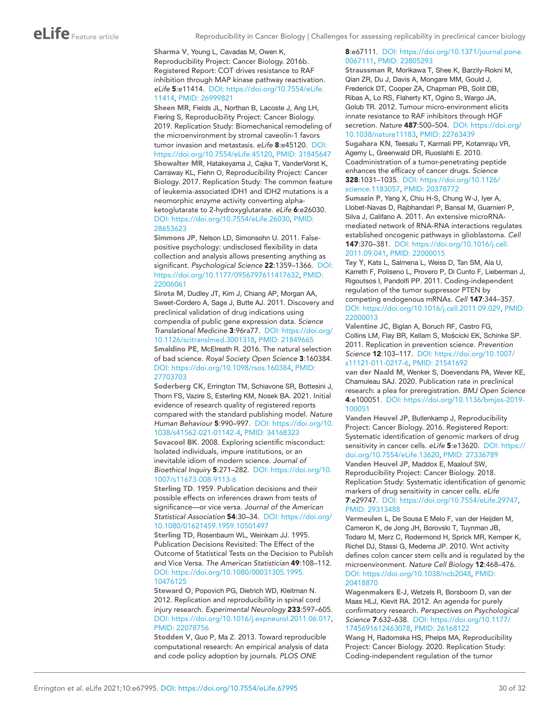#### <span id="page-29-3"></span>Sharma V, Young L, Cavadas M, Owen K, Reproducibility Project: Cancer Biology. 2016b. Registered Report: COT drives resistance to RAF inhibition through MAP kinase pathway reactivation. *eLife* 5:e11414. DOI: [https://doi.org/10.7554/eLife.](https://doi.org/10.7554/eLife.11414) [11414,](https://doi.org/10.7554/eLife.11414) PMID: [26999821](http://www.ncbi.nlm.nih.gov/pubmed/26999821)

<span id="page-29-6"></span><span id="page-29-5"></span>Sheen MR, Fields JL, Northan B, Lacoste J, Ang LH, Fiering S, Reproducibility Project: Cancer Biology. 2019. Replication Study: Biomechanical remodeling of the microenvironment by stromal caveolin-1 favors tumor invasion and metastasis. *eLife* 8:e45120. DOI: [https://doi.org/10.7554/eLife.45120,](https://doi.org/10.7554/eLife.45120) PMID: [31845647](http://www.ncbi.nlm.nih.gov/pubmed/31845647) Showalter MR, Hatakeyama J, Cajka T, VanderVorst K, Carraway KL, Fiehn O, Reproducibility Project: Cancer Biology. 2017. Replication Study: The common feature of leukemia-associated IDH1 and IDH2 mutations is a neomorphic enzyme activity converting alphaketoglutarate to 2-hydroxyglutarate. *eLife* 6:e26030. DOI: [https://doi.org/10.7554/eLife.26030,](https://doi.org/10.7554/eLife.26030) PMID: [28653623](http://www.ncbi.nlm.nih.gov/pubmed/28653623)

<span id="page-29-19"></span>Simmons JP, Nelson LD, Simonsohn U. 2011. Falsepositive psychology: undisclosed flexibility in data collection and analysis allows presenting anything as significant. *Psychological Science* 22:1359–1366. DOI: <https://doi.org/10.1177/0956797611417632>, PMID: [22006061](http://www.ncbi.nlm.nih.gov/pubmed/22006061)

<span id="page-29-7"></span>Sirota M, Dudley JT, Kim J, Chiang AP, Morgan AA, Sweet-Cordero A, Sage J, Butte AJ. 2011. Discovery and preclinical validation of drug indications using compendia of public gene expression data. *Science Translational Medicine* 3:96ra77. DOI: [https://doi.org/](https://doi.org/10.1126/scitranslmed.3001318) [10.1126/scitranslmed.3001318,](https://doi.org/10.1126/scitranslmed.3001318) PMID: [21849665](http://www.ncbi.nlm.nih.gov/pubmed/21849665) Smaldino PE, McElreath R. 2016. The natural selection of bad science. *Royal Society Open Science* 3:160384. DOI: <https://doi.org/10.1098/rsos.160384>, PMID: [27703703](http://www.ncbi.nlm.nih.gov/pubmed/27703703)

<span id="page-29-20"></span><span id="page-29-14"></span>Soderberg CK, Errington TM, Schiavone SR, Bottesini J, Thorn FS, Vazire S, Esterling KM, Nosek BA. 2021. Initial evidence of research quality of registered reports compared with the standard publishing model. *Nature Human Behaviour* 5:990–997. DOI: [https://doi.org/10.](https://doi.org/10.1038/s41562-021-01142-4) [1038/s41562-021-01142-4,](https://doi.org/10.1038/s41562-021-01142-4) PMID: [34168323](http://www.ncbi.nlm.nih.gov/pubmed/34168323)

<span id="page-29-15"></span>Sovacool BK. 2008. Exploring scientific misconduct: Isolated individuals, impure institutions, or an inevitable idiom of modern science. *Journal of Bioethical Inquiry* 5:271–282. DOI: [https://doi.org/10.](https://doi.org/10.1007/s11673-008-9113-6) [1007/s11673-008-9113-6](https://doi.org/10.1007/s11673-008-9113-6)

<span id="page-29-0"></span>Sterling TD. 1959. Publication decisions and their possible effects on inferences drawn from tests of significance—or vice versa. *Journal of the American Statistical Association* 54:30–34. DOI: [https://doi.org/](https://doi.org/10.1080/01621459.1959.10501497) [10.1080/01621459.1959.10501497](https://doi.org/10.1080/01621459.1959.10501497)

<span id="page-29-1"></span>Sterling TD, Rosenbaum WL, Weinkam JJ. 1995. Publication Decisions Revisited: The Effect of the Outcome of Statistical Tests on the Decision to Publish and Vice Versa. *The American Statistician* 49:108–112. DOI: [https://doi.org/10.1080/00031305.1995.](https://doi.org/10.1080/00031305.1995.10476125) [10476125](https://doi.org/10.1080/00031305.1995.10476125)

<span id="page-29-16"></span>Steward O, Popovich PG, Dietrich WD, Kleitman N. 2012. Replication and reproducibility in spinal cord injury research. *Experimental Neurology* 233:597–605. DOI: [https://doi.org/10.1016/j.expneurol.2011.06.017,](https://doi.org/10.1016/j.expneurol.2011.06.017) PMID: [22078756](http://www.ncbi.nlm.nih.gov/pubmed/22078756)

<span id="page-29-17"></span>Stodden V, Guo P, Ma Z. 2013. Toward reproducible computational research: An empirical analysis of data and code policy adoption by journals. *PLOS ONE*

#### 8:e67111. DOI: [https://doi.org/10.1371/journal.pone.](https://doi.org/10.1371/journal.pone.0067111) [0067111,](https://doi.org/10.1371/journal.pone.0067111) PMID: [23805293](http://www.ncbi.nlm.nih.gov/pubmed/23805293)

<span id="page-29-13"></span>Straussman R, Morikawa T, Shee K, Barzily-Rokni M, Qian ZR, Du J, Davis A, Mongare MM, Gould J, Frederick DT, Cooper ZA, Chapman PB, Solit DB, Ribas A, Lo RS, Flaherty KT, Ogino S, Wargo JA, Golub TR. 2012. Tumour micro-environment elicits innate resistance to RAF inhibitors through HGF secretion. *Nature* 487:500–504. DOI: [https://doi.org/](https://doi.org/10.1038/nature11183) [10.1038/nature11183,](https://doi.org/10.1038/nature11183) PMID: [22763439](http://www.ncbi.nlm.nih.gov/pubmed/22763439)

<span id="page-29-4"></span>Sugahara KN, Teesalu T, Karmali PP, Kotamraju VR, Agemy L, Greenwald DR, Ruoslahti E. 2010. Coadministration of a tumor-penetrating peptide enhances the efficacy of cancer drugs. *Science* 328:1031–1035. DOI: [https://doi.org/10.1126/](https://doi.org/10.1126/science.1183057) [science.1183057](https://doi.org/10.1126/science.1183057), PMID: [20378772](http://www.ncbi.nlm.nih.gov/pubmed/20378772)

<span id="page-29-10"></span>Sumazin P, Yang X, Chiu H-S, Chung W-J, Iyer A, Llobet-Navas D, Rajbhandari P, Bansal M, Guarnieri P, Silva J, Califano A. 2011. An extensive microRNAmediated network of RNA-RNA interactions regulates established oncogenic pathways in glioblastoma. *Cell* 147:370–381. DOI: [https://doi.org/10.1016/j.cell.](https://doi.org/10.1016/j.cell.2011.09.041) [2011.09.041](https://doi.org/10.1016/j.cell.2011.09.041), PMID: [22000015](http://www.ncbi.nlm.nih.gov/pubmed/22000015)

<span id="page-29-8"></span>Tay Y, Kats L, Salmena L, Weiss D, Tan SM, Ala U, Karreth F, Poliseno L, Provero P, Di Cunto F, Lieberman J, Rigoutsos I, Pandolfi PP. 2011. Coding-independent regulation of the tumor suppressor PTEN by competing endogenous mRNAs. *Cell* 147:344–357. DOI: <https://doi.org/10.1016/j.cell.2011.09.029>, PMID: [22000013](http://www.ncbi.nlm.nih.gov/pubmed/22000013)

<span id="page-29-22"></span>Valentine JC, Biglan A, Boruch RF, Castro FG, Collins LM, Flay BR, Kellam S, Mościcki EK, Schinke SP. 2011. Replication in prevention science. *Prevention Science* 12:103–117. DOI: [https://doi.org/10.1007/](https://doi.org/10.1007/s11121-011-0217-6) [s11121-011-0217-6,](https://doi.org/10.1007/s11121-011-0217-6) PMID: [21541692](http://www.ncbi.nlm.nih.gov/pubmed/21541692)

<span id="page-29-18"></span>van der Naald M, Wenker S, Doevendans PA, Wever KE, Chamuleau SAJ. 2020. Publication rate in preclinical research: a plea for preregistration. *BMJ Open Science* 4:e100051. DOI: [https://doi.org/10.1136/bmjos-2019-](https://doi.org/10.1136/bmjos-2019-100051) [100051](https://doi.org/10.1136/bmjos-2019-100051)

<span id="page-29-11"></span>Vanden Heuvel JP, Bullenkamp J, Reproducibility Project: Cancer Biology. 2016. Registered Report: Systematic identification of genomic markers of drug sensitivity in cancer cells. *eLife* 5:e13620. DOI: [https://](https://doi.org/10.7554/eLife.13620) [doi.org/10.7554/eLife.13620](https://doi.org/10.7554/eLife.13620), PMID: [27336789](http://www.ncbi.nlm.nih.gov/pubmed/27336789) Vanden Heuvel JP, Maddox E, Maalouf SW,

<span id="page-29-12"></span>Reproducibility Project: Cancer Biology. 2018. Replication Study: Systematic identification of genomic markers of drug sensitivity in cancer cells. *eLife* 7:e29747. DOI:<https://doi.org/10.7554/eLife.29747>, PMID: [29313488](http://www.ncbi.nlm.nih.gov/pubmed/29313488)

<span id="page-29-2"></span>Vermeulen L, De Sousa E Melo F, van der Heijden M, Cameron K, de Jong JH, Borovski T, Tuynman JB, Todaro M, Merz C, Rodermond H, Sprick MR, Kemper K, Richel DJ, Stassi G, Medema JP. 2010. Wnt activity defines colon cancer stem cells and is regulated by the microenvironment. *Nature Cell Biology* 12:468–476. DOI: <https://doi.org/10.1038/ncb2048>, PMID: [20418870](http://www.ncbi.nlm.nih.gov/pubmed/20418870)

<span id="page-29-21"></span>Wagenmakers E-J, Wetzels R, Borsboom D, van der Maas HLJ, Kievit RA. 2012. An agenda for purely confirmatory research. *Perspectives on Psychological Science* 7:632–638. DOI: [https://doi.org/10.1177/](https://doi.org/10.1177/1745691612463078) [1745691612463078,](https://doi.org/10.1177/1745691612463078) PMID: [26168122](http://www.ncbi.nlm.nih.gov/pubmed/26168122)

<span id="page-29-9"></span>Wang H, Radomska HS, Phelps MA, Reproducibility Project: Cancer Biology. 2020. Replication Study: Coding-independent regulation of the tumor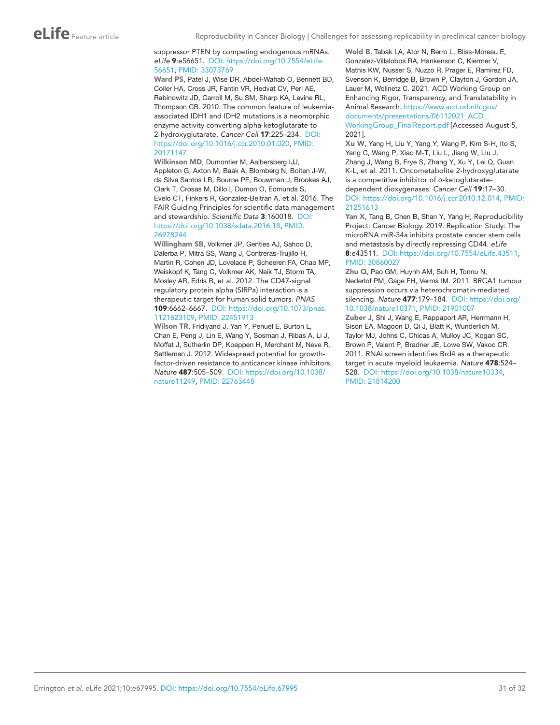#### suppressor PTEN by competing endogenous mRNAs. *eLife* 9:e56651. DOI: [https://doi.org/10.7554/eLife.](https://doi.org/10.7554/eLife.56651) [56651,](https://doi.org/10.7554/eLife.56651) PMID: [33073769](http://www.ncbi.nlm.nih.gov/pubmed/33073769)

<span id="page-30-0"></span>Ward PS, Patel J, Wise DR, Abdel-Wahab O, Bennett BD, Coller HA, Cross JR, Fantin VR, Hedvat CV, Perl AE, Rabinowitz JD, Carroll M, Su SM, Sharp KA, Levine RL, Thompson CB. 2010. The common feature of leukemiaassociated IDH1 and IDH2 mutations is a neomorphic enzyme activity converting alpha-ketoglutarate to 2-hydroxyglutarate. *Cancer Cell* 17:225–234. DOI: [https://doi.org/10.1016/j.ccr.2010.01.020,](https://doi.org/10.1016/j.ccr.2010.01.020) PMID: [20171147](http://www.ncbi.nlm.nih.gov/pubmed/20171147)

<span id="page-30-7"></span>Wilkinson MD, Dumontier M, Aalbersberg IJJ, Appleton G, Axton M, Baak A, Blomberg N, Boiten J-W, da Silva Santos LB, Bourne PE, Bouwman J, Brookes AJ, Clark T, Crosas M, Dillo I, Dumon O, Edmunds S, Evelo CT, Finkers R, Gonzalez-Beltran A, et al. 2016. The FAIR Guiding Principles for scientific data management and stewardship. *Scientific Data* 3:160018. DOI: [https://doi.org/10.1038/sdata.2016.18,](https://doi.org/10.1038/sdata.2016.18) PMID: [26978244](http://www.ncbi.nlm.nih.gov/pubmed/26978244)

<span id="page-30-5"></span>Willingham SB, Volkmer JP, Gentles AJ, Sahoo D, Dalerba P, Mitra SS, Wang J, Contreras-Trujillo H, Martin R, Cohen JD, Lovelace P, Scheeren FA, Chao MP, Weiskopf K, Tang C, Volkmer AK, Naik TJ, Storm TA, Mosley AR, Edris B, et al. 2012. The CD47-signal regulatory protein alpha (SIRPa) interaction is a therapeutic target for human solid tumors. *PNAS* 109:6662–6667. DOI: [https://doi.org/10.1073/pnas.](https://doi.org/10.1073/pnas.1121623109) [1121623109](https://doi.org/10.1073/pnas.1121623109), PMID: [22451913](http://www.ncbi.nlm.nih.gov/pubmed/22451913)

<span id="page-30-6"></span>Wilson TR, Fridlyand J, Yan Y, Penuel E, Burton L, Chan E, Peng J, Lin E, Wang Y, Sosman J, Ribas A, Li J, Moffat J, Sutherlin DP, Koeppen H, Merchant M, Neve R, Settleman J. 2012. Widespread potential for growthfactor-driven resistance to anticancer kinase inhibitors. *Nature* 487:505–509. DOI: [https://doi.org/10.1038/](https://doi.org/10.1038/nature11249) [nature11249,](https://doi.org/10.1038/nature11249) PMID: [22763448](http://www.ncbi.nlm.nih.gov/pubmed/22763448)

<span id="page-30-8"></span>Wold B, Tabak LA, Ator N, Berro L, Bliss-Moreau E, Gonzalez-Villalobos RA, Hankenson C, Kiermer V, Mathis KW, Nusser S, Nuzzo R, Prager E, Ramirez FD, Svenson K, Berridge B, Brown P, Clayton J, Gordon JA, Lauer M, Wolinetz C. 2021. ACD Working Group on Enhancing Rigor, Transparency, and Translatability in Animal Research. [https://www.acd.od.nih.gov/](https://www.acd.od.nih.gov/documents/presentations/06112021_ACD_WorkingGroup_FinalReport.pdf) [documents/presentations/06112021\\_ACD\\_](https://www.acd.od.nih.gov/documents/presentations/06112021_ACD_WorkingGroup_FinalReport.pdf)

[WorkingGroup\\_FinalReport.pdf](https://www.acd.od.nih.gov/documents/presentations/06112021_ACD_WorkingGroup_FinalReport.pdf) [Accessed August 5, 2021].

<span id="page-30-2"></span>Xu W, Yang H, Liu Y, Yang Y, Wang P, Kim S-H, Ito S, Yang C, Wang P, Xiao M-T, Liu L, Jiang W, Liu J, Zhang J, Wang B, Frye S, Zhang Y, Xu Y, Lei Q, Guan K-L, et al. 2011. Oncometabolite 2-hydroxyglutarate is a competitive inhibitor of α-ketoglutaratedependent dioxygenases. *Cancer Cell* 19:17–30. DOI: [https://doi.org/10.1016/j.ccr.2010.12.014,](https://doi.org/10.1016/j.ccr.2010.12.014) PMID: [21251613](http://www.ncbi.nlm.nih.gov/pubmed/21251613)

<span id="page-30-4"></span>Yan X, Tang B, Chen B, Shan Y, Yang H, Reproducibility Project: Cancer Biology. 2019. Replication Study: The microRNA miR-34a inhibits prostate cancer stem cells and metastasis by directly repressing CD44. *eLife* 8:e43511. DOI:<https://doi.org/10.7554/eLife.43511>, PMID: [30860027](http://www.ncbi.nlm.nih.gov/pubmed/30860027)

<span id="page-30-3"></span>Zhu Q, Pao GM, Huynh AM, Suh H, Tonnu N, Nederlof PM, Gage FH, Verma IM. 2011. BRCA1 tumour suppression occurs via heterochromatin-mediated silencing. *Nature* 477:179–184. DOI: [https://doi.org/](https://doi.org/10.1038/nature10371) [10.1038/nature10371,](https://doi.org/10.1038/nature10371) PMID: [21901007](http://www.ncbi.nlm.nih.gov/pubmed/21901007)

<span id="page-30-1"></span>Zuber J, Shi J, Wang E, Rappaport AR, Herrmann H, Sison EA, Magoon D, Qi J, Blatt K, Wunderlich M, Taylor MJ, Johns C, Chicas A, Mulloy JC, Kogan SC, Brown P, Valent P, Bradner JE, Lowe SW, Vakoc CR. 2011. RNAi screen identifies Brd4 as a therapeutic target in acute myeloid leukaemia. *Nature* 478:524– 528. DOI: [https://doi.org/10.1038/nature10334,](https://doi.org/10.1038/nature10334) PMID: [21814200](http://www.ncbi.nlm.nih.gov/pubmed/21814200)